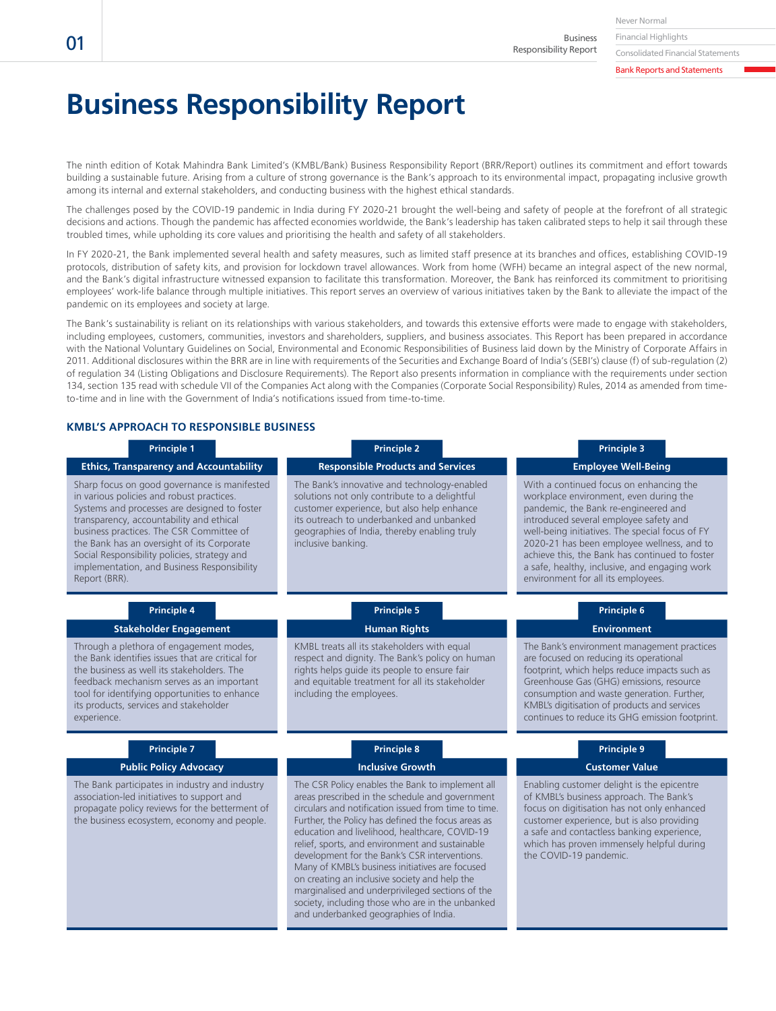Business Responsibility Report

#### Bank Reports and Statements

# **Business Responsibility Report**

The ninth edition of Kotak Mahindra Bank Limited's (KMBL/Bank) Business Responsibility Report (BRR/Report) outlines its commitment and effort towards building a sustainable future. Arising from a culture of strong governance is the Bank's approach to its environmental impact, propagating inclusive growth among its internal and external stakeholders, and conducting business with the highest ethical standards.

The challenges posed by the COVID-19 pandemic in India during FY 2020-21 brought the well-being and safety of people at the forefront of all strategic decisions and actions. Though the pandemic has affected economies worldwide, the Bank's leadership has taken calibrated steps to help it sail through these troubled times, while upholding its core values and prioritising the health and safety of all stakeholders.

In FY 2020-21, the Bank implemented several health and safety measures, such as limited staff presence at its branches and offices, establishing COVID-19 protocols, distribution of safety kits, and provision for lockdown travel allowances. Work from home (WFH) became an integral aspect of the new normal, and the Bank's digital infrastructure witnessed expansion to facilitate this transformation. Moreover, the Bank has reinforced its commitment to prioritising employees' work-life balance through multiple initiatives. This report serves an overview of various initiatives taken by the Bank to alleviate the impact of the pandemic on its employees and society at large.

The Bank's sustainability is reliant on its relationships with various stakeholders, and towards this extensive efforts were made to engage with stakeholders, including employees, customers, communities, investors and shareholders, suppliers, and business associates. This Report has been prepared in accordance with the National Voluntary Guidelines on Social, Environmental and Economic Responsibilities of Business laid down by the Ministry of Corporate Affairs in 2011. Additional disclosures within the BRR are in line with requirements of the Securities and Exchange Board of India's (SEBI's) clause (f) of sub-regulation (2) of regulation 34 (Listing Obligations and Disclosure Requirements). The Report also presents information in compliance with the requirements under section 134, section 135 read with schedule VII of the Companies Act along with the Companies (Corporate Social Responsibility) Rules, 2014 as amended from timeto-time and in line with the Government of India's notifications issued from time-to-time.

### **KMBL'S APPROACH TO RESPONSIBLE BUSINESS**

| <b>Principle 1</b>                                                                                                                                                                                                                                                                                                                                                                              | <b>Principle 2</b>                                                                                                                                                                                                                                                                                                                                                                                                                                                                                                                                                                                                           | <b>Principle 3</b>                                                                                                                                                                                                                                                                                                                                                                                            |
|-------------------------------------------------------------------------------------------------------------------------------------------------------------------------------------------------------------------------------------------------------------------------------------------------------------------------------------------------------------------------------------------------|------------------------------------------------------------------------------------------------------------------------------------------------------------------------------------------------------------------------------------------------------------------------------------------------------------------------------------------------------------------------------------------------------------------------------------------------------------------------------------------------------------------------------------------------------------------------------------------------------------------------------|---------------------------------------------------------------------------------------------------------------------------------------------------------------------------------------------------------------------------------------------------------------------------------------------------------------------------------------------------------------------------------------------------------------|
| <b>Ethics, Transparency and Accountability</b>                                                                                                                                                                                                                                                                                                                                                  | <b>Responsible Products and Services</b>                                                                                                                                                                                                                                                                                                                                                                                                                                                                                                                                                                                     | <b>Employee Well-Being</b>                                                                                                                                                                                                                                                                                                                                                                                    |
| Sharp focus on good governance is manifested<br>in various policies and robust practices.<br>Systems and processes are designed to foster<br>transparency, accountability and ethical<br>business practices. The CSR Committee of<br>the Bank has an oversight of its Corporate<br>Social Responsibility policies, strategy and<br>implementation, and Business Responsibility<br>Report (BRR). | The Bank's innovative and technology-enabled<br>solutions not only contribute to a delightful<br>customer experience, but also help enhance<br>its outreach to underbanked and unbanked<br>geographies of India, thereby enabling truly<br>inclusive banking.                                                                                                                                                                                                                                                                                                                                                                | With a continued focus on enhancing the<br>workplace environment, even during the<br>pandemic, the Bank re-engineered and<br>introduced several employee safety and<br>well-being initiatives. The special focus of FY<br>2020-21 has been employee wellness, and to<br>achieve this, the Bank has continued to foster<br>a safe, healthy, inclusive, and engaging work<br>environment for all its employees. |
| <b>Principle 4</b>                                                                                                                                                                                                                                                                                                                                                                              | <b>Principle 5</b>                                                                                                                                                                                                                                                                                                                                                                                                                                                                                                                                                                                                           | <b>Principle 6</b>                                                                                                                                                                                                                                                                                                                                                                                            |
| <b>Stakeholder Engagement</b>                                                                                                                                                                                                                                                                                                                                                                   | <b>Human Rights</b>                                                                                                                                                                                                                                                                                                                                                                                                                                                                                                                                                                                                          | <b>Environment</b>                                                                                                                                                                                                                                                                                                                                                                                            |
| Through a plethora of engagement modes,<br>the Bank identifies issues that are critical for<br>the business as well its stakeholders. The<br>feedback mechanism serves as an important<br>tool for identifying opportunities to enhance<br>its products, services and stakeholder<br>experience.                                                                                                | KMBL treats all its stakeholders with equal<br>respect and dignity. The Bank's policy on human<br>rights helps guide its people to ensure fair<br>and equitable treatment for all its stakeholder<br>including the employees.                                                                                                                                                                                                                                                                                                                                                                                                | The Bank's environment management practices<br>are focused on reducing its operational<br>footprint, which helps reduce impacts such as<br>Greenhouse Gas (GHG) emissions, resource<br>consumption and waste generation. Further,<br>KMBL's digitisation of products and services<br>continues to reduce its GHG emission footprint.                                                                          |
| <b>Principle 7</b>                                                                                                                                                                                                                                                                                                                                                                              | <b>Principle 8</b>                                                                                                                                                                                                                                                                                                                                                                                                                                                                                                                                                                                                           | <b>Principle 9</b>                                                                                                                                                                                                                                                                                                                                                                                            |
| <b>Public Policy Advocacy</b>                                                                                                                                                                                                                                                                                                                                                                   | <b>Inclusive Growth</b>                                                                                                                                                                                                                                                                                                                                                                                                                                                                                                                                                                                                      | <b>Customer Value</b>                                                                                                                                                                                                                                                                                                                                                                                         |
| The Bank participates in industry and industry<br>association-led initiatives to support and<br>propagate policy reviews for the betterment of<br>the business ecosystem, economy and people.                                                                                                                                                                                                   | The CSR Policy enables the Bank to implement all<br>areas prescribed in the schedule and government<br>circulars and notification issued from time to time.<br>Further, the Policy has defined the focus areas as<br>education and livelihood, healthcare, COVID-19<br>relief, sports, and environment and sustainable<br>development for the Bank's CSR interventions.<br>Many of KMBL's business initiatives are focused<br>on creating an inclusive society and help the<br>marginalised and underprivileged sections of the<br>society, including those who are in the unbanked<br>and underbanked geographies of India. | Enabling customer delight is the epicentre<br>of KMBL's business approach. The Bank's<br>focus on digitisation has not only enhanced<br>customer experience, but is also providing<br>a safe and contactless banking experience,<br>which has proven immensely helpful during<br>the COVID-19 pandemic.                                                                                                       |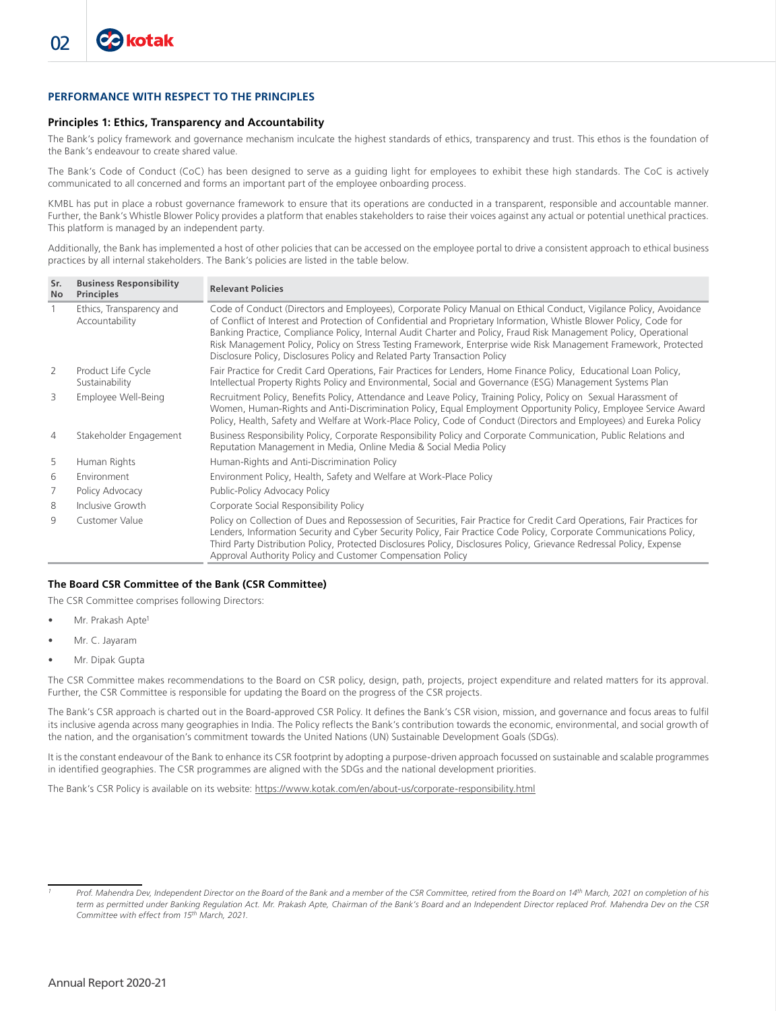# **PERFORMANCE WITH RESPECT TO THE PRINCIPLES**

#### **Principles 1: Ethics, Transparency and Accountability**

The Bank's policy framework and governance mechanism inculcate the highest standards of ethics, transparency and trust. This ethos is the foundation of the Bank's endeavour to create shared value.

The Bank's Code of Conduct (CoC) has been designed to serve as a guiding light for employees to exhibit these high standards. The CoC is actively communicated to all concerned and forms an important part of the employee onboarding process.

KMBL has put in place a robust governance framework to ensure that its operations are conducted in a transparent, responsible and accountable manner. Further, the Bank's Whistle Blower Policy provides a platform that enables stakeholders to raise their voices against any actual or potential unethical practices. This platform is managed by an independent party.

Additionally, the Bank has implemented a host of other policies that can be accessed on the employee portal to drive a consistent approach to ethical business practices by all internal stakeholders. The Bank's policies are listed in the table below.

| Sr.<br><b>No</b> | <b>Business Responsibility</b><br><b>Principles</b> | <b>Relevant Policies</b>                                                                                                                                                                                                                                                                                                                                                                                                                                                                                                                                         |
|------------------|-----------------------------------------------------|------------------------------------------------------------------------------------------------------------------------------------------------------------------------------------------------------------------------------------------------------------------------------------------------------------------------------------------------------------------------------------------------------------------------------------------------------------------------------------------------------------------------------------------------------------------|
| 1                | Ethics, Transparency and<br>Accountability          | Code of Conduct (Directors and Employees), Corporate Policy Manual on Ethical Conduct, Vigilance Policy, Avoidance<br>of Conflict of Interest and Protection of Confidential and Proprietary Information, Whistle Blower Policy, Code for<br>Banking Practice, Compliance Policy, Internal Audit Charter and Policy, Fraud Risk Management Policy, Operational<br>Risk Management Policy, Policy on Stress Testing Framework, Enterprise wide Risk Management Framework, Protected<br>Disclosure Policy, Disclosures Policy and Related Party Transaction Policy |
| 2                | Product Life Cycle<br>Sustainability                | Fair Practice for Credit Card Operations, Fair Practices for Lenders, Home Finance Policy, Educational Loan Policy,<br>Intellectual Property Rights Policy and Environmental, Social and Governance (ESG) Management Systems Plan                                                                                                                                                                                                                                                                                                                                |
| 3                | Employee Well-Being                                 | Recruitment Policy, Benefits Policy, Attendance and Leave Policy, Training Policy, Policy on Sexual Harassment of<br>Women, Human-Rights and Anti-Discrimination Policy, Equal Employment Opportunity Policy, Employee Service Award<br>Policy, Health, Safety and Welfare at Work-Place Policy, Code of Conduct (Directors and Employees) and Eureka Policy                                                                                                                                                                                                     |
| $\overline{4}$   | Stakeholder Engagement                              | Business Responsibility Policy, Corporate Responsibility Policy and Corporate Communication, Public Relations and<br>Reputation Management in Media, Online Media & Social Media Policy                                                                                                                                                                                                                                                                                                                                                                          |
| 5                | Human Rights                                        | Human-Rights and Anti-Discrimination Policy                                                                                                                                                                                                                                                                                                                                                                                                                                                                                                                      |
| 6                | Environment                                         | Environment Policy, Health, Safety and Welfare at Work-Place Policy                                                                                                                                                                                                                                                                                                                                                                                                                                                                                              |
| 7                | Policy Advocacy                                     | Public-Policy Advocacy Policy                                                                                                                                                                                                                                                                                                                                                                                                                                                                                                                                    |
| 8                | Inclusive Growth                                    | Corporate Social Responsibility Policy                                                                                                                                                                                                                                                                                                                                                                                                                                                                                                                           |
| 9                | Customer Value                                      | Policy on Collection of Dues and Repossession of Securities, Fair Practice for Credit Card Operations, Fair Practices for<br>Lenders, Information Security and Cyber Security Policy, Fair Practice Code Policy, Corporate Communications Policy,<br>Third Party Distribution Policy, Protected Disclosures Policy, Disclosures Policy, Grievance Redressal Policy, Expense<br>Approval Authority Policy and Customer Compensation Policy                                                                                                                        |

# **The Board CSR Committee of the Bank (CSR Committee)**

The CSR Committee comprises following Directors:

- Mr. Prakash Apte<sup>1</sup>
- Mr. C. Jayaram
- Mr. Dipak Gupta

The CSR Committee makes recommendations to the Board on CSR policy, design, path, projects, project expenditure and related matters for its approval. Further, the CSR Committee is responsible for updating the Board on the progress of the CSR projects.

The Bank's CSR approach is charted out in the Board-approved CSR Policy. It defines the Bank's CSR vision, mission, and governance and focus areas to fulfil its inclusive agenda across many geographies in India. The Policy reflects the Bank's contribution towards the economic, environmental, and social growth of the nation, and the organisation's commitment towards the United Nations (UN) Sustainable Development Goals (SDGs).

It is the constant endeavour of the Bank to enhance its CSR footprint by adopting a purpose-driven approach focussed on sustainable and scalable programmes in identified geographies. The CSR programmes are aligned with the SDGs and the national development priorities.

The Bank's CSR Policy is available on its website: https://www.kotak.com/en/about-us/corporate-responsibility.html

Prof. Mahendra Dev, Independent Director on the Board of the Bank and a member of the CSR Committee, retired from the Board on 14<sup>th</sup> March, 2021 on completion of his *term as permitted under Banking Regulation Act. Mr. Prakash Apte, Chairman of the Bank's Board and an Independent Director replaced Prof. Mahendra Dev on the CSR Committee with effect from 15th March, 2021.*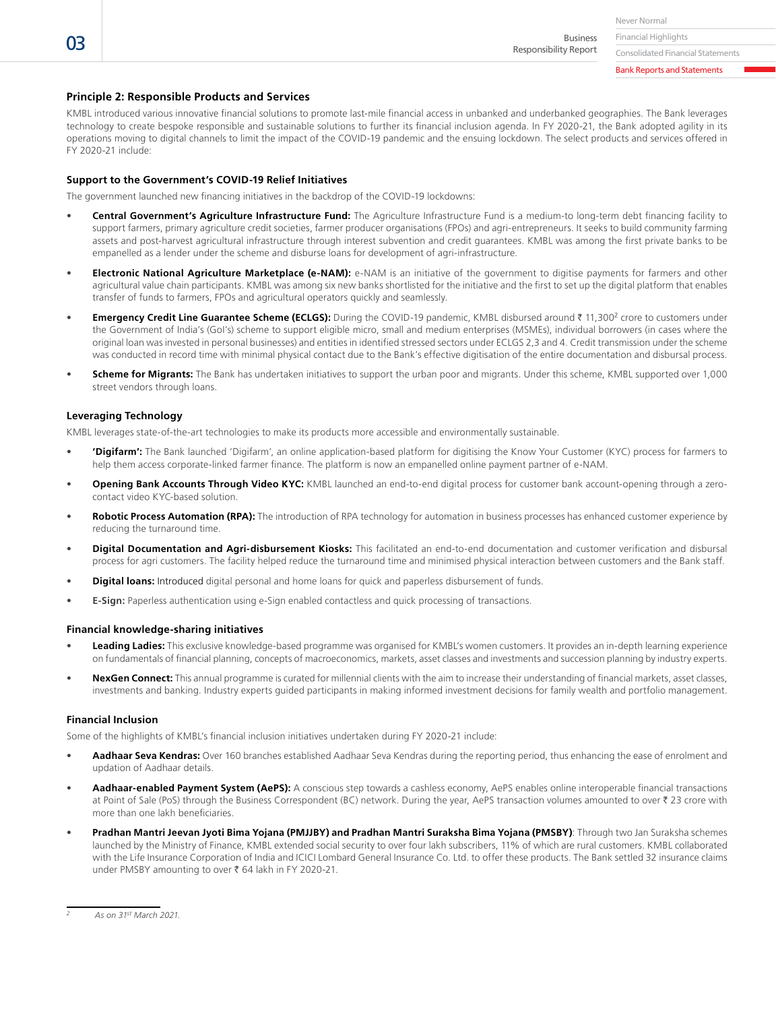Financial Highlights Business Responsibility Report

Consolidated Financial Statements Bank Reports and Statements

# **Principle 2: Responsible Products and Services**

KMBL introduced various innovative financial solutions to promote last-mile financial access in unbanked and underbanked geographies. The Bank leverages technology to create bespoke responsible and sustainable solutions to further its financial inclusion agenda. In FY 2020-21, the Bank adopted agility in its operations moving to digital channels to limit the impact of the COVID-19 pandemic and the ensuing lockdown. The select products and services offered in FY 2020-21 include:

#### **Support to the Government's COVID-19 Relief Initiatives**

The government launched new financing initiatives in the backdrop of the COVID-19 lockdowns:

- **Central Government's Agriculture Infrastructure Fund:** The Agriculture Infrastructure Fund is a medium-to long-term debt financing facility to support farmers, primary agriculture credit societies, farmer producer organisations (FPOs) and agri-entrepreneurs. It seeks to build community farming assets and post-harvest agricultural infrastructure through interest subvention and credit guarantees. KMBL was among the first private banks to be empanelled as a lender under the scheme and disburse loans for development of agri-infrastructure.
- **Electronic National Agriculture Marketplace (e-NAM):** e-NAM is an initiative of the government to digitise payments for farmers and other agricultural value chain participants. KMBL was among six new banks shortlisted for the initiative and the first to set up the digital platform that enables transfer of funds to farmers, FPOs and agricultural operators quickly and seamlessly.
- Emergency Credit Line Guarantee Scheme (ECLGS): During the COVID-19 pandemic, KMBL disbursed around ₹ 11,300<sup>2</sup> crore to customers under the Government of India's (GoI's) scheme to support eligible micro, small and medium enterprises (MSMEs), individual borrowers (in cases where the original loan was invested in personal businesses) and entities in identified stressed sectors under ECLGS 2,3 and 4. Credit transmission under the scheme was conducted in record time with minimal physical contact due to the Bank's effective digitisation of the entire documentation and disbursal process.
- **Scheme for Migrants:** The Bank has undertaken initiatives to support the urban poor and migrants. Under this scheme, KMBL supported over 1,000 street vendors through loans.

#### **Leveraging Technology**

KMBL leverages state-of-the-art technologies to make its products more accessible and environmentally sustainable.

- **'Digifarm':** The Bank launched 'Digifarm', an online application-based platform for digitising the Know Your Customer (KYC) process for farmers to help them access corporate-linked farmer finance. The platform is now an empanelled online payment partner of e-NAM.
- **Opening Bank Accounts Through Video KYC:** KMBL launched an end-to-end digital process for customer bank account-opening through a zerocontact video KYC-based solution.
- **Robotic Process Automation (RPA):** The introduction of RPA technology for automation in business processes has enhanced customer experience by reducing the turnaround time.
- **Digital Documentation and Agri-disbursement Kiosks:** This facilitated an end-to-end documentation and customer verification and disbursal process for agri customers. The facility helped reduce the turnaround time and minimised physical interaction between customers and the Bank staff.
- **Digital loans:** Introduced digital personal and home loans for quick and paperless disbursement of funds.
- **E-Sign:** Paperless authentication using e-Sign enabled contactless and quick processing of transactions.

#### **Financial knowledge-sharing initiatives**

- **Leading Ladies:** This exclusive knowledge-based programme was organised for KMBL's women customers. It provides an in-depth learning experience on fundamentals of financial planning, concepts of macroeconomics, markets, asset classes and investments and succession planning by industry experts.
- **NexGen Connect:** This annual programme is curated for millennial clients with the aim to increase their understanding of financial markets, asset classes, investments and banking. Industry experts guided participants in making informed investment decisions for family wealth and portfolio management.

#### **Financial Inclusion**

Some of the highlights of KMBL's financial inclusion initiatives undertaken during FY 2020-21 include:

- **Aadhaar Seva Kendras:** Over 160 branches established Aadhaar Seva Kendras during the reporting period, thus enhancing the ease of enrolment and updation of Aadhaar details.
- **Aadhaar-enabled Payment System (AePS):** A conscious step towards a cashless economy, AePS enables online interoperable financial transactions at Point of Sale (PoS) through the Business Correspondent (BC) network. During the year, AePS transaction volumes amounted to over ₹ 23 crore with more than one lakh beneficiaries.
- **Pradhan Mantri Jeevan Jyoti Bima Yojana (PMJJBY) and Pradhan Mantri Suraksha Bima Yojana (PMSBY)**: Through two Jan Suraksha schemes launched by the Ministry of Finance, KMBL extended social security to over four lakh subscribers, 11% of which are rural customers. KMBL collaborated with the Life Insurance Corporation of India and ICICI Lombard General Insurance Co. Ltd. to offer these products. The Bank settled 32 insurance claims under PMSBY amounting to over ₹ 64 lakh in FY 2020-21.

*<sup>2</sup> As on 31st March 2021.*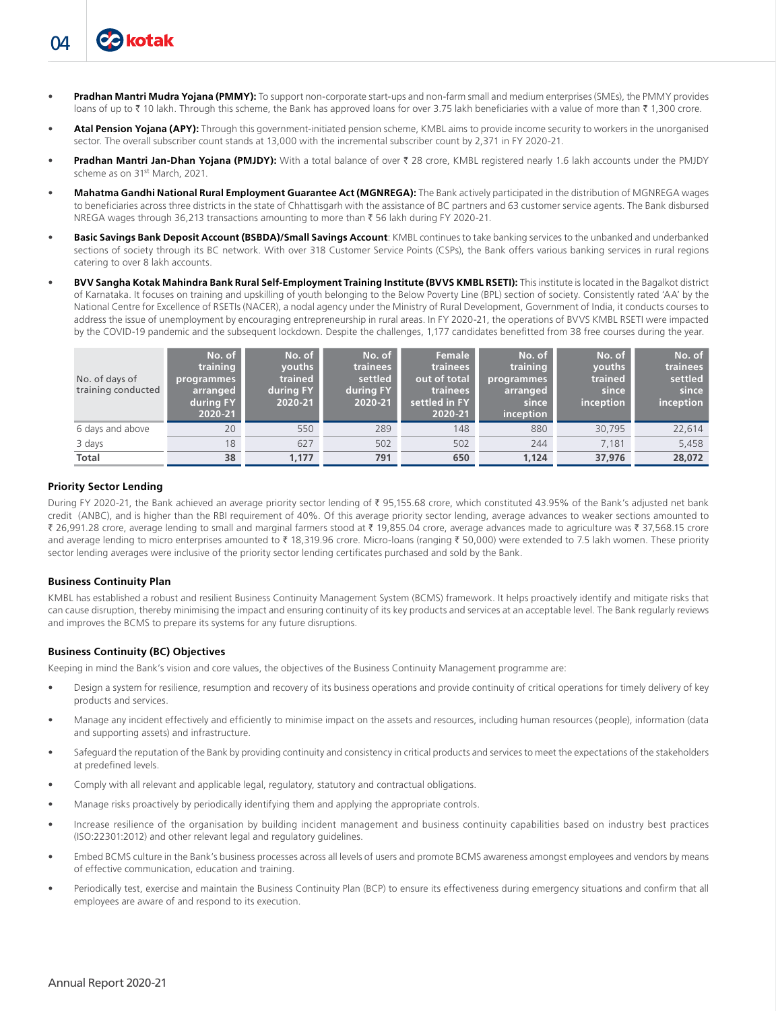- **Atal Pension Yojana (APY):** Through this government-initiated pension scheme, KMBL aims to provide income security to workers in the unorganised sector. The overall subscriber count stands at 13,000 with the incremental subscriber count by 2,371 in FY 2020-21.
- **Pradhan Mantri Jan-Dhan Yojana (PMJDY):** With a total balance of over ₹ 28 crore, KMBL registered nearly 1.6 lakh accounts under the PMJDY scheme as on 31st March, 2021.
- **Mahatma Gandhi National Rural Employment Guarantee Act (MGNREGA):** The Bank actively participated in the distribution of MGNREGA wages to beneficiaries across three districts in the state of Chhattisgarh with the assistance of BC partners and 63 customer service agents. The Bank disbursed NREGA wages through 36,213 transactions amounting to more than ₹56 lakh during FY 2020-21.
- **Basic Savings Bank Deposit Account (BSBDA)/Small Savings Account**: KMBL continues to take banking services to the unbanked and underbanked sections of society through its BC network. With over 318 Customer Service Points (CSPs), the Bank offers various banking services in rural regions catering to over 8 lakh accounts.
- **BVV Sangha Kotak Mahindra Bank Rural Self-Employment Training Institute (BVVS KMBL RSETI):** This institute is located in the Bagalkot district of Karnataka. It focuses on training and upskilling of youth belonging to the Below Poverty Line (BPL) section of society. Consistently rated 'AA' by the National Centre for Excellence of RSETIs (NACER), a nodal agency under the Ministry of Rural Development, Government of India, it conducts courses to address the issue of unemployment by encouraging entrepreneurship in rural areas. In FY 2020-21, the operations of BVVS KMBL RSETI were impacted by the COVID-19 pandemic and the subsequent lockdown. Despite the challenges, 1,177 candidates benefitted from 38 free courses during the year.

| No. of days of<br>training conducted | No. of<br>training<br>programmes<br>arranged<br>during FY<br>2020-21 | No. of<br>vouths<br>trained<br>during FY<br>2020-21 | No. of<br>trainees<br>settled<br>during FY<br>2020-21 | Female<br>trainees<br>out of total<br>trainees<br>settled in FY<br>2020-21 | No. of<br>training<br>programmes<br>arranged<br>since<br>inception | No. of<br>vouths<br>trained<br>since<br>inception | No. of<br>trainees<br>settled<br>since<br>inception |
|--------------------------------------|----------------------------------------------------------------------|-----------------------------------------------------|-------------------------------------------------------|----------------------------------------------------------------------------|--------------------------------------------------------------------|---------------------------------------------------|-----------------------------------------------------|
| 6 days and above                     | 20                                                                   | 550                                                 | 289                                                   | 148                                                                        | 880                                                                | 30,795                                            | 22,614                                              |
| 3 days                               | 18                                                                   | 627                                                 | 502                                                   | 502                                                                        | 244                                                                | 7.181                                             | 5,458                                               |
| <b>Total</b>                         | 38                                                                   | 1.177                                               | 791                                                   | 650                                                                        | 1.124                                                              | 37,976                                            | 28,072                                              |

#### **Priority Sector Lending**

04

**Cakotak** 

During FY 2020-21, the Bank achieved an average priority sector lending of ₹ 95,155.68 crore, which constituted 43.95% of the Bank's adjusted net bank credit (ANBC), and is higher than the RBI requirement of 40%. Of this average priority sector lending, average advances to weaker sections amounted to ₹ 26,991.28 crore, average lending to small and marginal farmers stood at ₹ 19,855.04 crore, average advances made to agriculture was ₹ 37,568.15 crore and average lending to micro enterprises amounted to ₹ 18,319.96 crore. Micro-loans (ranging ₹ 50,000) were extended to 7.5 lakh women. These priority sector lending averages were inclusive of the priority sector lending certificates purchased and sold by the Bank.

#### **Business Continuity Plan**

KMBL has established a robust and resilient Business Continuity Management System (BCMS) framework. It helps proactively identify and mitigate risks that can cause disruption, thereby minimising the impact and ensuring continuity of its key products and services at an acceptable level. The Bank regularly reviews and improves the BCMS to prepare its systems for any future disruptions.

#### **Business Continuity (BC) Objectives**

Keeping in mind the Bank's vision and core values, the objectives of the Business Continuity Management programme are:

- Design a system for resilience, resumption and recovery of its business operations and provide continuity of critical operations for timely delivery of key products and services.
- Manage any incident effectively and efficiently to minimise impact on the assets and resources, including human resources (people), information (data and supporting assets) and infrastructure.
- Safeguard the reputation of the Bank by providing continuity and consistency in critical products and services to meet the expectations of the stakeholders at predefined levels.
- Comply with all relevant and applicable legal, regulatory, statutory and contractual obligations.
- Manage risks proactively by periodically identifying them and applying the appropriate controls.
- Increase resilience of the organisation by building incident management and business continuity capabilities based on industry best practices (ISO:22301:2012) and other relevant legal and regulatory guidelines.
- Embed BCMS culture in the Bank's business processes across all levels of users and promote BCMS awareness amongst employees and vendors by means of effective communication, education and training.
- Periodically test, exercise and maintain the Business Continuity Plan (BCP) to ensure its effectiveness during emergency situations and confirm that all employees are aware of and respond to its execution.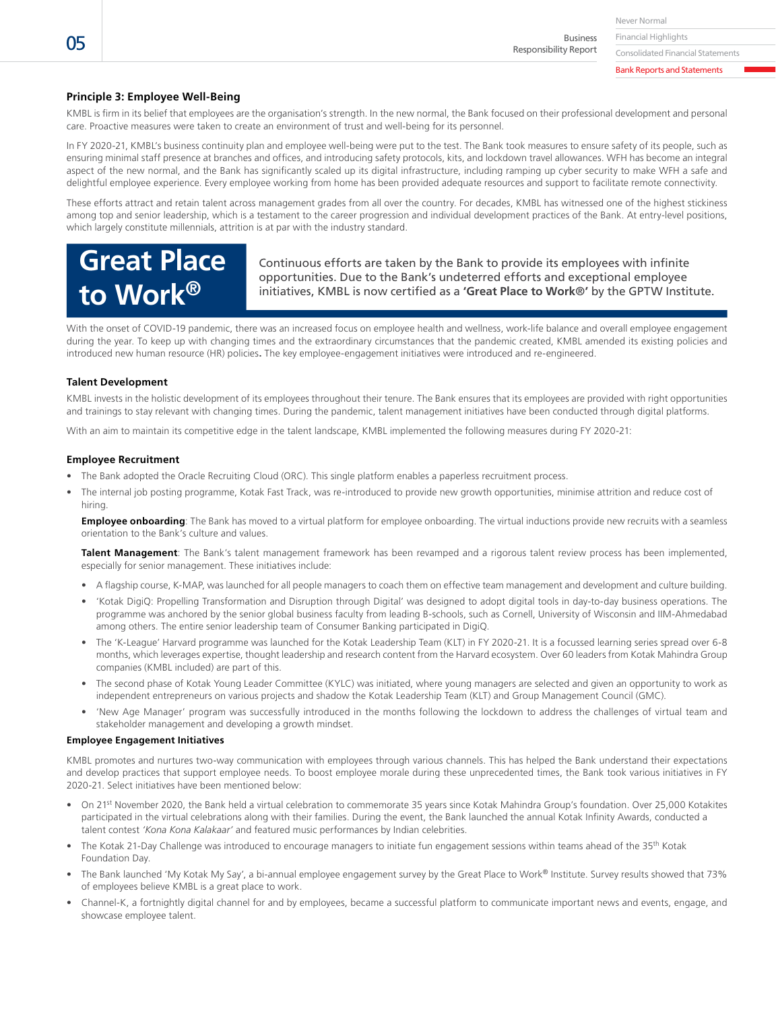Business Responsibility Report

Consolidated Financial Statements

Bank Reports and Statements

# **Principle 3: Employee Well-Being**

KMBL is firm in its belief that employees are the organisation's strength. In the new normal, the Bank focused on their professional development and personal care. Proactive measures were taken to create an environment of trust and well-being for its personnel.

In FY 2020-21, KMBL's business continuity plan and employee well-being were put to the test. The Bank took measures to ensure safety of its people, such as ensuring minimal staff presence at branches and offices, and introducing safety protocols, kits, and lockdown travel allowances. WFH has become an integral aspect of the new normal, and the Bank has significantly scaled up its digital infrastructure, including ramping up cyber security to make WFH a safe and delightful employee experience. Every employee working from home has been provided adequate resources and support to facilitate remote connectivity.

These efforts attract and retain talent across management grades from all over the country. For decades, KMBL has witnessed one of the highest stickiness among top and senior leadership, which is a testament to the career progression and individual development practices of the Bank. At entry-level positions, which largely constitute millennials, attrition is at par with the industry standard.

# **Great Place to Work®**

Continuous efforts are taken by the Bank to provide its employees with infinite opportunities. Due to the Bank's undeterred efforts and exceptional employee initiatives, KMBL is now certified as a **'Great Place to Work**®**'** by the GPTW Institute.

With the onset of COVID-19 pandemic, there was an increased focus on employee health and wellness, work-life balance and overall employee engagement during the year. To keep up with changing times and the extraordinary circumstances that the pandemic created, KMBL amended its existing policies and introduced new human resource (HR) policies**.** The key employee-engagement initiatives were introduced and re-engineered.

#### **Talent Development**

KMBL invests in the holistic development of its employees throughout their tenure. The Bank ensures that its employees are provided with right opportunities and trainings to stay relevant with changing times. During the pandemic, talent management initiatives have been conducted through digital platforms.

With an aim to maintain its competitive edge in the talent landscape, KMBL implemented the following measures during FY 2020-21:

#### **Employee Recruitment**

- The Bank adopted the Oracle Recruiting Cloud (ORC). This single platform enables a paperless recruitment process.
- The internal job posting programme, Kotak Fast Track, was re-introduced to provide new growth opportunities, minimise attrition and reduce cost of hiring.

**Employee onboarding**: The Bank has moved to a virtual platform for employee onboarding. The virtual inductions provide new recruits with a seamless orientation to the Bank's culture and values.

**Talent Management**: The Bank's talent management framework has been revamped and a rigorous talent review process has been implemented, especially for senior management. These initiatives include:

- A flagship course, K-MAP, was launched for all people managers to coach them on effective team management and development and culture building.
- 'Kotak DigiQ: Propelling Transformation and Disruption through Digital' was designed to adopt digital tools in day-to-day business operations. The programme was anchored by the senior global business faculty from leading B-schools, such as Cornell, University of Wisconsin and IIM-Ahmedabad among others. The entire senior leadership team of Consumer Banking participated in DigiQ.
- The 'K-League' Harvard programme was launched for the Kotak Leadership Team (KLT) in FY 2020-21. It is a focussed learning series spread over 6-8 months, which leverages expertise, thought leadership and research content from the Harvard ecosystem. Over 60 leaders from Kotak Mahindra Group companies (KMBL included) are part of this.
- The second phase of Kotak Young Leader Committee (KYLC) was initiated, where young managers are selected and given an opportunity to work as independent entrepreneurs on various projects and shadow the Kotak Leadership Team (KLT) and Group Management Council (GMC).
- 'New Age Manager' program was successfully introduced in the months following the lockdown to address the challenges of virtual team and stakeholder management and developing a growth mindset.

#### **Employee Engagement Initiatives**

KMBL promotes and nurtures two-way communication with employees through various channels. This has helped the Bank understand their expectations and develop practices that support employee needs. To boost employee morale during these unprecedented times, the Bank took various initiatives in FY 2020-21. Select initiatives have been mentioned below:

- On 21st November 2020, the Bank held a virtual celebration to commemorate 35 years since Kotak Mahindra Group's foundation. Over 25,000 Kotakites participated in the virtual celebrations along with their families. During the event, the Bank launched the annual Kotak Infinity Awards, conducted a talent contest *'Kona Kona Kalakaar'* and featured music performances by Indian celebrities.
- The Kotak 21-Day Challenge was introduced to encourage managers to initiate fun engagement sessions within teams ahead of the 35<sup>th</sup> Kotak Foundation Day.
- The Bank launched 'My Kotak My Say', a bi-annual employee engagement survey by the Great Place to Work® Institute. Survey results showed that 73% of employees believe KMBL is a great place to work.
- Channel-K, a fortnightly digital channel for and by employees, became a successful platform to communicate important news and events, engage, and showcase employee talent.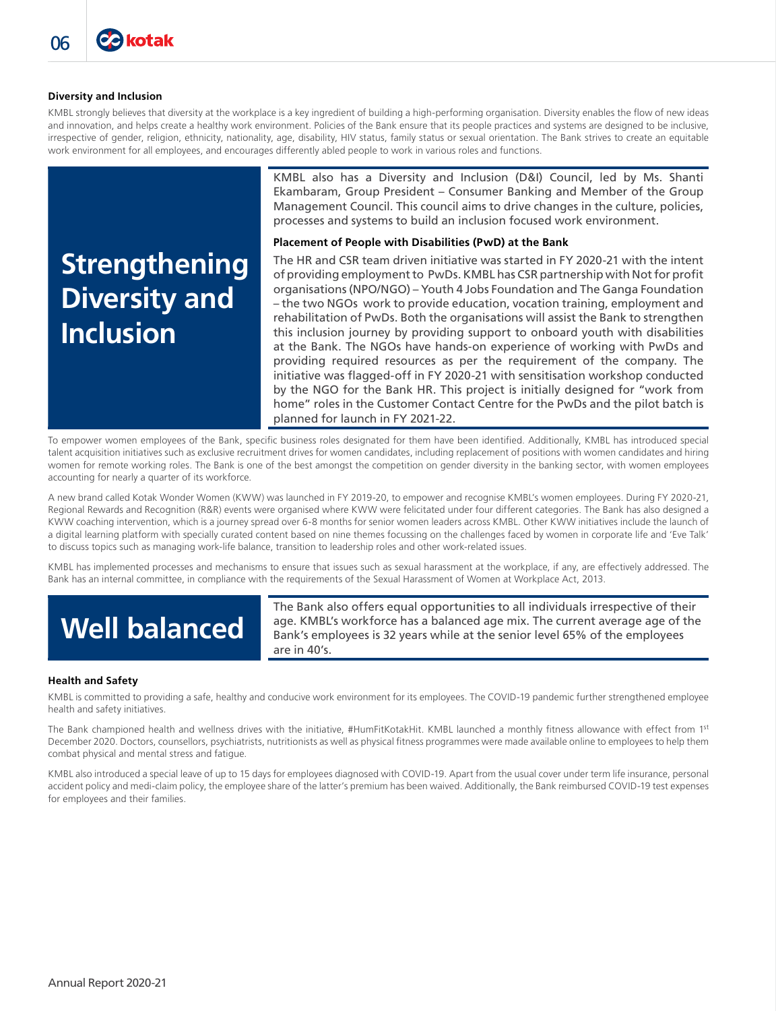#### **Diversity and Inclusion**

**Ca kotak** 

KMBL strongly believes that diversity at the workplace is a key ingredient of building a high-performing organisation. Diversity enables the flow of new ideas and innovation, and helps create a healthy work environment. Policies of the Bank ensure that its people practices and systems are designed to be inclusive, irrespective of gender, religion, ethnicity, nationality, age, disability, HIV status, family status or sexual orientation. The Bank strives to create an equitable work environment for all employees, and encourages differently abled people to work in various roles and functions.

# **Strengthening Diversity and Inclusion**

KMBL also has a Diversity and Inclusion (D&I) Council, led by Ms. Shanti Ekambaram, Group President – Consumer Banking and Member of the Group Management Council. This council aims to drive changes in the culture, policies, processes and systems to build an inclusion focused work environment.

## **Placement of People with Disabilities (PwD) at the Bank**

The HR and CSR team driven initiative was started in FY 2020-21 with the intent of providing employment to PwDs. KMBL has CSR partnership with Not for profit organisations (NPO/NGO) – Youth 4 Jobs Foundation and The Ganga Foundation – the two NGOs work to provide education, vocation training, employment and rehabilitation of PwDs. Both the organisations will assist the Bank to strengthen this inclusion journey by providing support to onboard youth with disabilities at the Bank. The NGOs have hands-on experience of working with PwDs and providing required resources as per the requirement of the company. The initiative was flagged-off in FY 2020-21 with sensitisation workshop conducted by the NGO for the Bank HR. This project is initially designed for "work from home" roles in the Customer Contact Centre for the PwDs and the pilot batch is planned for launch in FY 2021-22.

To empower women employees of the Bank, specific business roles designated for them have been identified. Additionally, KMBL has introduced special talent acquisition initiatives such as exclusive recruitment drives for women candidates, including replacement of positions with women candidates and hiring women for remote working roles. The Bank is one of the best amongst the competition on gender diversity in the banking sector, with women employees accounting for nearly a quarter of its workforce.

A new brand called Kotak Wonder Women (KWW) was launched in FY 2019-20, to empower and recognise KMBL's women employees. During FY 2020-21, Regional Rewards and Recognition (R&R) events were organised where KWW were felicitated under four different categories. The Bank has also designed a KWW coaching intervention, which is a journey spread over 6-8 months for senior women leaders across KMBL. Other KWW initiatives include the launch of a digital learning platform with specially curated content based on nine themes focussing on the challenges faced by women in corporate life and 'Eve Talk' to discuss topics such as managing work-life balance, transition to leadership roles and other work-related issues.

KMBL has implemented processes and mechanisms to ensure that issues such as sexual harassment at the workplace, if any, are effectively addressed. The Bank has an internal committee, in compliance with the requirements of the Sexual Harassment of Women at Workplace Act, 2013.

# **Well balanced**

The Bank also offers equal opportunities to all individuals irrespective of their age. KMBL's workforce has a balanced age mix. The current average age of the Bank's employees is 32 years while at the senior level 65% of the employees are in 40's.

#### **Health and Safety**

KMBL is committed to providing a safe, healthy and conducive work environment for its employees. The COVID-19 pandemic further strengthened employee health and safety initiatives.

The Bank championed health and wellness drives with the initiative, #HumFitKotakHit. KMBL launched a monthly fitness allowance with effect from 1st December 2020. Doctors, counsellors, psychiatrists, nutritionists as well as physical fitness programmes were made available online to employees to help them combat physical and mental stress and fatigue.

KMBL also introduced a special leave of up to 15 days for employees diagnosed with COVID-19. Apart from the usual cover under term life insurance, personal accident policy and medi-claim policy, the employee share of the latter's premium has been waived. Additionally, the Bank reimbursed COVID-19 test expenses for employees and their families.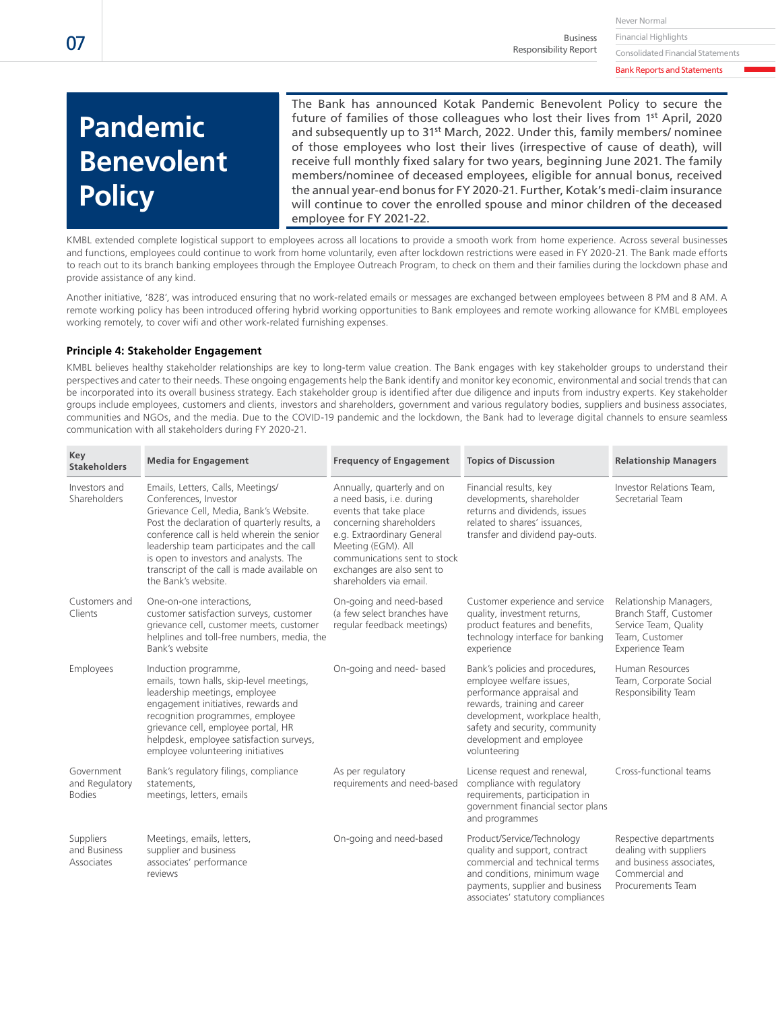Financial Highlights Business Responsibility Report

Consolidated Financial Statements Bank Reports and Statements

# **Pandemic Benevolent Policy**

The Bank has announced Kotak Pandemic Benevolent Policy to secure the future of families of those colleagues who lost their lives from 1<sup>st</sup> April, 2020 and subsequently up to 31<sup>st</sup> March, 2022. Under this, family members/ nominee of those employees who lost their lives (irrespective of cause of death), will receive full monthly fixed salary for two years, beginning June 2021. The family members/nominee of deceased employees, eligible for annual bonus, received the annual year-end bonus for FY 2020-21. Further, Kotak's medi-claim insurance will continue to cover the enrolled spouse and minor children of the deceased employee for FY 2021-22.

KMBL extended complete logistical support to employees across all locations to provide a smooth work from home experience. Across several businesses and functions, employees could continue to work from home voluntarily, even after lockdown restrictions were eased in FY 2020-21. The Bank made efforts to reach out to its branch banking employees through the Employee Outreach Program, to check on them and their families during the lockdown phase and provide assistance of any kind.

Another initiative, '828', was introduced ensuring that no work-related emails or messages are exchanged between employees between 8 PM and 8 AM. A remote working policy has been introduced offering hybrid working opportunities to Bank employees and remote working allowance for KMBL employees working remotely, to cover wifi and other work-related furnishing expenses.

# **Principle 4: Stakeholder Engagement**

KMBL believes healthy stakeholder relationships are key to long-term value creation. The Bank engages with key stakeholder groups to understand their perspectives and cater to their needs. These ongoing engagements help the Bank identify and monitor key economic, environmental and social trends that can be incorporated into its overall business strategy. Each stakeholder group is identified after due diligence and inputs from industry experts. Key stakeholder groups include employees, customers and clients, investors and shareholders, government and various regulatory bodies, suppliers and business associates, communities and NGOs, and the media. Due to the COVID-19 pandemic and the lockdown, the Bank had to leverage digital channels to ensure seamless communication with all stakeholders during FY 2020-21.

| Key<br><b>Stakeholders</b>                    | <b>Media for Engagement</b>                                                                                                                                                                                                                                                                                                                                     | <b>Frequency of Engagement</b>                                                                                                                                                                                                                           | <b>Topics of Discussion</b>                                                                                                                                                                                                              | <b>Relationship Managers</b>                                                                                        |
|-----------------------------------------------|-----------------------------------------------------------------------------------------------------------------------------------------------------------------------------------------------------------------------------------------------------------------------------------------------------------------------------------------------------------------|----------------------------------------------------------------------------------------------------------------------------------------------------------------------------------------------------------------------------------------------------------|------------------------------------------------------------------------------------------------------------------------------------------------------------------------------------------------------------------------------------------|---------------------------------------------------------------------------------------------------------------------|
| Investors and<br>Shareholders                 | Emails, Letters, Calls, Meetings/<br>Conferences, Investor<br>Grievance Cell, Media, Bank's Website.<br>Post the declaration of quarterly results, a<br>conference call is held wherein the senior<br>leadership team participates and the call<br>is open to investors and analysts. The<br>transcript of the call is made available on<br>the Bank's website. | Annually, quarterly and on<br>a need basis, i.e. during<br>events that take place<br>concerning shareholders<br>e.g. Extraordinary General<br>Meeting (EGM). All<br>communications sent to stock<br>exchanges are also sent to<br>shareholders via email | Financial results, key<br>developments, shareholder<br>returns and dividends, issues<br>related to shares' issuances.<br>transfer and dividend pay-outs.                                                                                 | Investor Relations Team.<br>Secretarial Team                                                                        |
| Customers and<br>Clients                      | One-on-one interactions,<br>customer satisfaction surveys, customer<br>grievance cell, customer meets, customer<br>helplines and toll-free numbers, media, the<br>Bank's website                                                                                                                                                                                | On-going and need-based<br>(a few select branches have<br>regular feedback meetings)                                                                                                                                                                     | Customer experience and service<br>quality, investment returns,<br>product features and benefits,<br>technology interface for banking<br>experience                                                                                      | Relationship Managers,<br>Branch Staff, Customer<br>Service Team, Quality<br>Team, Customer<br>Experience Team      |
| Employees                                     | Induction programme,<br>emails, town halls, skip-level meetings,<br>leadership meetings, employee<br>engagement initiatives, rewards and<br>recognition programmes, employee<br>grievance cell, employee portal, HR<br>helpdesk, employee satisfaction surveys,<br>employee volunteering initiatives                                                            | On-going and need- based                                                                                                                                                                                                                                 | Bank's policies and procedures,<br>employee welfare issues,<br>performance appraisal and<br>rewards, training and career<br>development, workplace health,<br>safety and security, community<br>development and employee<br>volunteering | Human Resources<br>Team, Corporate Social<br>Responsibility Team                                                    |
| Government<br>and Regulatory<br><b>Bodies</b> | Bank's regulatory filings, compliance<br>statements.<br>meetings, letters, emails                                                                                                                                                                                                                                                                               | As per regulatory<br>requirements and need-based                                                                                                                                                                                                         | License request and renewal,<br>compliance with regulatory<br>requirements, participation in<br>government financial sector plans<br>and programmes                                                                                      | Cross-functional teams                                                                                              |
| Suppliers<br>and Business<br>Associates       | Meetings, emails, letters,<br>supplier and business<br>associates' performance<br>reviews                                                                                                                                                                                                                                                                       | On-going and need-based                                                                                                                                                                                                                                  | Product/Service/Technology<br>quality and support, contract<br>commercial and technical terms<br>and conditions, minimum wage<br>payments, supplier and business<br>associates' statutory compliances                                    | Respective departments<br>dealing with suppliers<br>and business associates.<br>Commercial and<br>Procurements Team |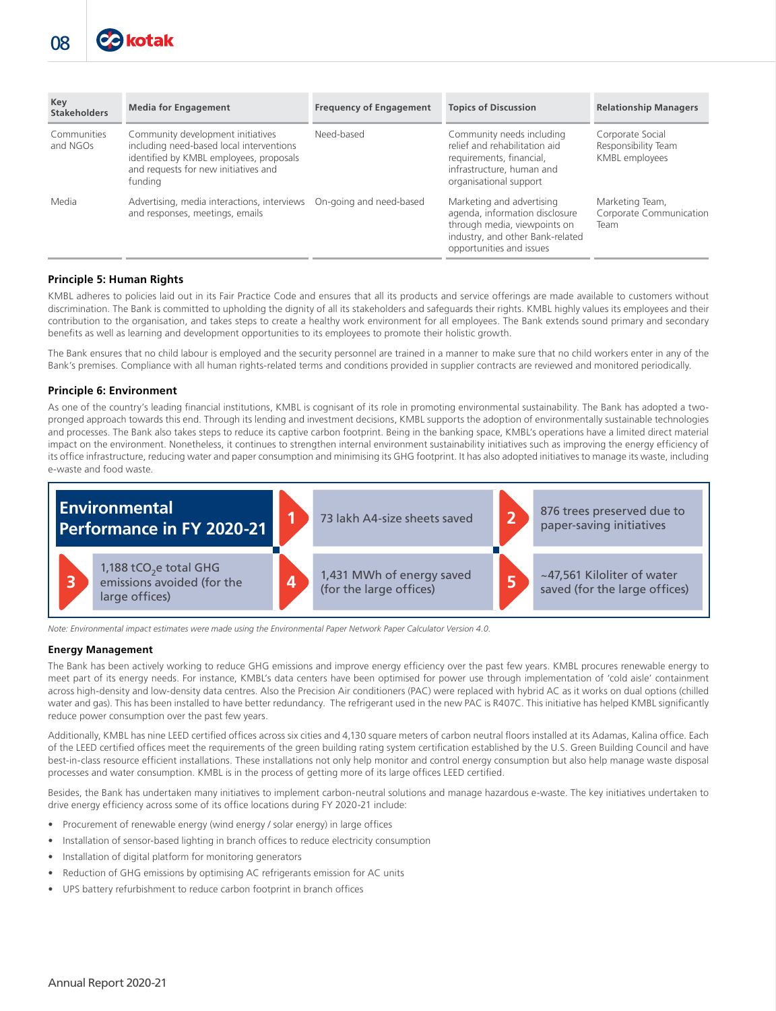| Key<br><b>Stakeholders</b> | <b>Media for Engagement</b>                                                                                                                                                 | <b>Frequency of Engagement</b> | <b>Topics of Discussion</b>                                                                                                                                 | <b>Relationship Managers</b>                              |
|----------------------------|-----------------------------------------------------------------------------------------------------------------------------------------------------------------------------|--------------------------------|-------------------------------------------------------------------------------------------------------------------------------------------------------------|-----------------------------------------------------------|
| Communities<br>and NGOs    | Community development initiatives<br>including need-based local interventions<br>identified by KMBL employees, proposals<br>and requests for new initiatives and<br>funding | Need-based                     | Community needs including<br>relief and rehabilitation aid<br>requirements, financial,<br>infrastructure, human and<br>organisational support               | Corporate Social<br>Responsibility Team<br>KMBL employees |
| Media                      | Advertising, media interactions, interviews On-going and need-based<br>and responses, meetings, emails                                                                      |                                | Marketing and advertising<br>agenda, information disclosure<br>through media, viewpoints on<br>industry, and other Bank-related<br>opportunities and issues | Marketing Team,<br>Corporate Communication<br>Team        |

# **Principle 5: Human Rights**

KMBL adheres to policies laid out in its Fair Practice Code and ensures that all its products and service offerings are made available to customers without discrimination. The Bank is committed to upholding the dignity of all its stakeholders and safeguards their rights. KMBL highly values its employees and their contribution to the organisation, and takes steps to create a healthy work environment for all employees. The Bank extends sound primary and secondary benefits as well as learning and development opportunities to its employees to promote their holistic growth.

The Bank ensures that no child labour is employed and the security personnel are trained in a manner to make sure that no child workers enter in any of the Bank's premises. Compliance with all human rights-related terms and conditions provided in supplier contracts are reviewed and monitored periodically.

# **Principle 6: Environment**

As one of the country's leading financial institutions, KMBL is cognisant of its role in promoting environmental sustainability. The Bank has adopted a twopronged approach towards this end. Through its lending and investment decisions, KMBL supports the adoption of environmentally sustainable technologies and processes. The Bank also takes steps to reduce its captive carbon footprint. Being in the banking space, KMBL's operations have a limited direct material impact on the environment. Nonetheless, it continues to strengthen internal environment sustainability initiatives such as improving the energy efficiency of its office infrastructure, reducing water and paper consumption and minimising its GHG footprint. It has also adopted initiatives to manage its waste, including e-waste and food waste.



*Note: Environmental impact estimates were made using the Environmental Paper Network Paper Calculator Version 4.0.* 

#### **Energy Management**

The Bank has been actively working to reduce GHG emissions and improve energy efficiency over the past few years. KMBL procures renewable energy to meet part of its energy needs. For instance, KMBL's data centers have been optimised for power use through implementation of 'cold aisle' containment across high-density and low-density data centres. Also the Precision Air conditioners (PAC) were replaced with hybrid AC as it works on dual options (chilled water and gas). This has been installed to have better redundancy. The refrigerant used in the new PAC is R407C. This initiative has helped KMBL significantly reduce power consumption over the past few years.

Additionally, KMBL has nine LEED certified offices across six cities and 4,130 square meters of carbon neutral floors installed at its Adamas, Kalina office. Each of the LEED certified offices meet the requirements of the green building rating system certification established by the U.S. Green Building Council and have best-in-class resource efficient installations. These installations not only help monitor and control energy consumption but also help manage waste disposal processes and water consumption. KMBL is in the process of getting more of its large offices LEED certified.

Besides, the Bank has undertaken many initiatives to implement carbon-neutral solutions and manage hazardous e-waste. The key initiatives undertaken to drive energy efficiency across some of its office locations during FY 2020-21 include:

- Procurement of renewable energy (wind energy / solar energy) in large offices
- Installation of sensor-based lighting in branch offices to reduce electricity consumption
- Installation of digital platform for monitoring generators
- Reduction of GHG emissions by optimising AC refrigerants emission for AC units
- UPS battery refurbishment to reduce carbon footprint in branch offices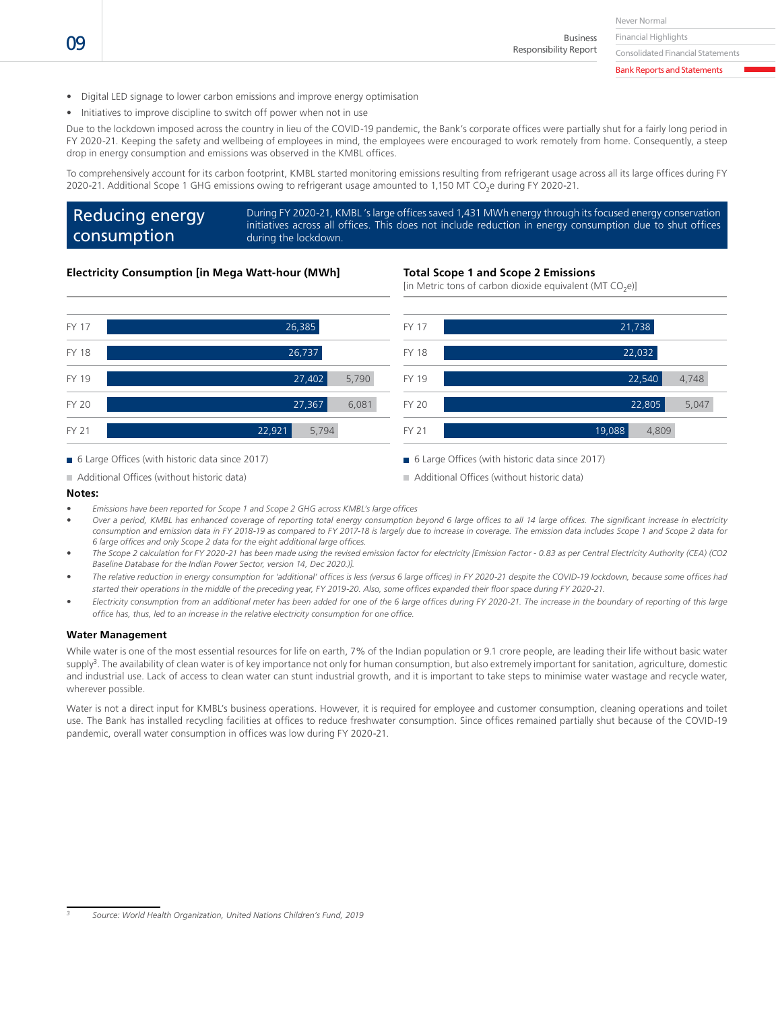Never Normal Financial Highlights

Business Responsibility Report

Consolidated Financial Statements Bank Reports and Statements

> 5,047 4,748

22,805

22,540 22,032

21,738

- Digital LED signage to lower carbon emissions and improve energy optimisation
- Initiatives to improve discipline to switch off power when not in use

Due to the lockdown imposed across the country in lieu of the COVID-19 pandemic, the Bank's corporate offices were partially shut for a fairly long period in FY 2020-21. Keeping the safety and wellbeing of employees in mind, the employees were encouraged to work remotely from home. Consequently, a steep drop in energy consumption and emissions was observed in the KMBL offices.

To comprehensively account for its carbon footprint, KMBL started monitoring emissions resulting from refrigerant usage across all its large offices during FY 2020-21. Additional Scope 1 GHG emissions owing to refrigerant usage amounted to 1,150 MT CO<sub>2</sub>e during FY 2020-21.

#### Reducing energy consumption During FY 2020-21, KMBL 's large offices saved 1,431 MWh energy through its focused energy conservation initiatives across all offices. This does not include reduction in energy consumption due to shut offices during the lockdown.

FY 17

FY 18 FY 19

FY 20

# **Electricity Consumption [in Mega Watt-hour (MWh]**

#### **Total Scope 1 and Scope 2 Emissions**

[in Metric tons of carbon dioxide equivalent (MT  $CO<sub>2</sub>e$ )]



6 Large Offices (with historic data since 2017)

6 Large Offices (with historic data since 2017)

FY 21 **19,088** 4,809

#### **Notes:**

- *Emissions have been reported for Scope 1 and Scope 2 GHG across KMBL's large offices*
- *Over a period, KMBL has enhanced coverage of reporting total energy consumption beyond 6 large offices to all 14 large offices. The significant increase in electricity consumption and emission data in FY 2018-19 as compared to FY 2017-18 is largely due to increase in coverage. The emission data includes Scope 1 and Scope 2 data for 6 large offices and only Scope 2 data for the eight additional large offices.*
- *The Scope 2 calculation for FY 2020-21 has been made using the revised emission factor for electricity [Emission Factor 0.83 as per Central Electricity Authority (CEA) (CO2 Baseline Database for the Indian Power Sector, version 14, Dec 2020.)].*
- *The relative reduction in energy consumption for 'additional' offices is less (versus 6 large offices) in FY 2020-21 despite the COVID-19 lockdown, because some offices had started their operations in the middle of the preceding year, FY 2019-20. Also, some offices expanded their floor space during FY 2020-21.*
- *Electricity consumption from an additional meter has been added for one of the 6 large offices during FY 2020-21. The increase in the boundary of reporting of this large office has, thus, led to an increase in the relative electricity consumption for one office.*

#### **Water Management**

While water is one of the most essential resources for life on earth, 7% of the Indian population or 9.1 crore people, are leading their life without basic water supply<sup>3</sup>. The availability of clean water is of key importance not only for human consumption, but also extremely important for sanitation, agriculture, domestic and industrial use. Lack of access to clean water can stunt industrial growth, and it is important to take steps to minimise water wastage and recycle water, wherever possible.

Water is not a direct input for KMBL's business operations. However, it is required for employee and customer consumption, cleaning operations and toilet use. The Bank has installed recycling facilities at offices to reduce freshwater consumption. Since offices remained partially shut because of the COVID-19 pandemic, overall water consumption in offices was low during FY 2020-21.

Additional Offices (without historic data)

Additional Offices (without historic data)

*<sup>3</sup> Source: World Health Organization, United Nations Children's Fund, 2019*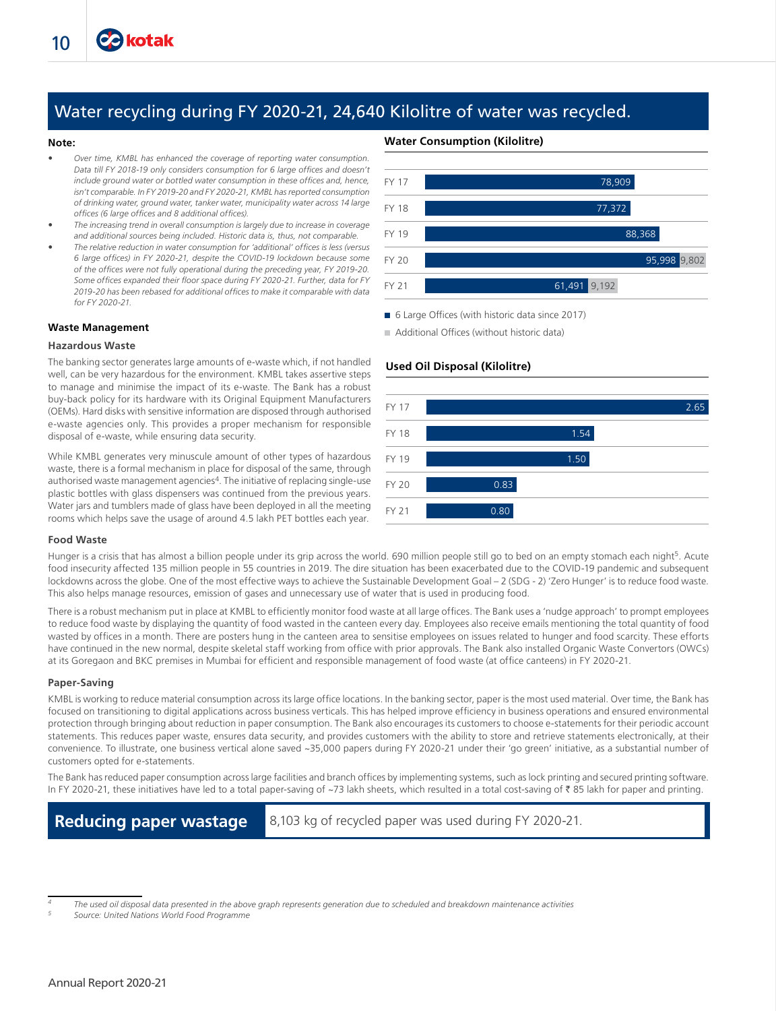# Water recycling during FY 2020-21, 24,640 Kilolitre of water was recycled.

#### **Note:**

- *Over time, KMBL has enhanced the coverage of reporting water consumption. Data till FY 2018-19 only considers consumption for 6 large offices and doesn't include ground water or bottled water consumption in these offices and, hence, isn't comparable. In FY 2019-20 and FY 2020-21, KMBL has reported consumption of drinking water, ground water, tanker water, municipality water across 14 large offices (6 large offices and 8 additional offices).*
- *The increasing trend in overall consumption is largely due to increase in coverage and additional sources being included. Historic data is, thus, not comparable.*
- *The relative reduction in water consumption for 'additional' offices is less (versus 6 large offices) in FY 2020-21, despite the COVID-19 lockdown because some of the offices were not fully operational during the preceding year, FY 2019-20. Some offices expanded their floor space during FY 2020-21. Further, data for FY 2019-20 has been rebased for additional offices to make it comparable with data for FY 2020-21.*

#### **Waste Management**

#### **Hazardous Waste**

The banking sector generates large amounts of e-waste which, if not handled well, can be very hazardous for the environment. KMBL takes assertive steps to manage and minimise the impact of its e-waste. The Bank has a robust buy-back policy for its hardware with its Original Equipment Manufacturers (OEMs). Hard disks with sensitive information are disposed through authorised e-waste agencies only. This provides a proper mechanism for responsible disposal of e-waste, while ensuring data security.

While KMBL generates very minuscule amount of other types of hazardous waste, there is a formal mechanism in place for disposal of the same, through authorised waste management agencies<sup>4</sup>. The initiative of replacing single-use plastic bottles with glass dispensers was continued from the previous years. Water jars and tumblers made of glass have been deployed in all the meeting rooms which helps save the usage of around 4.5 lakh PET bottles each year.



6 Large Offices (with historic data since 2017)

Additional Offices (without historic data)

# **Used Oil Disposal (Kilolitre)**

**Water Consumption (Kilolitre)**



#### **Food Waste**

Hunger is a crisis that has almost a billion people under its grip across the world. 690 million people still go to bed on an empty stomach each night<sup>5</sup>. Acute food insecurity affected 135 million people in 55 countries in 2019. The dire situation has been exacerbated due to the COVID-19 pandemic and subsequent lockdowns across the globe. One of the most effective ways to achieve the Sustainable Development Goal – 2 (SDG - 2) 'Zero Hunger' is to reduce food waste. This also helps manage resources, emission of gases and unnecessary use of water that is used in producing food.

There is a robust mechanism put in place at KMBL to efficiently monitor food waste at all large offices. The Bank uses a 'nudge approach' to prompt employees to reduce food waste by displaying the quantity of food wasted in the canteen every day. Employees also receive emails mentioning the total quantity of food wasted by offices in a month. There are posters hung in the canteen area to sensitise employees on issues related to hunger and food scarcity. These efforts have continued in the new normal, despite skeletal staff working from office with prior approvals. The Bank also installed Organic Waste Convertors (OWCs) at its Goregaon and BKC premises in Mumbai for efficient and responsible management of food waste (at office canteens) in FY 2020-21.

#### **Paper-Saving**

KMBL is working to reduce material consumption across its large office locations. In the banking sector, paper is the most used material. Over time, the Bank has focused on transitioning to digital applications across business verticals. This has helped improve efficiency in business operations and ensured environmental protection through bringing about reduction in paper consumption. The Bank also encourages its customers to choose e-statements for their periodic account statements. This reduces paper waste, ensures data security, and provides customers with the ability to store and retrieve statements electronically, at their convenience. To illustrate, one business vertical alone saved ~35,000 papers during FY 2020-21 under their 'go green' initiative, as a substantial number of customers opted for e-statements.

The Bank has reduced paper consumption across large facilities and branch offices by implementing systems, such as lock printing and secured printing software. In FY 2020-21, these initiatives have led to a total paper-saving of ~73 lakh sheets, which resulted in a total cost-saving of  $\bar{\tau}$  85 lakh for paper and printing.

**Reducing paper wastage** 8,103 kg of recycled paper was used during FY 2020-21.

*<sup>4</sup> The used oil disposal data presented in the above graph represents generation due to scheduled and breakdown maintenance activities*

*<sup>5</sup> Source: United Nations World Food Programme*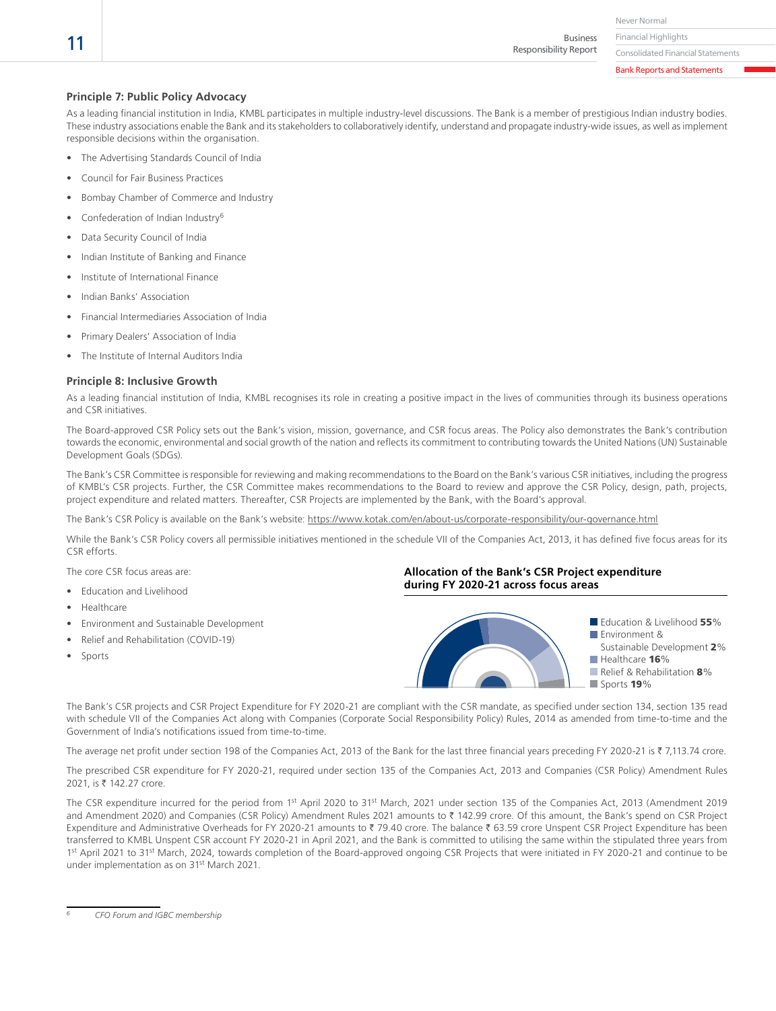Never Normal Financial Highlights

Business Responsibility Report

Consolidated Financial Statements Bank Reports and Statements

## **Principle 7: Public Policy Advocacy**

As a leading financial institution in India, KMBL participates in multiple industry-level discussions. The Bank is a member of prestigious Indian industry bodies. These industry associations enable the Bank and its stakeholders to collaboratively identify, understand and propagate industry-wide issues, as well as implement responsible decisions within the organisation.

- The Advertising Standards Council of India
- Council for Fair Business Practices
- Bombay Chamber of Commerce and Industry
- Confederation of Indian Industry6
- Data Security Council of India
- Indian Institute of Banking and Finance
- Institute of International Finance
- Indian Banks' Association
- Financial Intermediaries Association of India
- Primary Dealers' Association of India
- The Institute of Internal Auditors India

#### **Principle 8: Inclusive Growth**

As a leading financial institution of India, KMBL recognises its role in creating a positive impact in the lives of communities through its business operations and CSR initiatives.

The Board-approved CSR Policy sets out the Bank's vision, mission, governance, and CSR focus areas. The Policy also demonstrates the Bank's contribution towards the economic, environmental and social growth of the nation and reflects its commitment to contributing towards the United Nations (UN) Sustainable Development Goals (SDGs).

The Bank's CSR Committee is responsible for reviewing and making recommendations to the Board on the Bank's various CSR initiatives, including the progress of KMBL's CSR projects. Further, the CSR Committee makes recommendations to the Board to review and approve the CSR Policy, design, path, projects, project expenditure and related matters. Thereafter, CSR Projects are implemented by the Bank, with the Board's approval.

The Bank's CSR Policy is available on the Bank's website: https://www.kotak.com/en/about-us/corporate-responsibility/our-governance.html

While the Bank's CSR Policy covers all permissible initiatives mentioned in the schedule VII of the Companies Act, 2013, it has defined five focus areas for its CSR efforts.

The core CSR focus areas are:

- Education and Livelihood
- Healthcare
- Environment and Sustainable Development
- Relief and Rehabilitation (COVID-19)
- Sports

# **Allocation of the Bank's CSR Project expenditure during FY 2020-21 across focus areas**



The Bank's CSR projects and CSR Project Expenditure for FY 2020-21 are compliant with the CSR mandate, as specified under section 134, section 135 read with schedule VII of the Companies Act along with Companies (Corporate Social Responsibility Policy) Rules, 2014 as amended from time-to-time and the Government of India's notifications issued from time-to-time.

The average net profit under section 198 of the Companies Act, 2013 of the Bank for the last three financial years preceding FY 2020-21 is  $\bar{\tau}$  7,113.74 crore.

The prescribed CSR expenditure for FY 2020-21, required under section 135 of the Companies Act, 2013 and Companies (CSR Policy) Amendment Rules 2021, is ₹ 142.27 crore.

The CSR expenditure incurred for the period from 1<sup>st</sup> April 2020 to 31<sup>st</sup> March, 2021 under section 135 of the Companies Act, 2013 (Amendment 2019 and Amendment 2020) and Companies (CSR Policy) Amendment Rules 2021 amounts to ₹ 142.99 crore. Of this amount, the Bank's spend on CSR Project Expenditure and Administrative Overheads for FY 2020-21 amounts to ₹ 79.40 crore. The balance ₹ 63.59 crore Unspent CSR Project Expenditure has been transferred to KMBL Unspent CSR account FY 2020-21 in April 2021, and the Bank is committed to utilising the same within the stipulated three years from 1<sup>st</sup> April 2021 to 31<sup>st</sup> March, 2024, towards completion of the Board-approved ongoing CSR Projects that were initiated in FY 2020-21 and continue to be under implementation as on 31st March 2021.

*6 CFO Forum and IGBC membership*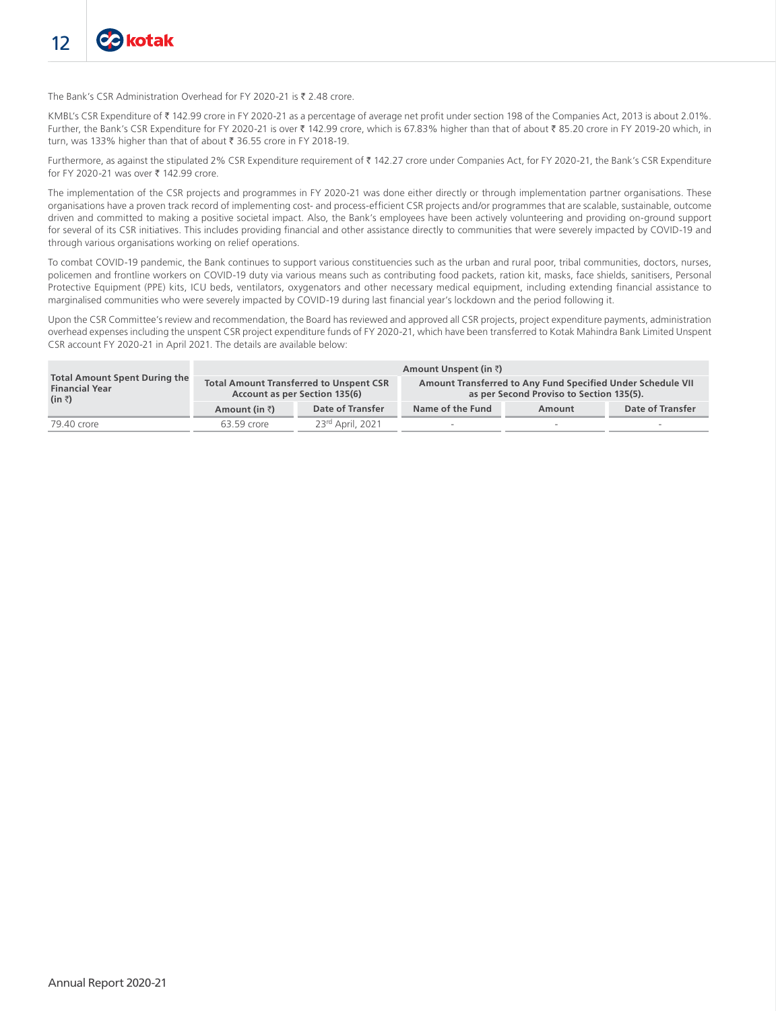The Bank's CSR Administration Overhead for FY 2020-21 is  $\bar{\tau}$  2.48 crore.

KMBL's CSR Expenditure of ₹ 142.99 crore in FY 2020-21 as a percentage of average net profit under section 198 of the Companies Act, 2013 is about 2.01%. Further, the Bank's CSR Expenditure for FY 2020-21 is over ₹ 142.99 crore, which is 67.83% higher than that of about ₹ 85.20 crore in FY 2019-20 which, in turn, was 133% higher than that of about ₹ 36.55 crore in FY 2018-19.

Furthermore, as against the stipulated 2% CSR Expenditure requirement of ₹ 142.27 crore under Companies Act, for FY 2020-21, the Bank's CSR Expenditure for FY 2020-21 was over  $\overline{z}$  142.99 crore.

The implementation of the CSR projects and programmes in FY 2020-21 was done either directly or through implementation partner organisations. These organisations have a proven track record of implementing cost- and process-efficient CSR projects and/or programmes that are scalable, sustainable, outcome driven and committed to making a positive societal impact. Also, the Bank's employees have been actively volunteering and providing on-ground support for several of its CSR initiatives. This includes providing financial and other assistance directly to communities that were severely impacted by COVID-19 and through various organisations working on relief operations.

To combat COVID-19 pandemic, the Bank continues to support various constituencies such as the urban and rural poor, tribal communities, doctors, nurses, policemen and frontline workers on COVID-19 duty via various means such as contributing food packets, ration kit, masks, face shields, sanitisers, Personal Protective Equipment (PPE) kits, ICU beds, ventilators, oxygenators and other necessary medical equipment, including extending financial assistance to marginalised communities who were severely impacted by COVID-19 during last financial year's lockdown and the period following it.

Upon the CSR Committee's review and recommendation, the Board has reviewed and approved all CSR projects, project expenditure payments, administration overhead expenses including the unspent CSR project expenditure funds of FY 2020-21, which have been transferred to Kotak Mahindra Bank Limited Unspent CSR account FY 2020-21 in April 2021. The details are available below:

|                                                                                         |                        |                                                                                 | Amount Unspent (in $\bar{z}$ ) |                                                                                                         |                  |
|-----------------------------------------------------------------------------------------|------------------------|---------------------------------------------------------------------------------|--------------------------------|---------------------------------------------------------------------------------------------------------|------------------|
| <b>Total Amount Spent During the</b><br><b>Financial Year</b><br>$(in \overline{\tau})$ |                        | <b>Total Amount Transferred to Unspent CSR</b><br>Account as per Section 135(6) |                                | Amount Transferred to Any Fund Specified Under Schedule VII<br>as per Second Proviso to Section 135(5). |                  |
|                                                                                         | Amount (in $\bar{z}$ ) | Date of Transfer                                                                | Name of the Fund               | Amount                                                                                                  | Date of Transfer |
| 79.40 crore                                                                             | 63.59 crore            | 23rd April, 2021                                                                |                                | $\overline{\phantom{a}}$                                                                                |                  |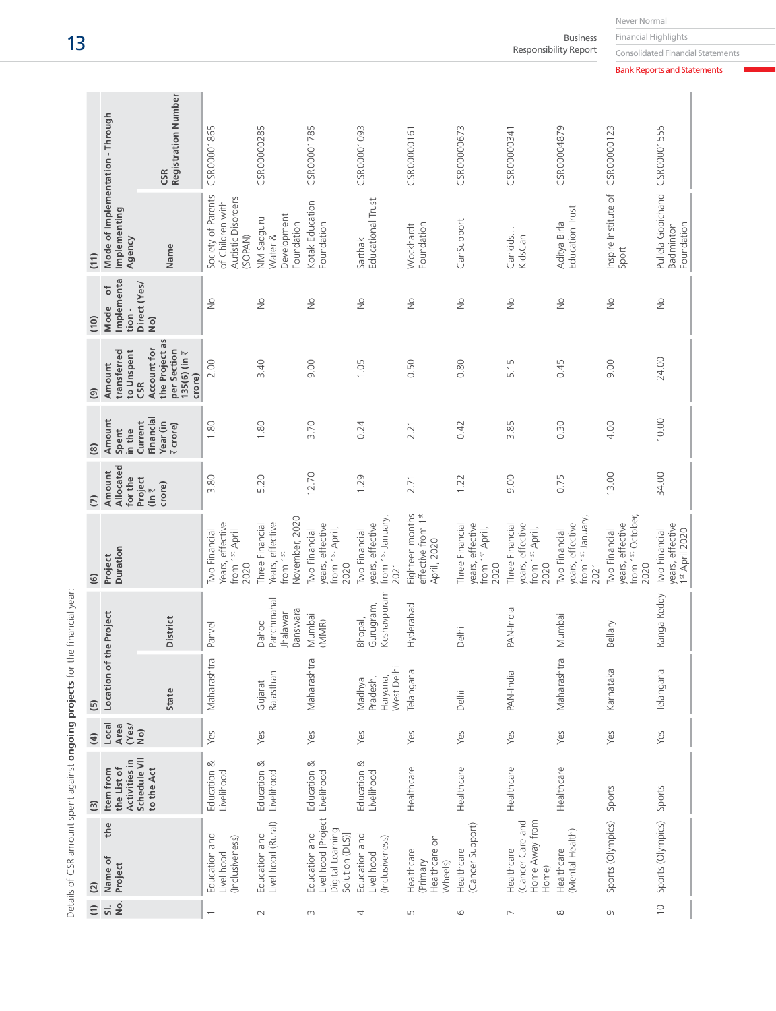|                          |                                                            | <b>Registration Number</b><br>CSR                                                       | CSR00001865                                                             | CSR00000285                                                                   | CSR00001785                                                                | CSR00001093                                                           | CSR00000161                                          | CSR00000673                                                    | CSR00000341                                                    | CSR00004879                                                                | CSR00000123                                                    |                                                          |
|--------------------------|------------------------------------------------------------|-----------------------------------------------------------------------------------------|-------------------------------------------------------------------------|-------------------------------------------------------------------------------|----------------------------------------------------------------------------|-----------------------------------------------------------------------|------------------------------------------------------|----------------------------------------------------------------|----------------------------------------------------------------|----------------------------------------------------------------------------|----------------------------------------------------------------|----------------------------------------------------------|
| (11)                     | Mode of Implementation - Through<br>Implementing<br>Agency | Name                                                                                    | Society of Parents<br>Autistic Disorders<br>of Children with<br>(SOPAN) | Development<br>NM Sadguru<br>Foundation<br>Nater &                            | Kotak Education<br>Foundation                                              | Educational Trust<br>Sarthak                                          | Foundation<br>Wockhardt                              | CanSupport                                                     | Cankids<br>KidsCan                                             | <b>Education Trust</b><br>Aditya Birla                                     | Inspire Institute of<br>Sport                                  | Pullela Gopichand CSR00001555<br>Foundation<br>Badminton |
| (10)                     | Implementa<br>$\overline{\phantom{a}}$<br>Mode<br>tion -   | Direct (Yes/<br>No)                                                                     | $\geq$                                                                  | $\frac{1}{2}$                                                                 | $\frac{1}{2}$                                                              | $\frac{1}{2}$                                                         | $\frac{1}{2}$                                        | $\frac{1}{2}$                                                  | $\frac{1}{2}$                                                  | $\frac{1}{2}$                                                              | $\frac{1}{2}$                                                  | $\frac{1}{2}$                                            |
| $\widehat{\mathfrak{g}}$ | transferred<br>to Unspent<br>Amount                        | the Project as<br>Account for<br>per Section<br>$135(6)$ (in $\bar{z}$<br>crore)<br>CSR | 2.00                                                                    | 3.40                                                                          | 9.00                                                                       | 1.05                                                                  | 0.50                                                 | 0.80                                                           | 5.15                                                           | 0.45                                                                       | 9.00                                                           | 24.00                                                    |
| $\circledR$              | Amount<br>in the<br>Spent                                  | Financial<br>Year (in<br>Current<br>₹ crore)                                            | 1.80                                                                    | 1.80                                                                          | 3.70                                                                       | 0.24                                                                  | 2.21                                                 | 0.42                                                           | 3.85                                                           | 0.30                                                                       | 4.00                                                           | 10.00                                                    |
| $\overline{C}$           | Allocated<br>Amount<br>for the                             | Project<br>crore)<br>$\lim_{\tau \to 0}$                                                | 3.80                                                                    | 5.20                                                                          | 12.70                                                                      | 1.29                                                                  | 2.71                                                 | 1.22                                                           | 9.00                                                           | 0.75                                                                       | 13.00                                                          | 34.00                                                    |
| $\widehat{G}$            | Duration<br>Project                                        |                                                                                         | Years, effective<br><b>Iwo Financial</b><br>from 1st April<br>2020      | November, 2020<br>Years, effective<br>Three Financial<br>from 1 <sup>st</sup> | years, effective<br>from 1st April,<br>Two Financial<br>2020               | from 1st January,<br>years, effective<br><b>Two Financial</b><br>2021 | Eighteen months<br>effective from 1st<br>April, 2020 | years, effective<br>Three Financial<br>from 1st April,<br>2020 | years, effective<br>Three Financial<br>from 1st April,<br>2020 | from 1 <sup>st</sup> January,<br>years, effective<br>Two Financial<br>2021 | from 1st October,<br>years, effective<br>Two Financial<br>2020 | years, effective<br>1st April 2020<br>Two Financial      |
|                          |                                                            | <b>District</b>                                                                         | Panvel                                                                  | Panchmahal<br>Banswara<br>halawar<br>Dahod                                    | Mumbai<br>(MMR)                                                            | Keshavpuram<br>Gurugram,<br>Bhopal,                                   | Hyderabad                                            | Delhi                                                          | PAN-India                                                      | Mumbai                                                                     | Bellary                                                        | Ranga Reddy                                              |
| $\overline{5}$           | Location of the Project                                    | State                                                                                   | Maharashtra                                                             | Rajasthan<br>Gujarat                                                          | Maharashtra                                                                | West Delh<br>Haryana,<br>Pradesh,<br>Madhya                           | Telangana                                            | Delhi                                                          | PAN-India                                                      | Maharashtra                                                                | Karnataka                                                      | Telangana                                                |
| $\bigoplus$              | Local<br>Area<br>(Yes/                                     | No)                                                                                     | Yes                                                                     | Yes                                                                           | Yes                                                                        | Yes                                                                   | Yes                                                  | Yes                                                            | Yes                                                            | Yes                                                                        | Yes                                                            | Yes                                                      |
| $\widehat{a}$            | Activities in<br>the List of<br>Item from                  | Schedule VII<br>to the Act                                                              | Education &<br>Livelihood                                               | Education &<br>Livelihood                                                     | Education &<br>Livelihood                                                  | Education &<br>Livelihood                                             | Healthcare                                           | Healthcare                                                     | Healthcare                                                     | Healthcare                                                                 | Sports                                                         | Sports                                                   |
| $\overline{2}$           | the<br>Name of<br>Project                                  |                                                                                         | Education and<br>(Inclusiveness)<br>Livelihood                          | Livelihood (Rural)<br>Education and                                           | Livelihood [Project<br>Digital Learning<br>Education and<br>Solution (DLS) | Education and<br>(Inclusiveness)<br>ivelihood                         | Healthcare on<br>Healthcare<br>Primary<br>Wheels)    | (Cancer Support)<br>Healthcare                                 | (Cancer Care and<br>Home Away from<br>Healthcare<br>Home)      | (Mental Health)<br>Healthcare                                              | Sports (Olympics)                                              | Sports (Olympics)                                        |
| $\widehat{E}$            | No.<br>$\overline{5}$                                      |                                                                                         |                                                                         | $\sim$                                                                        | $\infty$                                                                   | 4                                                                     | S                                                    | 6                                                              | $\overline{ }$                                                 | $\infty$                                                                   | G                                                              | $\overline{C}$                                           |

13

Details of CSR amount spent against **ongoing projects** for the financial year:

Details of CSR amount spent against ongoing projects for the financial year:

Never Normal

Financial Highlights

Business Responsibility Report

Consolidated Financial Statements Bank Reports and Statements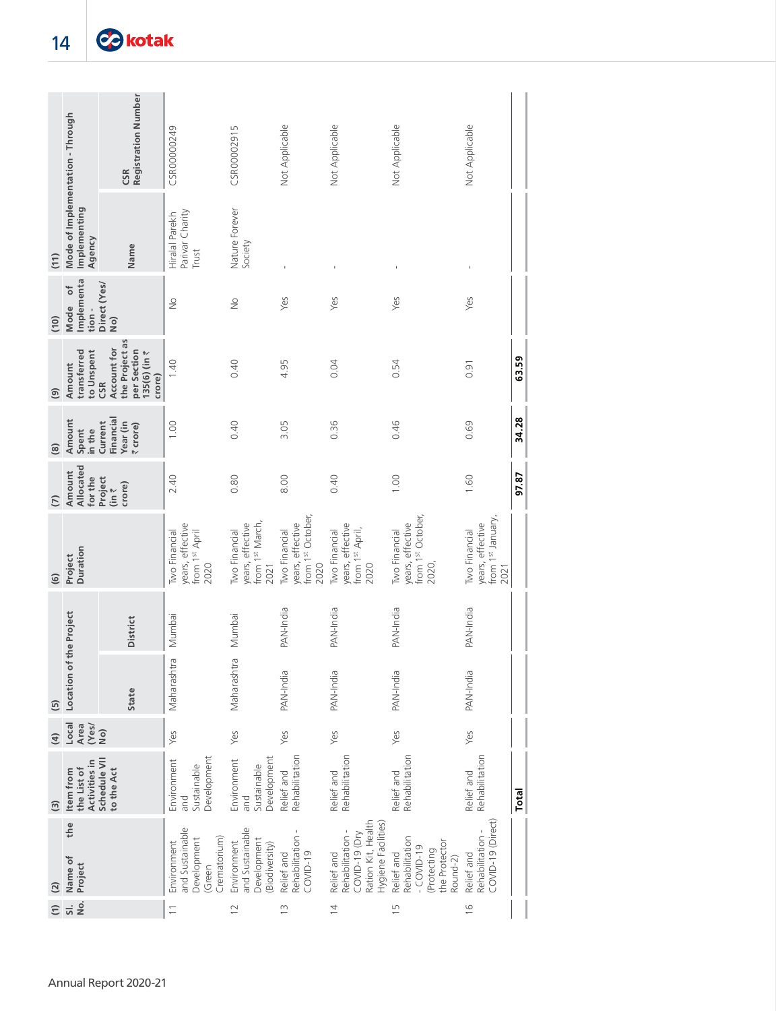|                                      | Mode of Implementation - Through                         | <b>Registration Number</b><br>CSR                                                       | CSR00000249                                                             | CSR00002915                                                         | Not Applicable                                                       | Not Applicable                                                                               | Not Applicable                                                                          | Not Applicable                                                 |       |
|--------------------------------------|----------------------------------------------------------|-----------------------------------------------------------------------------------------|-------------------------------------------------------------------------|---------------------------------------------------------------------|----------------------------------------------------------------------|----------------------------------------------------------------------------------------------|-----------------------------------------------------------------------------------------|----------------------------------------------------------------|-------|
| (11)                                 | Implementing<br>Agency                                   | Name                                                                                    | Parivar Charity<br>Hiralal Parekh<br>Trust                              | Nature Forever<br>Society                                           |                                                                      |                                                                                              | $\mathbf{I}$                                                                            |                                                                |       |
| (10)                                 | Implementa<br>$\overline{\phantom{a}}$<br>Mode<br>tion - | Direct (Yes/<br>No)                                                                     | $\frac{1}{2}$                                                           | $\frac{1}{2}$                                                       | Yes                                                                  | Yes                                                                                          | Yes                                                                                     | Yes                                                            |       |
| $\circledcirc$                       | transferred<br>to Unspent<br>Amount                      | the Project as<br>Account for<br>per Section<br>$135(6)$ (in $\bar{z}$<br>crore)<br>CSR | 1.40                                                                    | 0.40                                                                | 4.95                                                                 | 0.04                                                                                         | 0.54                                                                                    | 0.91                                                           | 63.59 |
| $\circledg$                          | Amount<br>in the<br>Spent                                | Financial<br>Year (in<br>Current<br>₹ crore)                                            | 1.00                                                                    | 0.40                                                                | 3.05                                                                 | 0.36                                                                                         | 0.46                                                                                    | 0.69                                                           | 34.28 |
| $\overline{C}$                       | Allocated<br>Amount<br>for the                           | Project<br>crore)<br>$\lim_{\tau \to 0}$                                                | 2.40                                                                    | 0.80                                                                | 8.00                                                                 | 0.40                                                                                         | 1.00                                                                                    | 1.60                                                           | 97.87 |
| $\widehat{G}$                        | Duration<br>Project                                      |                                                                                         | years, effective<br><b>Iwo Financial</b><br>from 1st April<br>2020      | from 1st March,<br>/ears, effective<br><b>Iwo Financial</b><br>2021 | from 1st October<br>years, effective<br><b>Two Financial</b><br>2020 | years, effective<br>from 1st April,<br><b>Two Financial</b><br>2020                          | from 1st October<br>years, effective<br><b>Two Financial</b><br>2020,                   | from 1st January,<br>years, effective<br>Two Financial<br>2021 |       |
|                                      |                                                          | District                                                                                | Mumbai                                                                  | Mumbai                                                              | PAN-India                                                            | PAN-India                                                                                    | PAN-India                                                                               | PAN-India                                                      |       |
| $\begin{array}{c}\n 5\n \end{array}$ | Location of the Project                                  | State                                                                                   | Maharashtra                                                             | Maharashtra                                                         | PAN-India                                                            | PAN-India                                                                                    | PAN-India                                                                               | PAN-India                                                      |       |
| $\overline{4}$                       | Local<br>Area<br>(Yes/                                   | No)                                                                                     | Yes                                                                     | Yes                                                                 | Yes                                                                  | Yes                                                                                          | Yes                                                                                     | Yes                                                            |       |
| $\widehat{S}$                        | Activities in<br>the List of<br>Item from                | Schedule VII<br>to the Act                                                              | Development<br>Environment<br>Sustainable<br>and                        | Development<br>Environment<br>Sustainable<br>and                    | Rehabilitation<br>Relief and                                         | Rehabilitation<br>Relief and                                                                 | Rehabilitation<br>Relief and                                                            | Rehabilitation<br>Relief and                                   | Total |
| $(2)$                                | the<br>Name of<br>Project                                |                                                                                         | and Sustainable<br>Crematorium)<br>Development<br>Environment<br>(Green | and Sustainable<br>Development<br>Environment<br>(Biodiversity)     | Rehabilitation -<br>COVID-19<br>Relief and                           | Ration Kit, Health<br>Hygiene Facilities)<br>Rehabilitation -<br>COVID-19 (Dry<br>Relief and | Rehabilitation<br>the Protector<br>$-COVID-19$<br>(Protecting<br>Relief and<br>Round-2) | COVID-19 (Direct)<br>Rehabilitation -<br>Relief and            |       |
| $\widehat{z}$                        | δ.<br>$\overline{sl}$ .                                  |                                                                                         |                                                                         | $\overline{2}$                                                      | $\frac{1}{2}$                                                        | $\overline{4}$                                                                               | $\frac{5}{1}$                                                                           | $\frac{6}{2}$                                                  |       |
|                                      |                                                          | Annual Report 2020-21                                                                   |                                                                         |                                                                     |                                                                      |                                                                                              |                                                                                         |                                                                |       |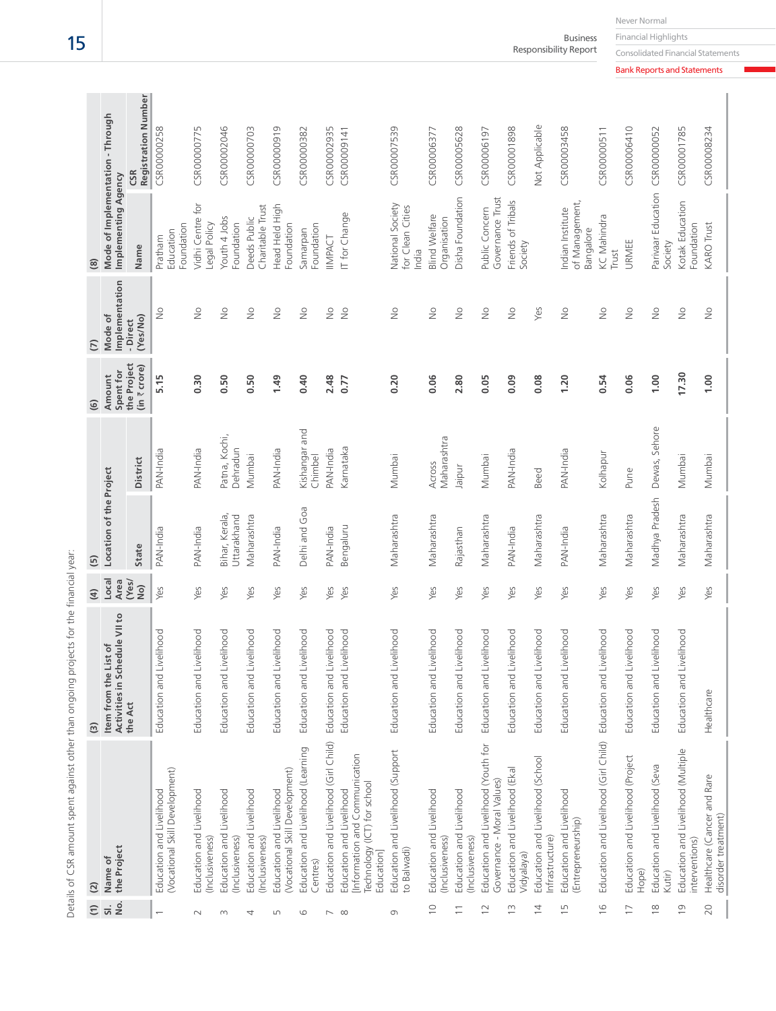| $\widehat{c}$            | $\overline{c}$                                                                                         | ල                                                         | $\widehat{a}$ | <u>ම</u>                      |                           | $\widehat{G}$                       | $\overline{C}$            | @                                                       |                                   |
|--------------------------|--------------------------------------------------------------------------------------------------------|-----------------------------------------------------------|---------------|-------------------------------|---------------------------|-------------------------------------|---------------------------|---------------------------------------------------------|-----------------------------------|
| $\frac{1}{2}$            | the Project<br>Name of                                                                                 | Activities in Schedule VII to<br>List of<br>Item from the | Local<br>Area | Location of the Project       |                           | Spent for<br>Amount                 | Implementation<br>Mode of | Mode of Implementation - Through<br>Implementing Agency |                                   |
|                          |                                                                                                        | the Act                                                   | (Yes/<br>QN   | State                         | District                  | the Project<br>(in $\bar{z}$ crore) | (Yes/No)<br>- Direct      | Name                                                    | <b>Registration Number</b><br>CSR |
|                          | (Vocational Skill Development)<br>Education and Livelihood                                             | Education and Livelihood                                  | Yes           | PAN-India                     | PAN-India                 | 5.15                                | $\frac{1}{2}$             | Foundation<br>Education<br>Pratham                      | CSR00000258                       |
| $\sim$                   | Education and Livelihood<br>(Inclusiveness)                                                            | Education and Livelihood                                  | Yes           | PAN-India                     | PAN-India                 | 0.30                                | $\frac{1}{2}$             | vidhi Centre for<br>Legal Policy                        | CSR00000775                       |
| $\infty$                 | Education and Livelihood<br>(Inclusiveness)                                                            | Education and Livelihood                                  | Yes           | Bihar, Kerala,<br>Jttarakhand | Patna, Kochi,<br>Dehradun | 0.50                                | $\frac{1}{2}$             | Youth 4 Jobs<br>Foundation                              | CSR00002046                       |
| 4                        | Education and Livelihood<br>(Inclusiveness)                                                            | Education and Livelihood                                  | Yes           | Maharashtra                   | Mumbai                    | 0.50                                | $\frac{1}{2}$             | Charitable Trust<br>Deeds Public                        | CSR00000703                       |
| LN                       | (Vocational Skill Development)<br>Education and Livelihood                                             | Education and Livelihood                                  | Yes           | PAN-India                     | PAN-India                 | 1.49                                | $\frac{1}{2}$             | Head Held High<br>Foundation                            | CSR00000919                       |
| 6                        | Education and Livelihood (Learning<br>Centres)                                                         | Education and Livelihood                                  | Yes           | Delhi and Goa                 | Kishangar and<br>Chimbel  | 0.40                                | $\frac{1}{2}$             | Foundation<br>Samarpan                                  | CSR00000382                       |
| $\overline{\phantom{a}}$ | Education and Livelihood (Girl Child)                                                                  | Education and Livelihood                                  | Yes           | PAN-India                     | PAN-India                 | 2.48                                | ş                         | IMPACT                                                  | CSR00002935                       |
| $\infty$                 | Information and Communication<br>Technology (ICT) for school<br>Education and Livelihood<br>Education] | Education and Livelihood                                  | Yes           | Bengaluru                     | Karnataka                 | 0.77                                | $\geq$                    | IT for Change                                           | CSR00009141                       |
| G                        | Education and Livelihood (Support<br>to Balwadi)                                                       | Education and Livelihood                                  | Yes           | Maharashtra                   | Mumbai                    | 0.20                                | $\frac{1}{2}$             | National Society<br>for Clean Cities<br>India           | CSR00007539                       |
| $\supseteq$              | Education and Livelihood<br>(Inclusiveness)                                                            | Education and Livelihood                                  | Yes           | Maharashtra                   | Maharashtra<br>Across     | 0.06                                | $\frac{1}{2}$             | <b>Blind Welfare</b><br>Organisation                    | CSR00006377                       |
| $\overline{\phantom{0}}$ | Education and Livelihood<br>(Inclusiveness)                                                            | Education and Livelihood                                  | Yes           | Rajasthan                     | Jaipur                    | 2.80                                | $\frac{1}{2}$             | Disha Foundation                                        | CSR00005628                       |
| $\approx$                | Education and Livelihood (Youth for<br>Governance - Moral Values)                                      | Education and Livelihood                                  | Yes           | Maharashtra                   | Mumbai                    | 0.05                                | $\frac{1}{2}$             | Governance Trust<br>Public Concern                      | CSR00006197                       |
| $\frac{1}{2}$            | Education and Livelihood (Ekal<br>Vidyalaya)                                                           | Education and Livelihood                                  | Yes           | PAN-India                     | PAN-India                 | 0.09                                | $\geqq$                   | Friends of Tribals<br>Society                           | CSR00001898                       |
| $\overline{4}$           | Education and Livelihood (School<br>Infrastructure)                                                    | Education and Livelihood                                  | Yes           | Maharashtra                   | Beed                      | 0.08                                | Yes                       |                                                         | Not Applicable                    |
| ίIJ                      | Education and Livelihood<br>(Entrepreneurship)                                                         | Education and Livelihood                                  | Yes           | PAN-India                     | PAN-India                 | 1.20                                | $\geq$                    | of Management,<br>Indian Institute<br>Bangalore         | CSR00003458                       |
| $\frac{6}{2}$            | Education and Livelihood (Girl Child) Education and Livelihood                                         |                                                           | Yes           | Maharashtra                   | Kolhapur                  | 0.54                                | $\frac{1}{2}$             | KC Mahindra<br>Trust                                    | CSR00000511                       |
| $\overline{1}$           | Education and Livelihood (Project<br>Hope)                                                             | Education and Livelihood                                  | Yes           | Maharashtra                   | Pune                      | 0.06                                | $\frac{1}{2}$             | URMEE                                                   | CSR00006410                       |
| $\frac{8}{1}$            | Education and Livelihood (Seva<br>Kutir)                                                               | Education and Livelihood                                  | Yes           | Madhya Pradesh                | Dewas, Sehore             | 1.00                                | $\geq$                    | Parivaar Education<br>Society                           | CSR00000052                       |
| $\overline{0}$           | Education and Livelihood (Multiple<br>interventions)                                                   | Education and Livelihood                                  | Yes           | Maharashtra                   | Mumbai                    | 17.30                               | $\frac{1}{2}$             | Kotak Education<br>Foundation                           | CSR00001785                       |
| 20                       | Healthcare (Cancer and Rare<br>disorder treatment)                                                     | Healthcare                                                | Yes           | Maharashtra                   | Mumbai                    | 1.00                                | $\frac{1}{2}$             | <b>KARO Trust</b>                                       | CSR00008234                       |

Details of CSR amount spent against other than ongoing projects for the financial year: Details of CSR amount spent against other than ongoing projects for the financial year:

Financial Highlights

Business Responsibility Report

Consolidated Financial Statements Bank Reports and Statements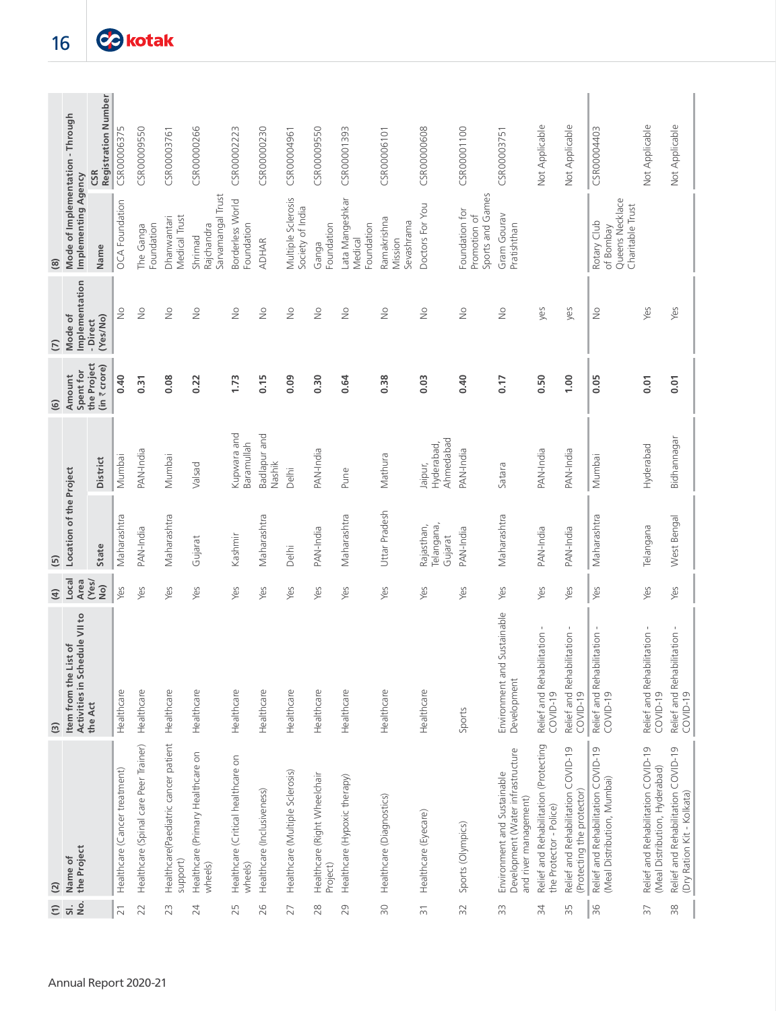|                    |                                                           | <b>Registration Number</b><br>CSR | CSR00006375                   | CSR00009550                           | CSR00003761                                      | CSR00000266                                  | CSR00002223                                   | CSR00000230                | CSR00004961                            | CSR00009550                              | CSR00001393                              | CSR00006101                          | <b>CSROOOOO608</b>                  | CSR00001100                                        | CSR00003751                                                                               | Not Applicable                                                   | Not Applicable                                                   | CSR00004403                                                       | Not Applicable                                                      | Not Applicable                                                   |
|--------------------|-----------------------------------------------------------|-----------------------------------|-------------------------------|---------------------------------------|--------------------------------------------------|----------------------------------------------|-----------------------------------------------|----------------------------|----------------------------------------|------------------------------------------|------------------------------------------|--------------------------------------|-------------------------------------|----------------------------------------------------|-------------------------------------------------------------------------------------------|------------------------------------------------------------------|------------------------------------------------------------------|-------------------------------------------------------------------|---------------------------------------------------------------------|------------------------------------------------------------------|
| $\circledR$        | Mode of Implementation - Through<br>Implementing Agency   | Name                              | <b>OCA</b> Foundation         | Foundation<br>The Ganga               | Medical Trust<br>Dhanwantari                     | Sarvamangal Trust<br>Rajchandra<br>Shrimad   | Borderless World<br>Foundation                | <b>ADHAR</b>               | Multiple Sclerosis<br>Society of India | Foundation<br>Ganga                      | Lata Mangeshkar<br>Foundation<br>Medical | Ramakrishna<br>Sevashrama<br>Mission | Doctors For You                     | Sports and Games<br>Foundation for<br>Promotion of | Gram Gourav<br>Pratishthan                                                                |                                                                  |                                                                  | Queens Necklace<br>Charitable Trust<br>Rotary Club<br>of Bombay   |                                                                     |                                                                  |
| $\overline{C}$     | Implementation<br>Mode of                                 | (Yes/No)<br>- Direct              | $\frac{1}{2}$                 | $\frac{1}{2}$                         | $\frac{1}{2}$                                    | $\frac{1}{2}$                                | $\frac{1}{2}$                                 | $\geq$                     | $\frac{1}{2}$                          | $\geq$                                   | $\geq$                                   | $\geq$                               | $\geq$                              | $\geq$                                             | $\geq$                                                                                    | yes                                                              | yes                                                              | $\geq$                                                            | Yes                                                                 | Yes                                                              |
| $\tilde{\epsilon}$ | Spent for<br>Amount                                       | the Project<br>(in ₹ crore)       | 0.40                          | 0.31                                  | 0.08                                             | 0.22                                         | 1.73                                          | 0.15                       | 0.09                                   | 0.30                                     | 0.64                                     | 0.38                                 | 0.03                                | 0.40                                               | 0.17                                                                                      | 0.50                                                             | 0.001                                                            | 0.05                                                              | 0.01                                                                | 0.01                                                             |
|                    |                                                           | <b>District</b>                   | Mumbai                        | PAN-India                             | Mumbai                                           | Valsad                                       | Kupwara and<br>Baramullah                     | Badlapur and<br>Nashik     | Delhi                                  | PAN-India                                | Pune                                     | Mathura                              | Ahmedabad<br>Hyderabad,<br>Jaipur,  | PAN-India                                          | Satara                                                                                    | PAN-India                                                        | PAN-India                                                        | Mumbai                                                            | Hyderabad                                                           | Bidhannagar                                                      |
| $\overline{5}$     | Location of the Project                                   | State                             | Maharashtra                   | PAN-India                             | Maharashtra                                      | Gujarat                                      | Kashmir                                       | Maharashtra                | Delhi                                  | PAN-India                                | Maharashtra                              | Uttar Pradesh                        | Telangana,<br>Rajasthan,<br>Gujarat | PAN-India                                          | Maharashtra                                                                               | PAN-India                                                        | PAN-India                                                        | Maharashtra                                                       | Telangana                                                           | West Bengal                                                      |
| $\widehat{a}$      | Local<br>Area                                             | (Yes/<br>QN                       | Yes                           | Yes                                   | Yes                                              | Yes                                          | Yes                                           | Yes                        | Yes                                    | Yes                                      | Yes                                      | Yes                                  | Yes                                 | Yes                                                | Yes                                                                                       | Yes                                                              | Yes                                                              | Yes                                                               | Yes                                                                 | Yes                                                              |
| $\widehat{S}$      | Activities in Schedule VII to<br>List of<br>Item from the | the Act                           | Healthcare                    | Healthcare                            | Healthcare                                       | Healthcare                                   | Healthcare                                    | Healthcare                 | Healthcare                             | Healthcare                               | Healthcare                               | Healthcare                           | Healthcare                          | Sports                                             | nd Sustainable<br>Environment a<br>Development                                            | Relief and Rehabilitation -<br>COVID-19                          | Relief and Rehabilitation<br>COVID-19                            | Relief and Rehabilitation<br>$COVID-19$                           | Relief and Rehabilitation -<br>$COVID-19$                           | Relief and Rehabilitation -<br>$COVID-19$                        |
| (2)                | the Project<br>Name of                                    |                                   | Healthcare (Cancer treatment) | Healthcare (Spinal care Peer Trainer) | Healthcare(Paediatric cancer patient<br>support) | Healthcare (Primary Healthcare on<br>wheels) | Healthcare (Critical healthcare on<br>wheels) | Healthcare (Inclusiveness) | Healthcare (Multiple Sclerosis)        | Healthcare (Right Wheelchair<br>Project) | Healthcare (Hypoxic therapy)             | Healthcare (Diagnostics)             | Healthcare (Eyecare)                | Sports (Olympics)                                  | Development (Water infrastructure<br>Environment and Sustainable<br>and river management) | Relief and Rehabilitation (Protecting<br>the Protector - Police) | Relief and Rehabilitation COVID-19<br>(Protecting the protector) | Relief and Rehabilitation COVID-19<br>(Meal Distribution, Mumbai) | Relief and Rehabilitation COVID-19<br>Meal Distribution, Hyderabad) | Relief and Rehabilitation COVID-19<br>(Dry Ration Kit - Kolkata) |
| $\widehat{c}$      | $rac{1}{2}$<br>$\overline{5}$                             |                                   | $\overline{21}$               | 22                                    | 23                                               | 24                                           | 25                                            | 26                         | 27                                     | 28                                       | 29                                       | $\approx$                            | $\overline{5}$                      | 32                                                 | 33                                                                                        | $\approx$                                                        | 35                                                               | 36                                                                | 57                                                                  | $\frac{8}{2}$                                                    |
|                    |                                                           |                                   |                               | Annual Report 2020-21                 |                                                  |                                              |                                               |                            |                                        |                                          |                                          |                                      |                                     |                                                    |                                                                                           |                                                                  |                                                                  |                                                                   |                                                                     |                                                                  |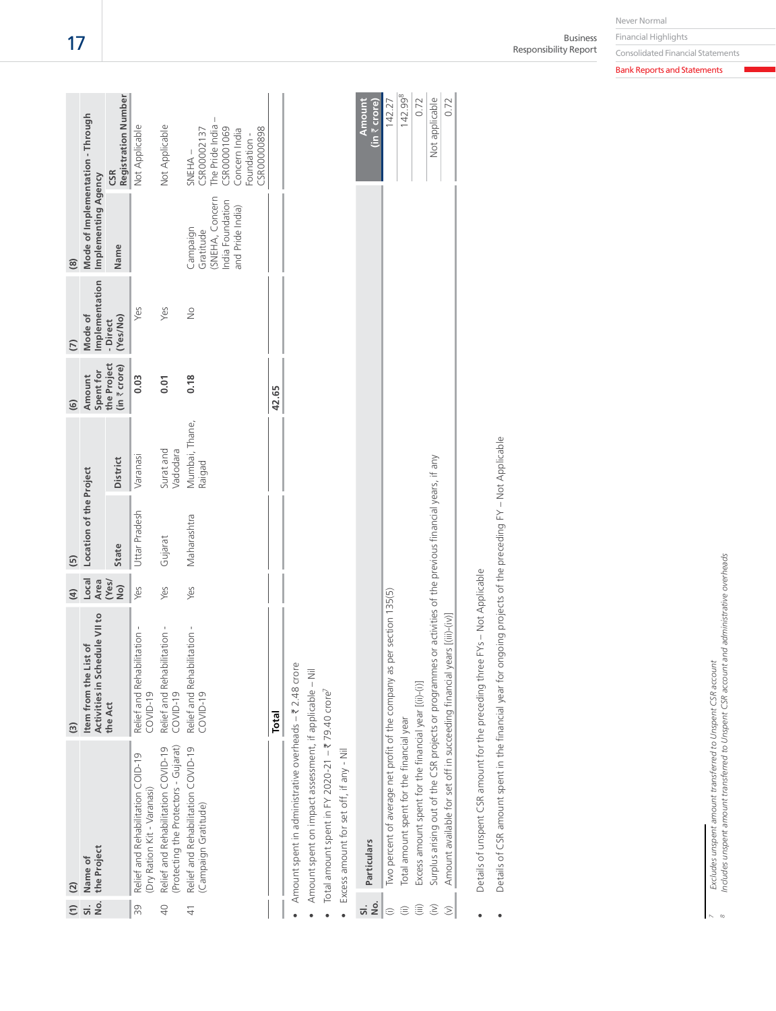|                          | $\widehat{c}$                                                               | ම                                                      | $\widehat{a}$ | $\overline{5}$          |                          | $\widehat{6}$               | $\overline{C}$            | $\circledR$                                                                     |                                                                                                                  |
|--------------------------|-----------------------------------------------------------------------------|--------------------------------------------------------|---------------|-------------------------|--------------------------|-----------------------------|---------------------------|---------------------------------------------------------------------------------|------------------------------------------------------------------------------------------------------------------|
| No.<br>$\overline{sl}$ . | the Project<br>Name of                                                      | Activities in Schedule VII to<br>Item from the List of | Local<br>Area | Location of the Project |                          | Spent for<br>Amount         | Implementation<br>Mode of | Mode of Implementation - Through<br>Implementing Agency                         |                                                                                                                  |
|                          |                                                                             | the Act                                                | (Yes/<br>QN   | <b>State</b>            | District                 | the Project<br>(in ₹ crore) | (Yes/No)<br>- Direct      | Name                                                                            | <b>Registration Number</b><br>CSR                                                                                |
| 39                       | Relief and Rehabilitation COID-19<br>(Dry Ration Kit - Varanasi)            | Relief and Rehabilitation -<br>$COVID-19$              | Yes           | Uttar Pradesh           | Varanasi                 | 0.03                        | Yes                       |                                                                                 | Not Applicable                                                                                                   |
| $\overline{40}$          | (Protecting the Protectors - Gujarat)<br>Relief and Rehabilitation COVID-19 | Relief and Rehabilitation -<br>COVID-19                | Yes           | Gujarat                 | Surat and<br>Vadodara    | 0.01                        | Yes                       |                                                                                 | Not Applicable                                                                                                   |
| $\frac{1}{4}$            | Relief and Rehabilitation COVID-19<br>(Campaign Gratitude)                  | Relief and Rehabilitation -<br>$COVID-19$              | Yes           | Maharashtra             | Mumbai, Thane,<br>Raigad | 0.18                        | $\frac{1}{2}$             | SNEHA, Concern<br>India Foundation<br>and Pride India)<br>Campaign<br>Gratitude | The Pride India -<br>CSR00001069<br><b>ESROOOOO898</b><br>CSR00002137<br>Concern India<br>-oundation -<br>SNEHA- |
|                          |                                                                             | Total                                                  |               |                         |                          | 42.65                       |                           |                                                                                 |                                                                                                                  |
|                          | Amount spent in administrative overheads - ₹ 2.48 crore                     |                                                        |               |                         |                          |                             |                           |                                                                                 |                                                                                                                  |
|                          | Amount spent on impact assessment, if applicable - Nil                      |                                                        |               |                         |                          |                             |                           |                                                                                 |                                                                                                                  |
|                          | Total amount spent in FY 2020-21 - ₹79.40 crore <sup>7</sup>                |                                                        |               |                         |                          |                             |                           |                                                                                 |                                                                                                                  |
|                          | Excess amount for set off, if any - Nil                                     |                                                        |               |                         |                          |                             |                           |                                                                                 |                                                                                                                  |
| ū                        |                                                                             |                                                        |               |                         |                          |                             |                           |                                                                                 | 1. 1                                                                                                             |

| No.                          | Particulars                                                                                                 | (in 7 crore)<br>Amount |
|------------------------------|-------------------------------------------------------------------------------------------------------------|------------------------|
|                              | as per section 135(5)<br>Two percent of average net profit of the company                                   | 142.27                 |
|                              | Total amount spent for the financial year                                                                   | 142.99 <sup>8</sup>    |
|                              | Excess amount spent for the financial year [(ii)-(i)]                                                       | 0.72                   |
| $\hat{z}$                    | Surplus arising out of the CSR projects or programmes or activities of the previous financial years, if any | Not applicable         |
| $\left  \frac{1}{2} \right $ | Amount available for set off in succeeding financial years [(iii)-(iv)]                                     | 0.72                   |
|                              |                                                                                                             |                        |

Details of unspent CSR amount for the preceding three FYs - Not Applicable Details of unspent CSR amount for the preceding three FYs – Not Applicable •

Details of CSR amount spent in the financial year for ongoing projects of the preceding FY - Not Applicable Details of CSR amount spent in the financial year for ongoing projects of the preceding FY – Not Applicable •

Excludes unspent amount transferred to Unspent CSR account<br>Includes unspent amount transferred to Unspent CSR account and administrative overheads *Includes unspent amount transferred to Unspent CSR account and administrative overheads 7 Excludes unspent amount transferred to Unspent CSR account 8*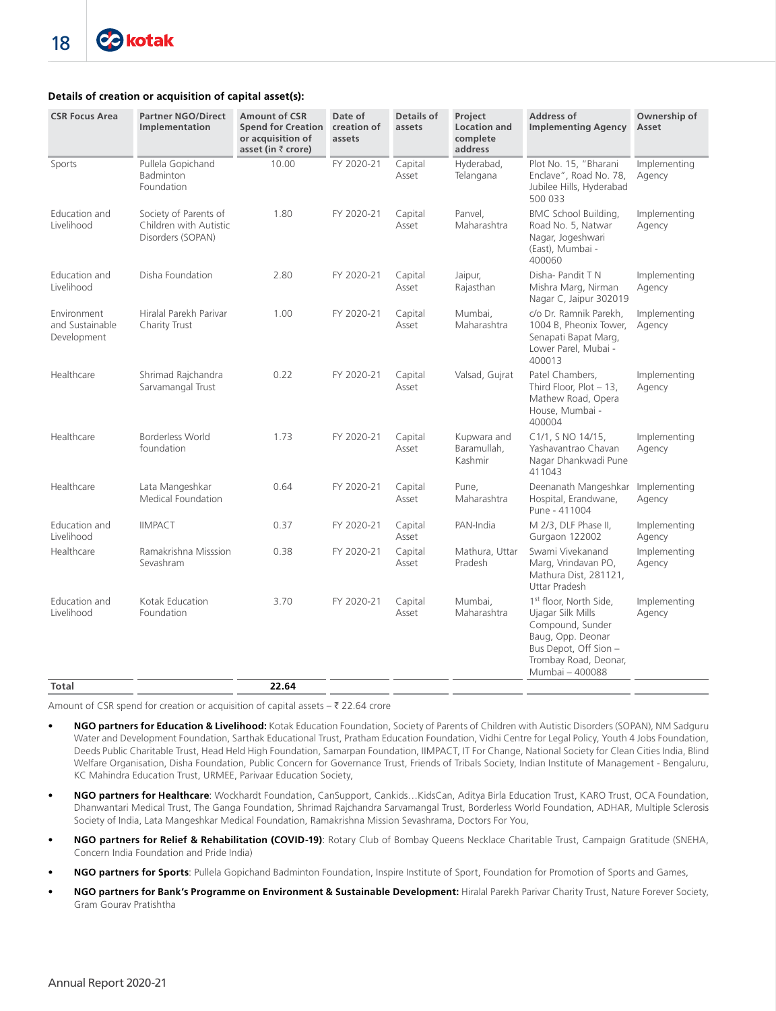# **Details of creation or acquisition of capital asset(s):**

| <b>CSR Focus Area</b>                         | <b>Partner NGO/Direct</b><br>Implementation                          | <b>Amount of CSR</b><br><b>Spend for Creation</b><br>or acquisition of<br>asset (in $\bar{z}$ crore) | Date of<br>creation of<br>assets | Details of<br>assets | Project<br><b>Location and</b><br>complete<br>address | <b>Address of</b><br><b>Implementing Agency</b>                                                                                                                       | Ownership of<br>Asset  |
|-----------------------------------------------|----------------------------------------------------------------------|------------------------------------------------------------------------------------------------------|----------------------------------|----------------------|-------------------------------------------------------|-----------------------------------------------------------------------------------------------------------------------------------------------------------------------|------------------------|
| Sports                                        | Pullela Gopichand<br>Badminton<br>Foundation                         | 10.00                                                                                                | FY 2020-21                       | Capital<br>Asset     | Hyderabad,<br>Telangana                               | Plot No. 15, "Bharani<br>Enclave", Road No. 78,<br>Jubilee Hills, Hyderabad<br>500 033                                                                                | Implementing<br>Agency |
| Education and<br>Livelihood                   | Society of Parents of<br>Children with Autistic<br>Disorders (SOPAN) | 1.80                                                                                                 | FY 2020-21                       | Capital<br>Asset     | Panvel,<br>Maharashtra                                | BMC School Building,<br>Road No. 5, Natwar<br>Nagar, Jogeshwari<br>(East), Mumbai -<br>400060                                                                         | Implementing<br>Agency |
| Education and<br>Livelihood                   | Disha Foundation                                                     | 2.80                                                                                                 | FY 2020-21                       | Capital<br>Asset     | Jaipur,<br>Rajasthan                                  | Disha- Pandit T N<br>Mishra Marg, Nirman<br>Nagar C, Jaipur 302019                                                                                                    | Implementing<br>Agency |
| Environment<br>and Sustainable<br>Development | Hiralal Parekh Parivar<br>Charity Trust                              | 1.00                                                                                                 | FY 2020-21                       | Capital<br>Asset     | Mumbai.<br>Maharashtra                                | c/o Dr. Ramnik Parekh.<br>1004 B, Pheonix Tower,<br>Senapati Bapat Marg,<br>Lower Parel, Mubai -<br>400013                                                            | Implementing<br>Agency |
| Healthcare                                    | Shrimad Rajchandra<br>Sarvamangal Trust                              | 0.22                                                                                                 | FY 2020-21                       | Capital<br>Asset     | Valsad, Gujrat                                        | Patel Chambers,<br>Third Floor, $Plot - 13$ ,<br>Mathew Road, Opera<br>House, Mumbai -<br>400004                                                                      | Implementing<br>Agency |
| Healthcare                                    | Borderless World<br>foundation                                       | 1.73                                                                                                 | FY 2020-21                       | Capital<br>Asset     | Kupwara and<br>Baramullah,<br>Kashmir                 | C1/1, S NO 14/15,<br>Yashavantrao Chavan<br>Nagar Dhankwadi Pune<br>411043                                                                                            | Implementing<br>Agency |
| Healthcare                                    | Lata Mangeshkar<br>Medical Foundation                                | 0.64                                                                                                 | FY 2020-21                       | Capital<br>Asset     | Pune,<br>Maharashtra                                  | Deenanath Mangeshkar<br>Hospital, Erandwane,<br>Pune - 411004                                                                                                         | Implementing<br>Agency |
| Education and<br>Livelihood                   | <b>IIMPACT</b>                                                       | 0.37                                                                                                 | FY 2020-21                       | Capital<br>Asset     | PAN-India                                             | M 2/3, DLF Phase II,<br>Gurgaon 122002                                                                                                                                | Implementing<br>Agency |
| Healthcare                                    | Ramakrishna Misssion<br>Sevashram                                    | 0.38                                                                                                 | FY 2020-21                       | Capital<br>Asset     | Mathura, Uttar<br>Pradesh                             | Swami Vivekanand<br>Marg, Vrindavan PO,<br>Mathura Dist, 281121,<br>Uttar Pradesh                                                                                     | Implementing<br>Agency |
| Education and<br>Livelihood                   | Kotak Education<br>Foundation                                        | 3.70                                                                                                 | FY 2020-21                       | Capital<br>Asset     | Mumbai.<br>Maharashtra                                | 1 <sup>st</sup> floor, North Side,<br>Ujagar Silk Mills<br>Compound, Sunder<br>Baug, Opp. Deonar<br>Bus Depot, Off Sion -<br>Trombay Road, Deonar,<br>Mumbai - 400088 | Implementing<br>Agency |
| Total                                         |                                                                      | 22.64                                                                                                |                                  |                      |                                                       |                                                                                                                                                                       |                        |

Amount of CSR spend for creation or acquisition of capital assets  $-\bar{\tau}$  22.64 crore

- **NGO partners for Education & Livelihood:** Kotak Education Foundation, Society of Parents of Children with Autistic Disorders (SOPAN), NM Sadguru Water and Development Foundation, Sarthak Educational Trust, Pratham Education Foundation, Vidhi Centre for Legal Policy, Youth 4 Jobs Foundation, Deeds Public Charitable Trust, Head Held High Foundation, Samarpan Foundation, IIMPACT, IT For Change, National Society for Clean Cities India, Blind Welfare Organisation, Disha Foundation, Public Concern for Governance Trust, Friends of Tribals Society, Indian Institute of Management - Bengaluru, KC Mahindra Education Trust, URMEE, Parivaar Education Society,
- **NGO partners for Healthcare**: Wockhardt Foundation, CanSupport, Cankids…KidsCan, Aditya Birla Education Trust, KARO Trust, OCA Foundation, Dhanwantari Medical Trust, The Ganga Foundation, Shrimad Rajchandra Sarvamangal Trust, Borderless World Foundation, ADHAR, Multiple Sclerosis Society of India, Lata Mangeshkar Medical Foundation, Ramakrishna Mission Sevashrama, Doctors For You,
- **NGO partners for Relief & Rehabilitation (COVID-19)**: Rotary Club of Bombay Queens Necklace Charitable Trust, Campaign Gratitude (SNEHA, Concern India Foundation and Pride India)
- **NGO partners for Sports**: Pullela Gopichand Badminton Foundation, Inspire Institute of Sport, Foundation for Promotion of Sports and Games,
- **NGO partners for Bank's Programme on Environment & Sustainable Development:** Hiralal Parekh Parivar Charity Trust, Nature Forever Society, Gram Gourav Pratishtha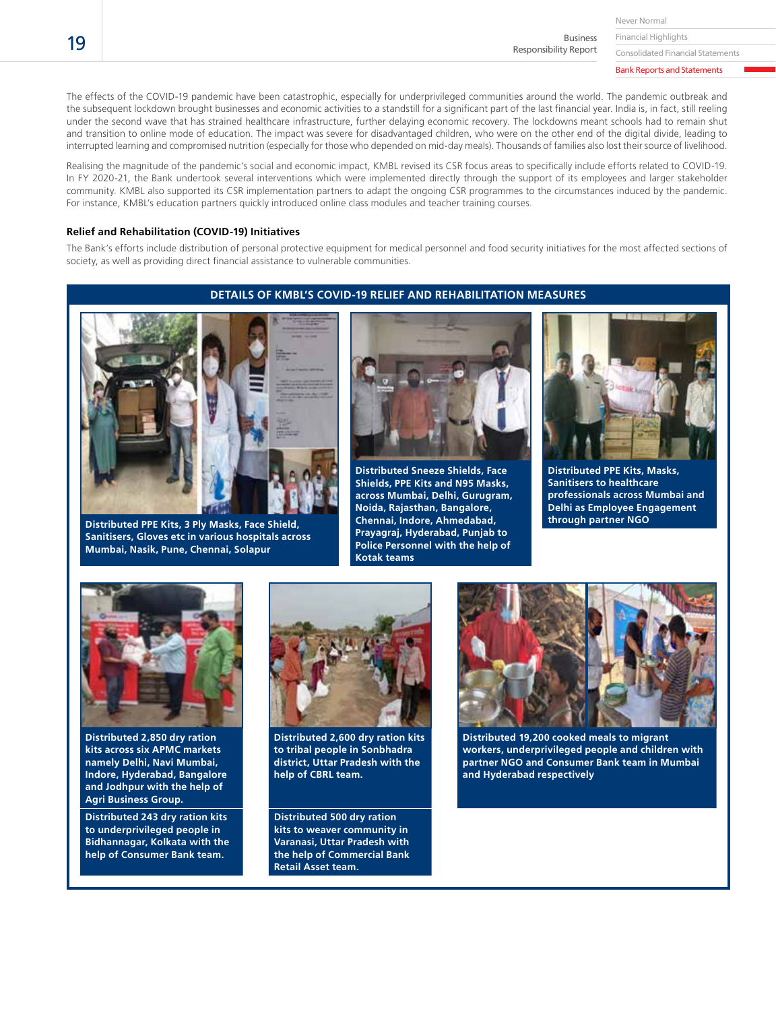Never Normal

Financial Highlights Business Responsibility Report

Consolidated Financial Statements

Bank Reports and Statements

The effects of the COVID-19 pandemic have been catastrophic, especially for underprivileged communities around the world. The pandemic outbreak and the subsequent lockdown brought businesses and economic activities to a standstill for a significant part of the last financial year. India is, in fact, still reeling under the second wave that has strained healthcare infrastructure, further delaying economic recovery. The lockdowns meant schools had to remain shut and transition to online mode of education. The impact was severe for disadvantaged children, who were on the other end of the digital divide, leading to interrupted learning and compromised nutrition (especially for those who depended on mid-day meals). Thousands of families also lost their source of livelihood.

Realising the magnitude of the pandemic's social and economic impact, KMBL revised its CSR focus areas to specifically include efforts related to COVID-19. In FY 2020-21, the Bank undertook several interventions which were implemented directly through the support of its employees and larger stakeholder community. KMBL also supported its CSR implementation partners to adapt the ongoing CSR programmes to the circumstances induced by the pandemic. For instance, KMBL's education partners quickly introduced online class modules and teacher training courses.

#### **Relief and Rehabilitation (COVID-19) Initiatives**

The Bank's efforts include distribution of personal protective equipment for medical personnel and food security initiatives for the most affected sections of society, as well as providing direct financial assistance to vulnerable communities.

# **DETAILS OF KMBL'S COVID-19 RELIEF AND REHABILITATION MEASURES**



**Distributed PPE Kits, 3 Ply Masks, Face Shield, Sanitisers, Gloves etc in various hospitals across Mumbai, Nasik, Pune, Chennai, Solapur**



**Distributed Sneeze Shields, Face Shields, PPE Kits and N95 Masks, across Mumbai, Delhi, Gurugram, Noida, Rajasthan, Bangalore, Chennai, Indore, Ahmedabad, Prayagraj, Hyderabad, Punjab to Police Personnel with the help of Kotak teams**



**Distributed PPE Kits, Masks, Sanitisers to healthcare professionals across Mumbai and Delhi as Employee Engagement through partner NGO**



**Distributed 2,850 dry ration kits across six APMC markets namely Delhi, Navi Mumbai, Indore, Hyderabad, Bangalore and Jodhpur with the help of Agri Business Group.**

**Distributed 243 dry ration kits to underprivileged people in Bidhannagar, Kolkata with the help of Consumer Bank team.**



**Distributed 2,600 dry ration kits to tribal people in Sonbhadra district, Uttar Pradesh with the help of CBRL team.**

**Distributed 500 dry ration kits to weaver community in Varanasi, Uttar Pradesh with the help of Commercial Bank Retail Asset team.**



**Distributed 19,200 cooked meals to migrant workers, underprivileged people and children with partner NGO and Consumer Bank team in Mumbai and Hyderabad respectively**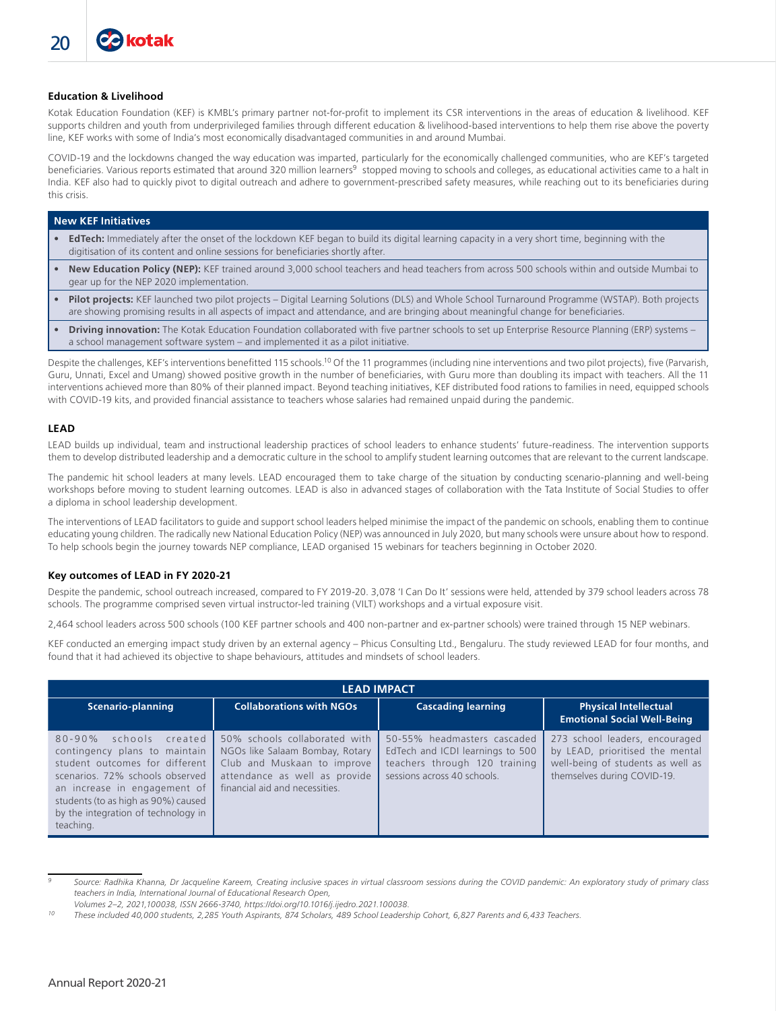#### **Education & Livelihood**

Kotak Education Foundation (KEF) is KMBL's primary partner not-for-profit to implement its CSR interventions in the areas of education & livelihood. KEF supports children and youth from underprivileged families through different education & livelihood-based interventions to help them rise above the poverty line, KEF works with some of India's most economically disadvantaged communities in and around Mumbai.

COVID-19 and the lockdowns changed the way education was imparted, particularly for the economically challenged communities, who are KEF's targeted beneficiaries. Various reports estimated that around 320 million learners<sup>9</sup> stopped moving to schools and colleges, as educational activities came to a halt in India. KEF also had to quickly pivot to digital outreach and adhere to government-prescribed safety measures, while reaching out to its beneficiaries during this crisis.

#### **New KEF Initiatives**

- **EdTech:** Immediately after the onset of the lockdown KEF began to build its digital learning capacity in a very short time, beginning with the digitisation of its content and online sessions for beneficiaries shortly after.
- **New Education Policy (NEP):** KEF trained around 3,000 school teachers and head teachers from across 500 schools within and outside Mumbai to gear up for the NEP 2020 implementation.
- **Pilot projects:** KEF launched two pilot projects Digital Learning Solutions (DLS) and Whole School Turnaround Programme (WSTAP). Both projects are showing promising results in all aspects of impact and attendance, and are bringing about meaningful change for beneficiaries.
- **Driving innovation:** The Kotak Education Foundation collaborated with five partner schools to set up Enterprise Resource Planning (ERP) systems a school management software system – and implemented it as a pilot initiative.

Despite the challenges, KEF's interventions benefitted 115 schools.10 Of the 11 programmes (including nine interventions and two pilot projects), five (Parvarish, Guru, Unnati, Excel and Umang) showed positive growth in the number of beneficiaries, with Guru more than doubling its impact with teachers. All the 11 interventions achieved more than 80% of their planned impact. Beyond teaching initiatives, KEF distributed food rations to families in need, equipped schools with COVID-19 kits, and provided financial assistance to teachers whose salaries had remained unpaid during the pandemic.

#### **LEAD**

LEAD builds up individual, team and instructional leadership practices of school leaders to enhance students' future-readiness. The intervention supports them to develop distributed leadership and a democratic culture in the school to amplify student learning outcomes that are relevant to the current landscape.

The pandemic hit school leaders at many levels. LEAD encouraged them to take charge of the situation by conducting scenario-planning and well-being workshops before moving to student learning outcomes. LEAD is also in advanced stages of collaboration with the Tata Institute of Social Studies to offer a diploma in school leadership development.

The interventions of LEAD facilitators to guide and support school leaders helped minimise the impact of the pandemic on schools, enabling them to continue educating young children. The radically new National Education Policy (NEP) was announced in July 2020, but many schools were unsure about how to respond. To help schools begin the journey towards NEP compliance, LEAD organised 15 webinars for teachers beginning in October 2020.

#### **Key outcomes of LEAD in FY 2020-21**

Despite the pandemic, school outreach increased, compared to FY 2019-20. 3,078 'I Can Do It' sessions were held, attended by 379 school leaders across 78 schools. The programme comprised seven virtual instructor-led training (VILT) workshops and a virtual exposure visit.

2,464 school leaders across 500 schools (100 KEF partner schools and 400 non-partner and ex-partner schools) were trained through 15 NEP webinars.

KEF conducted an emerging impact study driven by an external agency – Phicus Consulting Ltd., Bengaluru. The study reviewed LEAD for four months, and found that it had achieved its objective to shape behaviours, attitudes and mindsets of school leaders.

|                                                                                                                                                                                                                                                                   |                                                                                                                                                                    | <b>LEAD IMPACT</b>                                                                                                              |                                                                                                                                       |  |  |
|-------------------------------------------------------------------------------------------------------------------------------------------------------------------------------------------------------------------------------------------------------------------|--------------------------------------------------------------------------------------------------------------------------------------------------------------------|---------------------------------------------------------------------------------------------------------------------------------|---------------------------------------------------------------------------------------------------------------------------------------|--|--|
| Scenario-planning                                                                                                                                                                                                                                                 | <b>Collaborations with NGOs</b>                                                                                                                                    | <b>Cascading learning</b>                                                                                                       | <b>Physical Intellectual</b><br><b>Emotional Social Well-Being</b>                                                                    |  |  |
| created<br>$80 - 90%$<br>schools<br>contingency plans to maintain<br>student outcomes for different<br>scenarios. 72% schools observed<br>an increase in engagement of<br>students (to as high as 90%) caused<br>by the integration of technology in<br>teaching. | 50% schools collaborated with<br>NGOs like Salaam Bombay, Rotary<br>Club and Muskaan to improve<br>attendance as well as provide<br>financial aid and necessities. | 50-55% headmasters cascaded<br>EdTech and ICDI learnings to 500<br>teachers through 120 training<br>sessions across 40 schools. | 273 school leaders, encouraged<br>by LEAD, prioritised the mental<br>well-being of students as well as<br>themselves during COVID-19. |  |  |

*<sup>9</sup> Source: Radhika Khanna, Dr Jacqueline Kareem, Creating inclusive spaces in virtual classroom sessions during the COVID pandemic: An exploratory study of primary class teachers in India, International Journal of Educational Research Open,*

*Volumes 2–2, 2021,100038, ISSN 2666-3740, https://doi.org/10.1016/j.ijedro.2021.100038.*

*<sup>10</sup> These included 40,000 students, 2,285 Youth Aspirants, 874 Scholars, 489 School Leadership Cohort, 6,827 Parents and 6,433 Teachers.*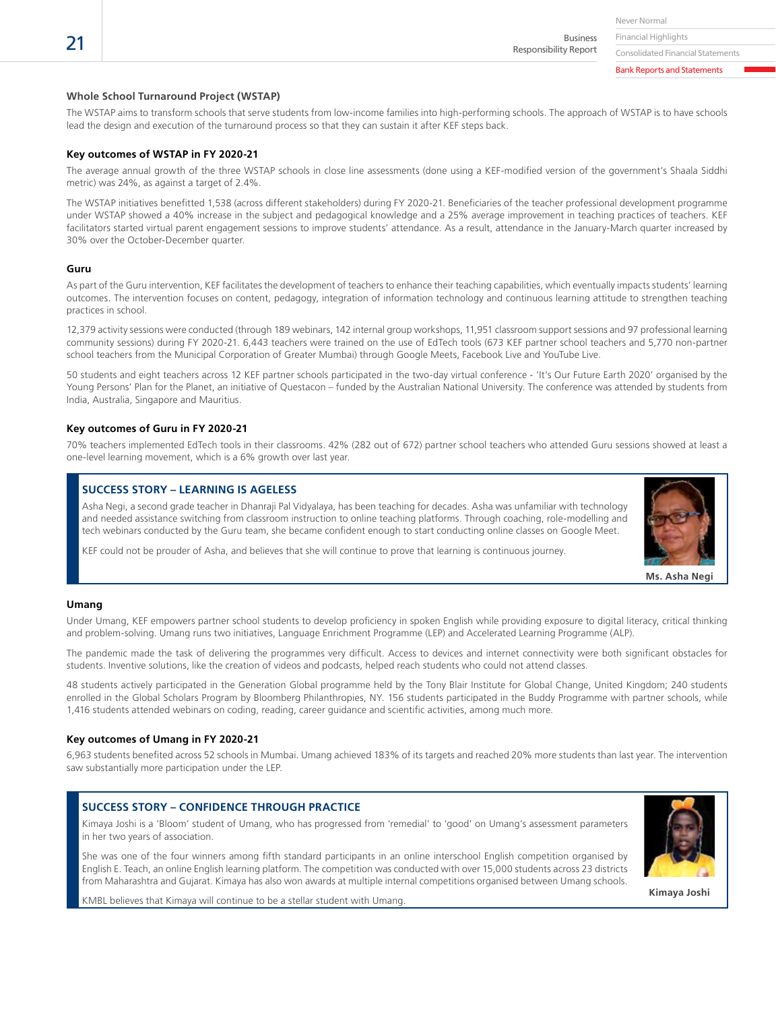Financial Highlights Business

Responsibility Report

#### **Whole School Turnaround Project (WSTAP)**

The WSTAP aims to transform schools that serve students from low-income families into high-performing schools. The approach of WSTAP is to have schools lead the design and execution of the turnaround process so that they can sustain it after KEF steps back.

#### **Key outcomes of WSTAP in FY 2020-21**

The average annual growth of the three WSTAP schools in close line assessments (done using a KEF-modified version of the government's Shaala Siddhi metric) was 24%, as against a target of 2.4%.

The WSTAP initiatives benefitted 1,538 (across different stakeholders) during FY 2020-21. Beneficiaries of the teacher professional development programme under WSTAP showed a 40% increase in the subject and pedagogical knowledge and a 25% average improvement in teaching practices of teachers. KEF facilitators started virtual parent engagement sessions to improve students' attendance. As a result, attendance in the January-March quarter increased by 30% over the October-December quarter.

#### **Guru**

As part of the Guru intervention, KEF facilitates the development of teachers to enhance their teaching capabilities, which eventually impacts students' learning outcomes. The intervention focuses on content, pedagogy, integration of information technology and continuous learning attitude to strengthen teaching practices in school.

12,379 activity sessions were conducted (through 189 webinars, 142 internal group workshops, 11,951 classroom support sessions and 97 professional learning community sessions) during FY 2020-21. 6,443 teachers were trained on the use of EdTech tools (673 KEF partner school teachers and 5,770 non-partner school teachers from the Municipal Corporation of Greater Mumbai) through Google Meets, Facebook Live and YouTube Live.

50 students and eight teachers across 12 KEF partner schools participated in the two-day virtual conference - 'It's Our Future Earth 2020' organised by the Young Persons' Plan for the Planet, an initiative of Questacon – funded by the Australian National University. The conference was attended by students from India, Australia, Singapore and Mauritius.

#### **Key outcomes of Guru in FY 2020-21**

70% teachers implemented EdTech tools in their classrooms. 42% (282 out of 672) partner school teachers who attended Guru sessions showed at least a one-level learning movement, which is a 6% growth over last year.

#### **SUCCESS STORY – LEARNING IS AGELESS**

Asha Negi, a second grade teacher in Dhanraji Pal Vidyalaya, has been teaching for decades. Asha was unfamiliar with technology and needed assistance switching from classroom instruction to online teaching platforms. Through coaching, role-modelling and tech webinars conducted by the Guru team, she became confident enough to start conducting online classes on Google Meet.

KEF could not be prouder of Asha, and believes that she will continue to prove that learning is continuous journey.



#### **Umang**

Under Umang, KEF empowers partner school students to develop proficiency in spoken English while providing exposure to digital literacy, critical thinking and problem-solving. Umang runs two initiatives, Language Enrichment Programme (LEP) and Accelerated Learning Programme (ALP).

The pandemic made the task of delivering the programmes very difficult. Access to devices and internet connectivity were both significant obstacles for students. Inventive solutions, like the creation of videos and podcasts, helped reach students who could not attend classes.

48 students actively participated in the Generation Global programme held by the Tony Blair Institute for Global Change, United Kingdom; 240 students enrolled in the Global Scholars Program by Bloomberg Philanthropies, NY. 156 students participated in the Buddy Programme with partner schools, while 1,416 students attended webinars on coding, reading, career guidance and scientific activities, among much more.

#### **Key outcomes of Umang in FY 2020-21**

6,963 students benefited across 52 schools in Mumbai. Umang achieved 183% of its targets and reached 20% more students than last year. The intervention saw substantially more participation under the LEP.

# **SUCCESS STORY – CONFIDENCE THROUGH PRACTICE**

Kimaya Joshi is a 'Bloom' student of Umang, who has progressed from 'remedial' to 'good' on Umang's assessment parameters in her two years of association.

She was one of the four winners among fifth standard participants in an online interschool English competition organised by English E. Teach, an online English learning platform. The competition was conducted with over 15,000 students across 23 districts from Maharashtra and Gujarat. Kimaya has also won awards at multiple internal competitions organised between Umang schools.



KMBL believes that Kimaya will continue to be a stellar student with Umang. **Kimaya Joshi Kimaya Joshi Kimaya Joshi** 

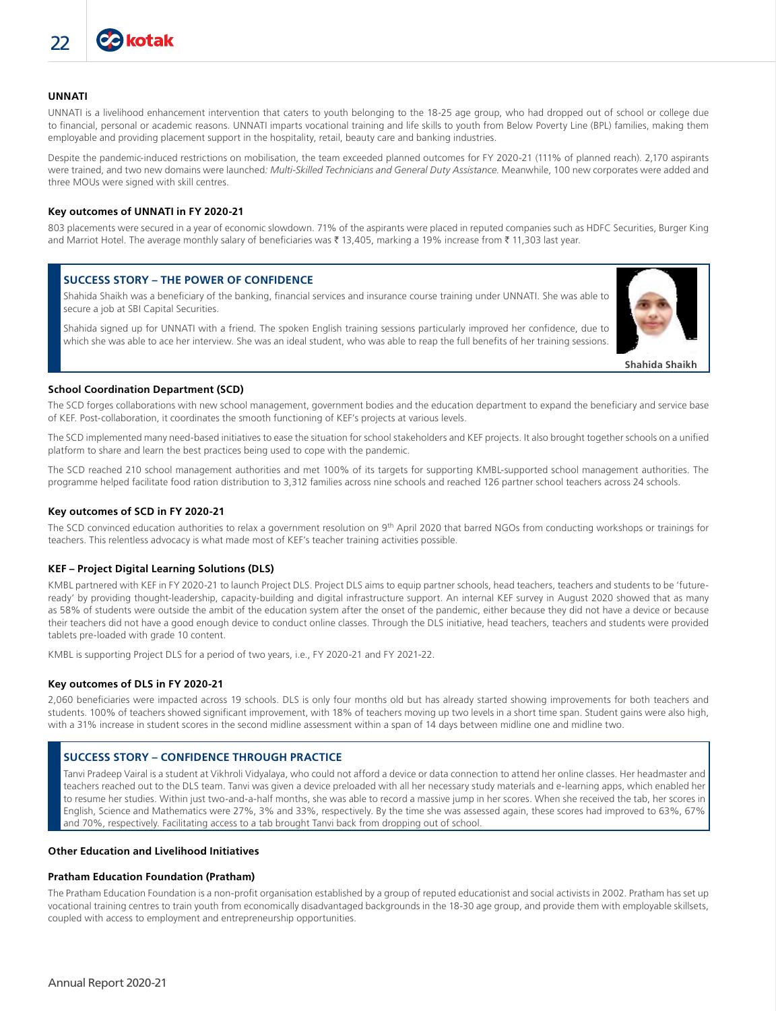### **UNNATI**

UNNATI is a livelihood enhancement intervention that caters to youth belonging to the 18-25 age group, who had dropped out of school or college due to financial, personal or academic reasons. UNNATI imparts vocational training and life skills to youth from Below Poverty Line (BPL) families, making them employable and providing placement support in the hospitality, retail, beauty care and banking industries.

Despite the pandemic-induced restrictions on mobilisation, the team exceeded planned outcomes for FY 2020-21 (111% of planned reach). 2,170 aspirants were trained, and two new domains were launched*: Multi-Skilled Technicians and General Duty Assistance*. Meanwhile, 100 new corporates were added and three MOUs were signed with skill centres.

### **Key outcomes of UNNATI in FY 2020-21**

803 placements were secured in a year of economic slowdown. 71% of the aspirants were placed in reputed companies such as HDFC Securities, Burger King and Marriot Hotel. The average monthly salary of beneficiaries was ₹ 13,405, marking a 19% increase from ₹ 11,303 last year.

## **SUCCESS STORY – THE POWER OF CONFIDENCE**

Shahida Shaikh was a beneficiary of the banking, financial services and insurance course training under UNNATI. She was able to secure a job at SBI Capital Securities.

Shahida signed up for UNNATI with a friend. The spoken English training sessions particularly improved her confidence, due to which she was able to ace her interview. She was an ideal student, who was able to reap the full benefits of her training sessions.



#### **School Coordination Department (SCD)**

The SCD forges collaborations with new school management, government bodies and the education department to expand the beneficiary and service base of KEF. Post-collaboration, it coordinates the smooth functioning of KEF's projects at various levels.

The SCD implemented many need-based initiatives to ease the situation for school stakeholders and KEF projects. It also brought together schools on a unified platform to share and learn the best practices being used to cope with the pandemic.

The SCD reached 210 school management authorities and met 100% of its targets for supporting KMBL-supported school management authorities. The programme helped facilitate food ration distribution to 3,312 families across nine schools and reached 126 partner school teachers across 24 schools.

#### **Key outcomes of SCD in FY 2020-21**

The SCD convinced education authorities to relax a government resolution on 9<sup>th</sup> April 2020 that barred NGOs from conducting workshops or trainings for teachers. This relentless advocacy is what made most of KEF's teacher training activities possible.

#### **KEF – Project Digital Learning Solutions (DLS)**

KMBL partnered with KEF in FY 2020-21 to launch Project DLS. Project DLS aims to equip partner schools, head teachers, teachers and students to be 'futureready' by providing thought-leadership, capacity-building and digital infrastructure support. An internal KEF survey in August 2020 showed that as many as 58% of students were outside the ambit of the education system after the onset of the pandemic, either because they did not have a device or because their teachers did not have a good enough device to conduct online classes. Through the DLS initiative, head teachers, teachers and students were provided tablets pre-loaded with grade 10 content.

KMBL is supporting Project DLS for a period of two years, i.e., FY 2020-21 and FY 2021-22.

#### **Key outcomes of DLS in FY 2020-21**

2,060 beneficiaries were impacted across 19 schools. DLS is only four months old but has already started showing improvements for both teachers and students. 100% of teachers showed significant improvement, with 18% of teachers moving up two levels in a short time span. Student gains were also high, with a 31% increase in student scores in the second midline assessment within a span of 14 days between midline one and midline two.

# **SUCCESS STORY – CONFIDENCE THROUGH PRACTICE**

Tanvi Pradeep Vairal is a student at Vikhroli Vidyalaya, who could not afford a device or data connection to attend her online classes. Her headmaster and teachers reached out to the DLS team. Tanvi was given a device preloaded with all her necessary study materials and e-learning apps, which enabled her to resume her studies. Within just two-and-a-half months, she was able to record a massive jump in her scores. When she received the tab, her scores in English, Science and Mathematics were 27%, 3% and 33%, respectively. By the time she was assessed again, these scores had improved to 63%, 67% and 70%, respectively. Facilitating access to a tab brought Tanvi back from dropping out of school.

#### **Other Education and Livelihood Initiatives**

#### **Pratham Education Foundation (Pratham)**

The Pratham Education Foundation is a non-profit organisation established by a group of reputed educationist and social activists in 2002. Pratham has set up vocational training centres to train youth from economically disadvantaged backgrounds in the 18-30 age group, and provide them with employable skillsets, coupled with access to employment and entrepreneurship opportunities.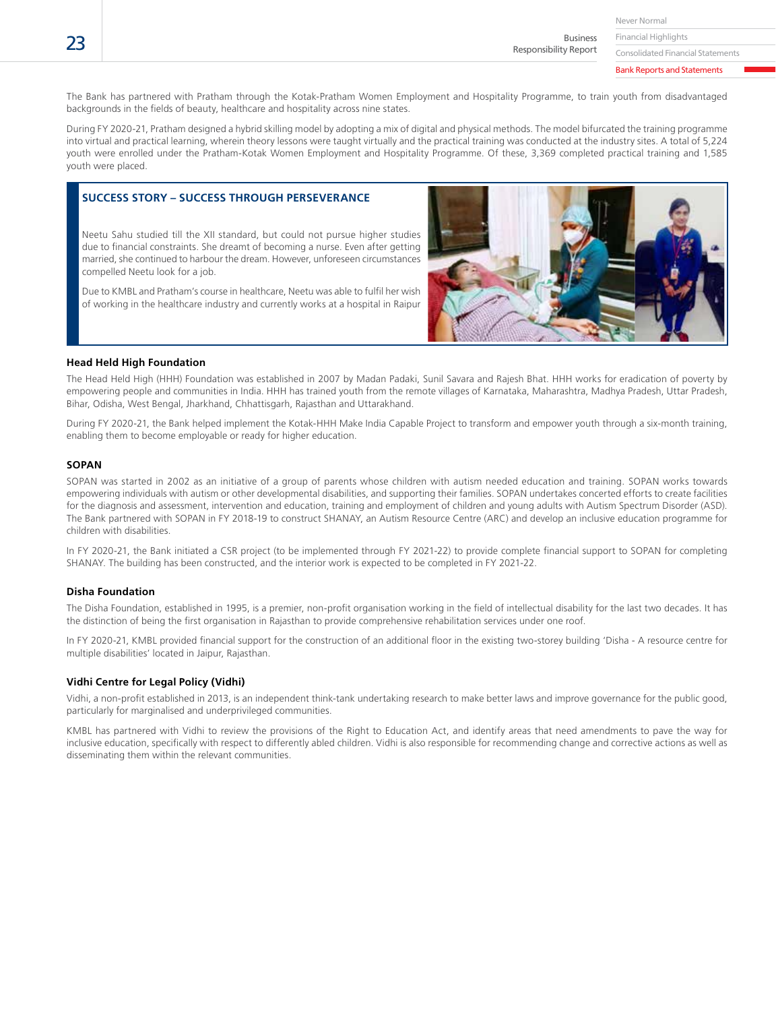Business Responsibility Report

Consolidated Financial Statements

Bank Reports and Statements

The Bank has partnered with Pratham through the Kotak-Pratham Women Employment and Hospitality Programme, to train youth from disadvantaged backgrounds in the fields of beauty, healthcare and hospitality across nine states.

During FY 2020-21, Pratham designed a hybrid skilling model by adopting a mix of digital and physical methods. The model bifurcated the training programme into virtual and practical learning, wherein theory lessons were taught virtually and the practical training was conducted at the industry sites. A total of 5,224 youth were enrolled under the Pratham-Kotak Women Employment and Hospitality Programme. Of these, 3,369 completed practical training and 1,585 youth were placed.

# **SUCCESS STORY – SUCCESS THROUGH PERSEVERANCE**

Neetu Sahu studied till the XII standard, but could not pursue higher studies due to financial constraints. She dreamt of becoming a nurse. Even after getting married, she continued to harbour the dream. However, unforeseen circumstances compelled Neetu look for a job.

Due to KMBL and Pratham's course in healthcare, Neetu was able to fulfil her wish of working in the healthcare industry and currently works at a hospital in Raipur



#### **Head Held High Foundation**

The Head Held High (HHH) Foundation was established in 2007 by Madan Padaki, Sunil Savara and Rajesh Bhat. HHH works for eradication of poverty by empowering people and communities in India. HHH has trained youth from the remote villages of Karnataka, Maharashtra, Madhya Pradesh, Uttar Pradesh, Bihar, Odisha, West Bengal, Jharkhand, Chhattisgarh, Rajasthan and Uttarakhand.

During FY 2020-21, the Bank helped implement the Kotak-HHH Make India Capable Project to transform and empower youth through a six-month training, enabling them to become employable or ready for higher education.

#### **SOPAN**

SOPAN was started in 2002 as an initiative of a group of parents whose children with autism needed education and training. SOPAN works towards empowering individuals with autism or other developmental disabilities, and supporting their families. SOPAN undertakes concerted efforts to create facilities for the diagnosis and assessment, intervention and education, training and employment of children and young adults with Autism Spectrum Disorder (ASD). The Bank partnered with SOPAN in FY 2018-19 to construct SHANAY, an Autism Resource Centre (ARC) and develop an inclusive education programme for children with disabilities.

In FY 2020-21, the Bank initiated a CSR project (to be implemented through FY 2021-22) to provide complete financial support to SOPAN for completing SHANAY. The building has been constructed, and the interior work is expected to be completed in FY 2021-22.

#### **Disha Foundation**

The Disha Foundation, established in 1995, is a premier, non-profit organisation working in the field of intellectual disability for the last two decades. It has the distinction of being the first organisation in Rajasthan to provide comprehensive rehabilitation services under one roof.

In FY 2020-21, KMBL provided financial support for the construction of an additional floor in the existing two-storey building 'Disha - A resource centre for multiple disabilities' located in Jaipur, Rajasthan.

#### **Vidhi Centre for Legal Policy (Vidhi)**

Vidhi, a non-profit established in 2013, is an independent think-tank undertaking research to make better laws and improve governance for the public good, particularly for marginalised and underprivileged communities.

KMBL has partnered with Vidhi to review the provisions of the Right to Education Act, and identify areas that need amendments to pave the way for inclusive education, specifically with respect to differently abled children. Vidhi is also responsible for recommending change and corrective actions as well as disseminating them within the relevant communities.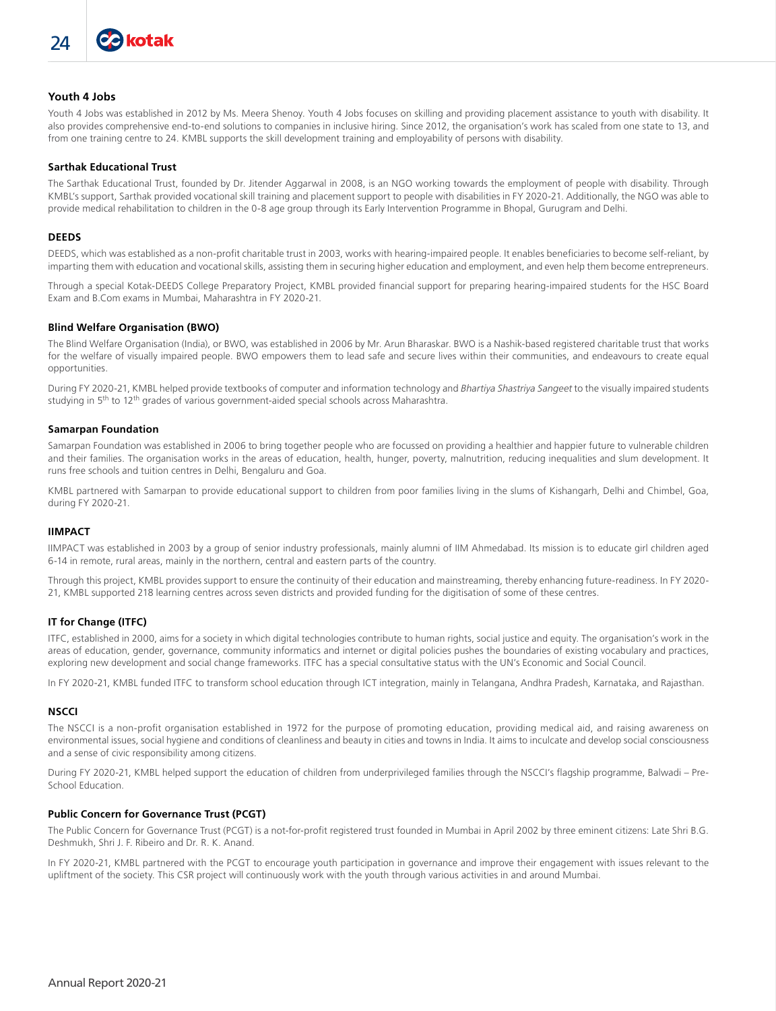# **Youth 4 Jobs**

Youth 4 Jobs was established in 2012 by Ms. Meera Shenoy. Youth 4 Jobs focuses on skilling and providing placement assistance to youth with disability. It also provides comprehensive end-to-end solutions to companies in inclusive hiring. Since 2012, the organisation's work has scaled from one state to 13, and from one training centre to 24. KMBL supports the skill development training and employability of persons with disability.

#### **Sarthak Educational Trust**

The Sarthak Educational Trust, founded by Dr. Jitender Aggarwal in 2008, is an NGO working towards the employment of people with disability. Through KMBL's support, Sarthak provided vocational skill training and placement support to people with disabilities in FY 2020-21. Additionally, the NGO was able to provide medical rehabilitation to children in the 0-8 age group through its Early Intervention Programme in Bhopal, Gurugram and Delhi.

#### **DEEDS**

DEEDS, which was established as a non-profit charitable trust in 2003, works with hearing-impaired people. It enables beneficiaries to become self-reliant, by imparting them with education and vocational skills, assisting them in securing higher education and employment, and even help them become entrepreneurs.

Through a special Kotak-DEEDS College Preparatory Project, KMBL provided financial support for preparing hearing-impaired students for the HSC Board Exam and B.Com exams in Mumbai, Maharashtra in FY 2020-21.

#### **Blind Welfare Organisation (BWO)**

The Blind Welfare Organisation (India), or BWO, was established in 2006 by Mr. Arun Bharaskar. BWO is a Nashik-based registered charitable trust that works for the welfare of visually impaired people. BWO empowers them to lead safe and secure lives within their communities, and endeavours to create equal opportunities.

During FY 2020-21, KMBL helped provide textbooks of computer and information technology and *Bhartiya Shastriya Sangeet* to the visually impaired students studying in  $5<sup>th</sup>$  to 12<sup>th</sup> grades of various government-aided special schools across Maharashtra.

#### **Samarpan Foundation**

Samarpan Foundation was established in 2006 to bring together people who are focussed on providing a healthier and happier future to vulnerable children and their families. The organisation works in the areas of education, health, hunger, poverty, malnutrition, reducing inequalities and slum development. It runs free schools and tuition centres in Delhi, Bengaluru and Goa.

KMBL partnered with Samarpan to provide educational support to children from poor families living in the slums of Kishangarh, Delhi and Chimbel, Goa, during FY 2020-21.

#### **IIMPACT**

IIMPACT was established in 2003 by a group of senior industry professionals, mainly alumni of IIM Ahmedabad. Its mission is to educate girl children aged 6-14 in remote, rural areas, mainly in the northern, central and eastern parts of the country.

Through this project, KMBL provides support to ensure the continuity of their education and mainstreaming, thereby enhancing future-readiness. In FY 2020- 21, KMBL supported 218 learning centres across seven districts and provided funding for the digitisation of some of these centres.

#### **IT for Change (ITFC)**

ITFC, established in 2000, aims for a society in which digital technologies contribute to human rights, social justice and equity. The organisation's work in the areas of education, gender, governance, community informatics and internet or digital policies pushes the boundaries of existing vocabulary and practices, exploring new development and social change frameworks. ITFC has a special consultative status with the UN's Economic and Social Council.

In FY 2020-21, KMBL funded ITFC to transform school education through ICT integration, mainly in Telangana, Andhra Pradesh, Karnataka, and Rajasthan.

#### **NSCCI**

The NSCCI is a non-profit organisation established in 1972 for the purpose of promoting education, providing medical aid, and raising awareness on environmental issues, social hygiene and conditions of cleanliness and beauty in cities and towns in India. It aims to inculcate and develop social consciousness and a sense of civic responsibility among citizens.

During FY 2020-21, KMBL helped support the education of children from underprivileged families through the NSCCI's flagship programme, Balwadi – Pre-School Education.

#### **Public Concern for Governance Trust (PCGT)**

The Public Concern for Governance Trust (PCGT) is a not-for-profit registered trust founded in Mumbai in April 2002 by three eminent citizens: Late Shri B.G. Deshmukh, Shri J. F. Ribeiro and Dr. R. K. Anand.

In FY 2020-21, KMBL partnered with the PCGT to encourage youth participation in governance and improve their engagement with issues relevant to the upliftment of the society. This CSR project will continuously work with the youth through various activities in and around Mumbai.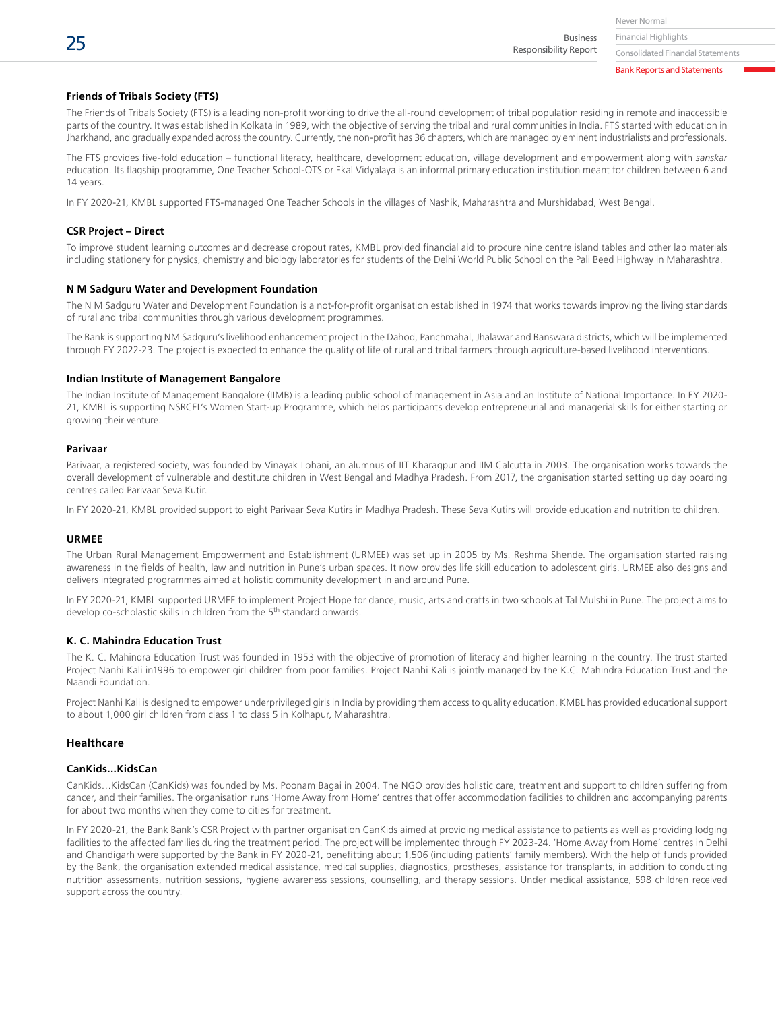Financial Highlights Business Responsibility Report

Consolidated Financial Statements

Bank Reports and Statements

# **Friends of Tribals Society (FTS)**

The Friends of Tribals Society (FTS) is a leading non-profit working to drive the all-round development of tribal population residing in remote and inaccessible parts of the country. It was established in Kolkata in 1989, with the objective of serving the tribal and rural communities in India. FTS started with education in Jharkhand, and gradually expanded across the country. Currently, the non-profit has 36 chapters, which are managed by eminent industrialists and professionals.

The FTS provides five-fold education – functional literacy, healthcare, development education, village development and empowerment along with *sanskar* education. Its flagship programme, One Teacher School-OTS or Ekal Vidyalaya is an informal primary education institution meant for children between 6 and 14 years.

In FY 2020-21, KMBL supported FTS-managed One Teacher Schools in the villages of Nashik, Maharashtra and Murshidabad, West Bengal.

#### **CSR Project – Direct**

To improve student learning outcomes and decrease dropout rates, KMBL provided financial aid to procure nine centre island tables and other lab materials including stationery for physics, chemistry and biology laboratories for students of the Delhi World Public School on the Pali Beed Highway in Maharashtra.

#### **N M Sadguru Water and Development Foundation**

The N M Sadguru Water and Development Foundation is a not-for-profit organisation established in 1974 that works towards improving the living standards of rural and tribal communities through various development programmes.

The Bank is supporting NM Sadguru's livelihood enhancement project in the Dahod, Panchmahal, Jhalawar and Banswara districts, which will be implemented through FY 2022-23. The project is expected to enhance the quality of life of rural and tribal farmers through agriculture-based livelihood interventions.

#### **Indian Institute of Management Bangalore**

The Indian Institute of Management Bangalore (IIMB) is a leading public school of management in Asia and an Institute of National Importance. In FY 2020- 21, KMBL is supporting NSRCEL's Women Start-up Programme, which helps participants develop entrepreneurial and managerial skills for either starting or growing their venture.

#### **Parivaar**

Parivaar, a registered society, was founded by Vinayak Lohani, an alumnus of IIT Kharagpur and IIM Calcutta in 2003. The organisation works towards the overall development of vulnerable and destitute children in West Bengal and Madhya Pradesh. From 2017, the organisation started setting up day boarding centres called Parivaar Seva Kutir.

In FY 2020-21, KMBL provided support to eight Parivaar Seva Kutirs in Madhya Pradesh. These Seva Kutirs will provide education and nutrition to children.

#### **URMEE**

The Urban Rural Management Empowerment and Establishment (URMEE) was set up in 2005 by Ms. Reshma Shende. The organisation started raising awareness in the fields of health, law and nutrition in Pune's urban spaces. It now provides life skill education to adolescent girls. URMEE also designs and delivers integrated programmes aimed at holistic community development in and around Pune.

In FY 2020-21, KMBL supported URMEE to implement Project Hope for dance, music, arts and crafts in two schools at Tal Mulshi in Pune. The project aims to develop co-scholastic skills in children from the 5<sup>th</sup> standard onwards.

#### **K. C. Mahindra Education Trust**

The K. C. Mahindra Education Trust was founded in 1953 with the objective of promotion of literacy and higher learning in the country. The trust started Project Nanhi Kali in1996 to empower girl children from poor families. Project Nanhi Kali is jointly managed by the K.C. Mahindra Education Trust and the Naandi Foundation.

Project Nanhi Kali is designed to empower underprivileged girls in India by providing them access to quality education. KMBL has provided educational support to about 1,000 girl children from class 1 to class 5 in Kolhapur, Maharashtra.

#### **Healthcare**

#### **CanKids...KidsCan**

CanKids…KidsCan (CanKids) was founded by Ms. Poonam Bagai in 2004. The NGO provides holistic care, treatment and support to children suffering from cancer, and their families. The organisation runs 'Home Away from Home' centres that offer accommodation facilities to children and accompanying parents for about two months when they come to cities for treatment.

In FY 2020-21, the Bank Bank's CSR Project with partner organisation CanKids aimed at providing medical assistance to patients as well as providing lodging facilities to the affected families during the treatment period. The project will be implemented through FY 2023-24. 'Home Away from Home' centres in Delhi and Chandigarh were supported by the Bank in FY 2020-21, benefitting about 1,506 (including patients' family members). With the help of funds provided by the Bank, the organisation extended medical assistance, medical supplies, diagnostics, prostheses, assistance for transplants, in addition to conducting nutrition assessments, nutrition sessions, hygiene awareness sessions, counselling, and therapy sessions. Under medical assistance, 598 children received support across the country.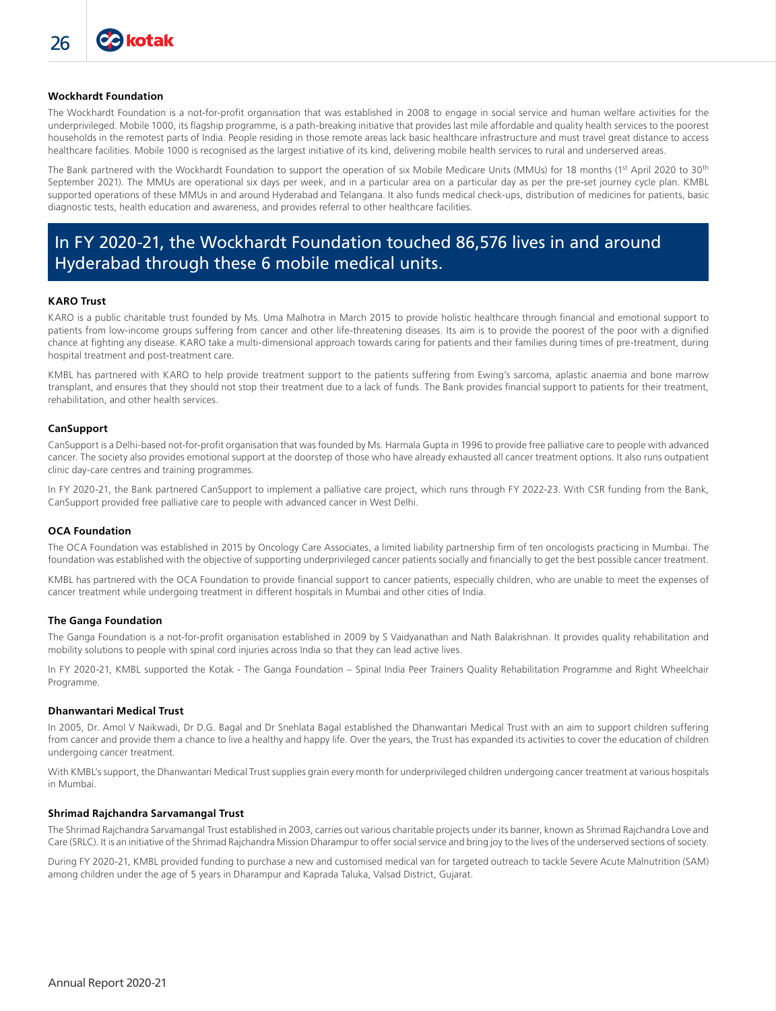#### **Wockhardt Foundation**

The Wockhardt Foundation is a not-for-profit organisation that was established in 2008 to engage in social service and human welfare activities for the underprivileged. Mobile 1000, its flagship programme, is a path-breaking initiative that provides last mile affordable and quality health services to the poorest households in the remotest parts of India. People residing in those remote areas lack basic healthcare infrastructure and must travel great distance to access healthcare facilities. Mobile 1000 is recognised as the largest initiative of its kind, delivering mobile health services to rural and underserved areas.

The Bank partnered with the Wockhardt Foundation to support the operation of six Mobile Medicare Units (MMUs) for 18 months (1<sup>st</sup> April 2020 to 30<sup>th</sup> September 2021). The MMUs are operational six days per week, and in a particular area on a particular day as per the pre-set journey cycle plan. KMBL supported operations of these MMUs in and around Hyderabad and Telangana. It also funds medical check-ups, distribution of medicines for patients, basic diagnostic tests, health education and awareness, and provides referral to other healthcare facilities.

# In FY 2020-21, the Wockhardt Foundation touched 86,576 lives in and around Hyderabad through these 6 mobile medical units.

#### **KARO Trust**

KARO is a public charitable trust founded by Ms. Uma Malhotra in March 2015 to provide holistic healthcare through financial and emotional support to patients from low-income groups suffering from cancer and other life-threatening diseases. Its aim is to provide the poorest of the poor with a dignified chance at fighting any disease. KARO take a multi-dimensional approach towards caring for patients and their families during times of pre-treatment, during hospital treatment and post-treatment care.

KMBL has partnered with KARO to help provide treatment support to the patients suffering from Ewing's sarcoma, aplastic anaemia and bone marrow transplant, and ensures that they should not stop their treatment due to a lack of funds. The Bank provides financial support to patients for their treatment, rehabilitation, and other health services.

#### **CanSupport**

CanSupport is a Delhi-based not-for-profit organisation that was founded by Ms. Harmala Gupta in 1996 to provide free palliative care to people with advanced cancer. The society also provides emotional support at the doorstep of those who have already exhausted all cancer treatment options. It also runs outpatient clinic day-care centres and training programmes.

In FY 2020-21, the Bank partnered CanSupport to implement a palliative care project, which runs through FY 2022-23. With CSR funding from the Bank, CanSupport provided free palliative care to people with advanced cancer in West Delhi.

#### **OCA Foundation**

The OCA Foundation was established in 2015 by Oncology Care Associates, a limited liability partnership firm of ten oncologists practicing in Mumbai. The foundation was established with the objective of supporting underprivileged cancer patients socially and financially to get the best possible cancer treatment.

KMBL has partnered with the OCA Foundation to provide financial support to cancer patients, especially children, who are unable to meet the expenses of cancer treatment while undergoing treatment in different hospitals in Mumbai and other cities of India.

#### **The Ganga Foundation**

The Ganga Foundation is a not-for-profit organisation established in 2009 by S Vaidyanathan and Nath Balakrishnan. It provides quality rehabilitation and mobility solutions to people with spinal cord injuries across India so that they can lead active lives.

In FY 2020-21, KMBL supported the Kotak - The Ganga Foundation – Spinal India Peer Trainers Quality Rehabilitation Programme and Right Wheelchair Programme.

#### **Dhanwantari Medical Trust**

In 2005, Dr. Amol V Naikwadi, Dr D.G. Bagal and Dr Snehlata Bagal established the Dhanwantari Medical Trust with an aim to support children suffering from cancer and provide them a chance to live a healthy and happy life. Over the years, the Trust has expanded its activities to cover the education of children undergoing cancer treatment.

With KMBL's support, the Dhanwantari Medical Trust supplies grain every month for underprivileged children undergoing cancer treatment at various hospitals in Mumbai.

#### **Shrimad Rajchandra Sarvamangal Trust**

The Shrimad Rajchandra Sarvamangal Trust established in 2003, carries out various charitable projects under its banner, known as Shrimad Rajchandra Love and Care (SRLC). It is an initiative of the Shrimad Rajchandra Mission Dharampur to offer social service and bring joy to the lives of the underserved sections of society.

During FY 2020-21, KMBL provided funding to purchase a new and customised medical van for targeted outreach to tackle Severe Acute Malnutrition (SAM) among children under the age of 5 years in Dharampur and Kaprada Taluka, Valsad District, Gujarat.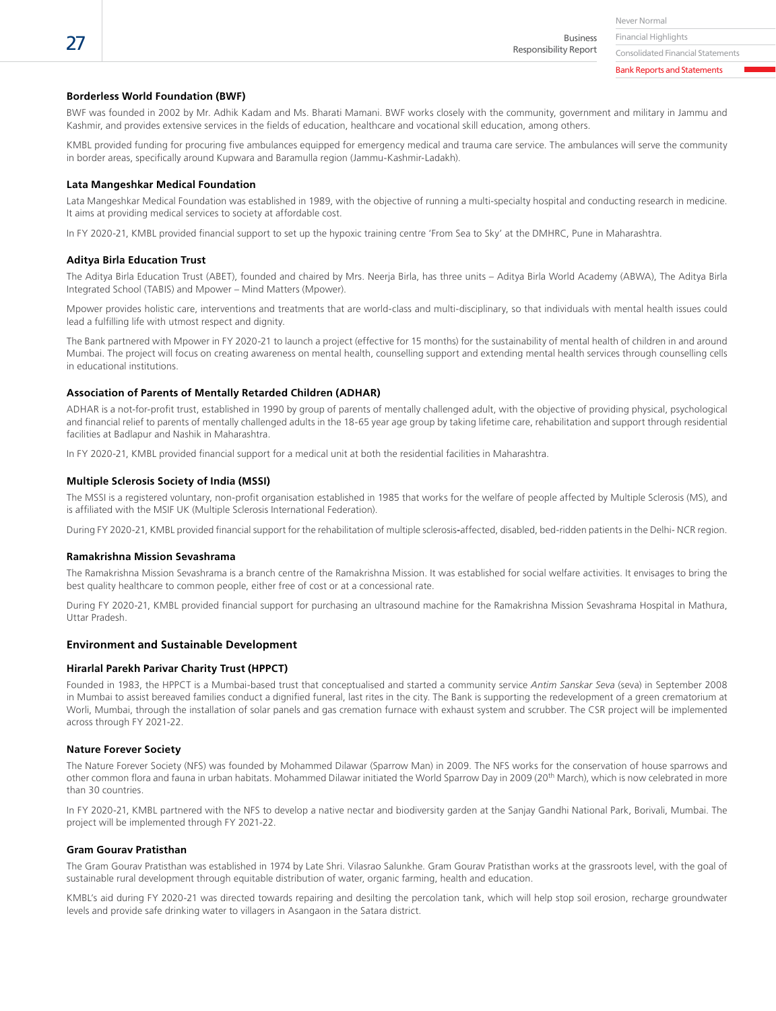Financial Highlights Business

Responsibility Report

Consolidated Financial Statements Bank Reports and Statements

#### **Borderless World Foundation (BWF)**

BWF was founded in 2002 by Mr. Adhik Kadam and Ms. Bharati Mamani. BWF works closely with the community, government and military in Jammu and Kashmir, and provides extensive services in the fields of education, healthcare and vocational skill education, among others.

KMBL provided funding for procuring five ambulances equipped for emergency medical and trauma care service. The ambulances will serve the community in border areas, specifically around Kupwara and Baramulla region (Jammu-Kashmir-Ladakh).

#### **Lata Mangeshkar Medical Foundation**

Lata Mangeshkar Medical Foundation was established in 1989, with the objective of running a multi-specialty hospital and conducting research in medicine. It aims at providing medical services to society at affordable cost.

In FY 2020-21, KMBL provided financial support to set up the hypoxic training centre 'From Sea to Sky' at the DMHRC, Pune in Maharashtra.

#### **Aditya Birla Education Trust**

The Aditya Birla Education Trust (ABET), founded and chaired by Mrs. Neerja Birla, has three units – Aditya Birla World Academy (ABWA), The Aditya Birla Integrated School (TABIS) and Mpower – Mind Matters (Mpower).

Mpower provides holistic care, interventions and treatments that are world-class and multi-disciplinary, so that individuals with mental health issues could lead a fulfilling life with utmost respect and dignity.

The Bank partnered with Mpower in FY 2020-21 to launch a project (effective for 15 months) for the sustainability of mental health of children in and around Mumbai. The project will focus on creating awareness on mental health, counselling support and extending mental health services through counselling cells in educational institutions.

#### **Association of Parents of Mentally Retarded Children (ADHAR)**

ADHAR is a not-for-profit trust, established in 1990 by group of parents of mentally challenged adult, with the objective of providing physical, psychological and financial relief to parents of mentally challenged adults in the 18-65 year age group by taking lifetime care, rehabilitation and support through residential facilities at Badlapur and Nashik in Maharashtra.

In FY 2020-21, KMBL provided financial support for a medical unit at both the residential facilities in Maharashtra.

#### **Multiple Sclerosis Society of India (MSSI)**

The MSSI is a registered voluntary, non-profit organisation established in 1985 that works for the welfare of people affected by Multiple Sclerosis (MS), and is affiliated with the MSIF UK (Multiple Sclerosis International Federation).

During FY 2020-21, KMBL provided financial support for the rehabilitation of multiple sclerosis**-**affected, disabled, bed-ridden patients in the Delhi- NCR region.

#### **Ramakrishna Mission Sevashrama**

The Ramakrishna Mission Sevashrama is a branch centre of the Ramakrishna Mission. It was established for social welfare activities. It envisages to bring the best quality healthcare to common people, either free of cost or at a concessional rate.

During FY 2020-21, KMBL provided financial support for purchasing an ultrasound machine for the Ramakrishna Mission Sevashrama Hospital in Mathura, Uttar Pradesh.

#### **Environment and Sustainable Development**

#### **Hirarlal Parekh Parivar Charity Trust (HPPCT)**

Founded in 1983, the HPPCT is a Mumbai-based trust that conceptualised and started a community service *Antim Sanskar Seva* (seva) in September 2008 in Mumbai to assist bereaved families conduct a dignified funeral, last rites in the city. The Bank is supporting the redevelopment of a green crematorium at Worli, Mumbai, through the installation of solar panels and gas cremation furnace with exhaust system and scrubber. The CSR project will be implemented across through FY 2021-22.

#### **Nature Forever Society**

The Nature Forever Society (NFS) was founded by Mohammed Dilawar (Sparrow Man) in 2009. The NFS works for the conservation of house sparrows and other common flora and fauna in urban habitats. Mohammed Dilawar initiated the World Sparrow Day in 2009 (20<sup>th</sup> March), which is now celebrated in more than 30 countries.

In FY 2020-21, KMBL partnered with the NFS to develop a native nectar and biodiversity garden at the Sanjay Gandhi National Park, Borivali, Mumbai. The project will be implemented through FY 2021-22.

#### **Gram Gourav Pratisthan**

The Gram Gourav Pratisthan was established in 1974 by Late Shri. Vilasrao Salunkhe. Gram Gourav Pratisthan works at the grassroots level, with the goal of sustainable rural development through equitable distribution of water, organic farming, health and education.

KMBL's aid during FY 2020-21 was directed towards repairing and desilting the percolation tank, which will help stop soil erosion, recharge groundwater levels and provide safe drinking water to villagers in Asangaon in the Satara district.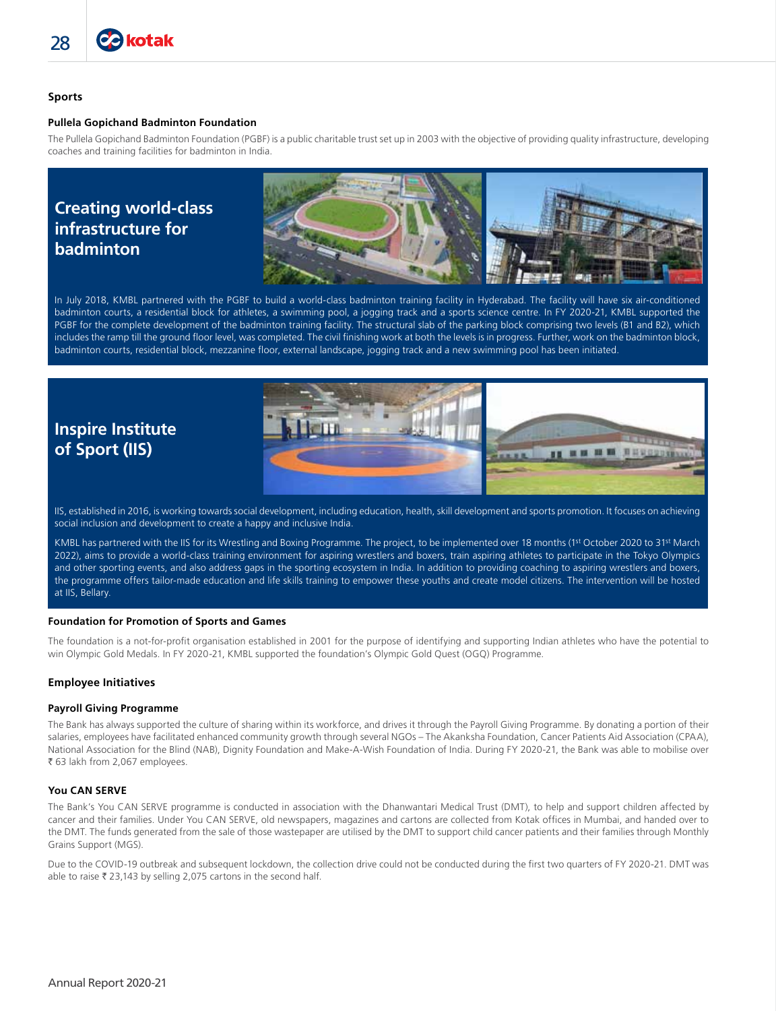# **Sports**

#### **Pullela Gopichand Badminton Foundation**

The Pullela Gopichand Badminton Foundation (PGBF) is a public charitable trust set up in 2003 with the objective of providing quality infrastructure, developing coaches and training facilities for badminton in India.

# **Creating world-class infrastructure for badminton**



In July 2018, KMBL partnered with the PGBF to build a world-class badminton training facility in Hyderabad. The facility will have six air-conditioned badminton courts, a residential block for athletes, a swimming pool, a jogging track and a sports science centre. In FY 2020-21, KMBL supported the PGBF for the complete development of the badminton training facility. The structural slab of the parking block comprising two levels (B1 and B2), which includes the ramp till the ground floor level, was completed. The civil finishing work at both the levels is in progress. Further, work on the badminton block, badminton courts, residential block, mezzanine floor, external landscape, jogging track and a new swimming pool has been initiated.

# **Inspire Institute of Sport (IIS)**



IIS, established in 2016, is working towards social development, including education, health, skill development and sports promotion. It focuses on achieving social inclusion and development to create a happy and inclusive India.

KMBL has partnered with the IIS for its Wrestling and Boxing Programme. The project, to be implemented over 18 months (1st October 2020 to 31<sup>st</sup> March 2022), aims to provide a world-class training environment for aspiring wrestlers and boxers, train aspiring athletes to participate in the Tokyo Olympics and other sporting events, and also address gaps in the sporting ecosystem in India. In addition to providing coaching to aspiring wrestlers and boxers, the programme offers tailor-made education and life skills training to empower these youths and create model citizens. The intervention will be hosted at IIS, Bellary.

#### **Foundation for Promotion of Sports and Games**

The foundation is a not-for-profit organisation established in 2001 for the purpose of identifying and supporting Indian athletes who have the potential to win Olympic Gold Medals. In FY 2020-21, KMBL supported the foundation's Olympic Gold Quest (OGQ) Programme.

#### **Employee Initiatives**

#### **Payroll Giving Programme**

The Bank has always supported the culture of sharing within its workforce, and drives it through the Payroll Giving Programme. By donating a portion of their salaries, employees have facilitated enhanced community growth through several NGOs – The Akanksha Foundation, Cancer Patients Aid Association (CPAA), National Association for the Blind (NAB), Dignity Foundation and Make-A-Wish Foundation of India. During FY 2020-21, the Bank was able to mobilise over ₹ 63 lakh from 2,067 employees.

#### **You CAN SERVE**

The Bank's You CAN SERVE programme is conducted in association with the Dhanwantari Medical Trust (DMT), to help and support children affected by cancer and their families. Under You CAN SERVE, old newspapers, magazines and cartons are collected from Kotak offices in Mumbai, and handed over to the DMT. The funds generated from the sale of those wastepaper are utilised by the DMT to support child cancer patients and their families through Monthly Grains Support (MGS).

Due to the COVID-19 outbreak and subsequent lockdown, the collection drive could not be conducted during the first two quarters of FY 2020-21. DMT was able to raise  $\bar{\tau}$  23,143 by selling 2,075 cartons in the second half.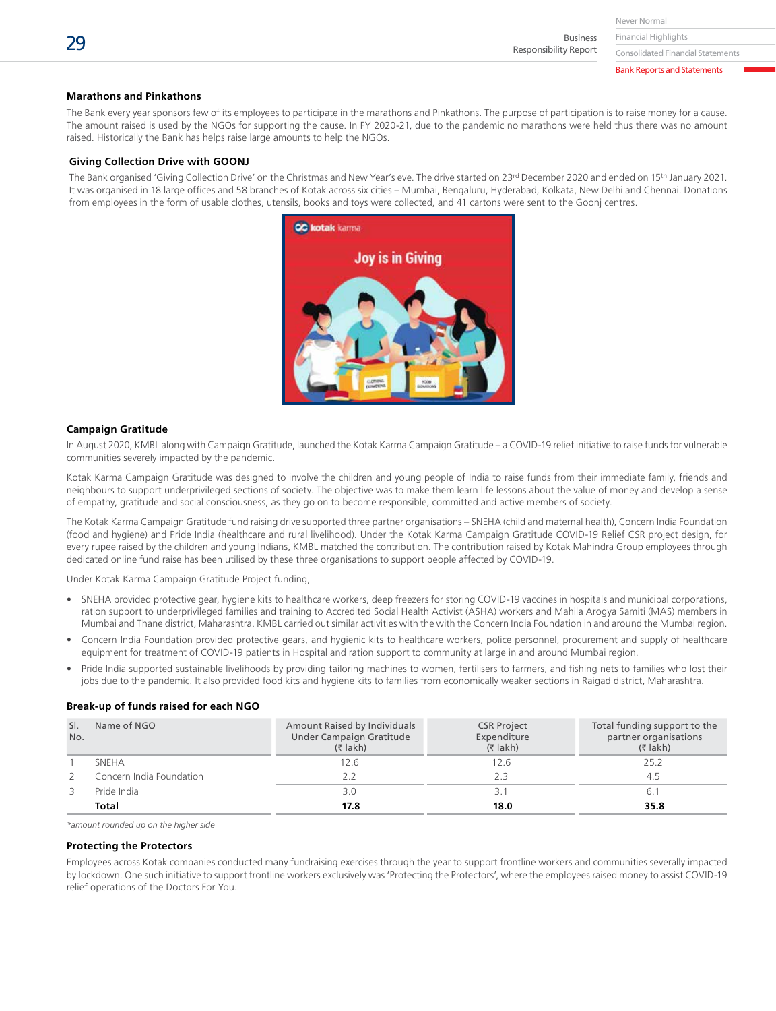Never Normal

Financial Highlights Business Responsibility Report

Consolidated Financial Statements Bank Reports and Statements

**Marathons and Pinkathons**

The Bank every year sponsors few of its employees to participate in the marathons and Pinkathons. The purpose of participation is to raise money for a cause. The amount raised is used by the NGOs for supporting the cause. In FY 2020-21, due to the pandemic no marathons were held thus there was no amount raised. Historically the Bank has helps raise large amounts to help the NGOs.

#### **Giving Collection Drive with GOONJ**

The Bank organised 'Giving Collection Drive' on the Christmas and New Year's eve. The drive started on 23<sup>rd</sup> December 2020 and ended on 15<sup>th</sup> January 2021. It was organised in 18 large offices and 58 branches of Kotak across six cities – Mumbai, Bengaluru, Hyderabad, Kolkata, New Delhi and Chennai. Donations from employees in the form of usable clothes, utensils, books and toys were collected, and 41 cartons were sent to the Goonj centres.



#### **Campaign Gratitude**

In August 2020, KMBL along with Campaign Gratitude, launched the Kotak Karma Campaign Gratitude – a COVID-19 relief initiative to raise funds for vulnerable communities severely impacted by the pandemic.

Kotak Karma Campaign Gratitude was designed to involve the children and young people of India to raise funds from their immediate family, friends and neighbours to support underprivileged sections of society. The objective was to make them learn life lessons about the value of money and develop a sense of empathy, gratitude and social consciousness, as they go on to become responsible, committed and active members of society.

The Kotak Karma Campaign Gratitude fund raising drive supported three partner organisations – SNEHA (child and maternal health), Concern India Foundation (food and hygiene) and Pride India (healthcare and rural livelihood). Under the Kotak Karma Campaign Gratitude COVID-19 Relief CSR project design, for every rupee raised by the children and young Indians, KMBL matched the contribution. The contribution raised by Kotak Mahindra Group employees through dedicated online fund raise has been utilised by these three organisations to support people affected by COVID-19.

Under Kotak Karma Campaign Gratitude Project funding,

- SNEHA provided protective gear, hygiene kits to healthcare workers, deep freezers for storing COVID-19 vaccines in hospitals and municipal corporations, ration support to underprivileged families and training to Accredited Social Health Activist (ASHA) workers and Mahila Arogya Samiti (MAS) members in Mumbai and Thane district, Maharashtra. KMBL carried out similar activities with the with the Concern India Foundation in and around the Mumbai region.
- Concern India Foundation provided protective gears, and hygienic kits to healthcare workers, police personnel, procurement and supply of healthcare equipment for treatment of COVID-19 patients in Hospital and ration support to community at large in and around Mumbai region.
- Pride India supported sustainable livelihoods by providing tailoring machines to women, fertilisers to farmers, and fishing nets to families who lost their jobs due to the pandemic. It also provided food kits and hygiene kits to families from economically weaker sections in Raigad district, Maharashtra.

#### **Break-up of funds raised for each NGO**

| SI.<br>Name of NGO<br>No. |                          | Amount Raised by Individuals<br>Under Campaign Gratitude<br>$($ ₹ lakh) | <b>CSR Project</b><br>Expenditure<br>$(5$ lakh) | Total funding support to the<br>partner organisations<br>$(5$ lakh) |  |
|---------------------------|--------------------------|-------------------------------------------------------------------------|-------------------------------------------------|---------------------------------------------------------------------|--|
|                           | <b>SNEHA</b>             | 12.6                                                                    | 12.6                                            | 25.2                                                                |  |
|                           | Concern India Foundation | 2.2                                                                     |                                                 | 4.5                                                                 |  |
|                           | Pride India              | 3.0                                                                     |                                                 | 6.                                                                  |  |
|                           | Total                    | 17.8                                                                    | 18.0                                            | 35.8                                                                |  |

*\*amount rounded up on the higher side*

#### **Protecting the Protectors**

Employees across Kotak companies conducted many fundraising exercises through the year to support frontline workers and communities severally impacted by lockdown. One such initiative to support frontline workers exclusively was 'Protecting the Protectors', where the employees raised money to assist COVID-19 relief operations of the Doctors For You.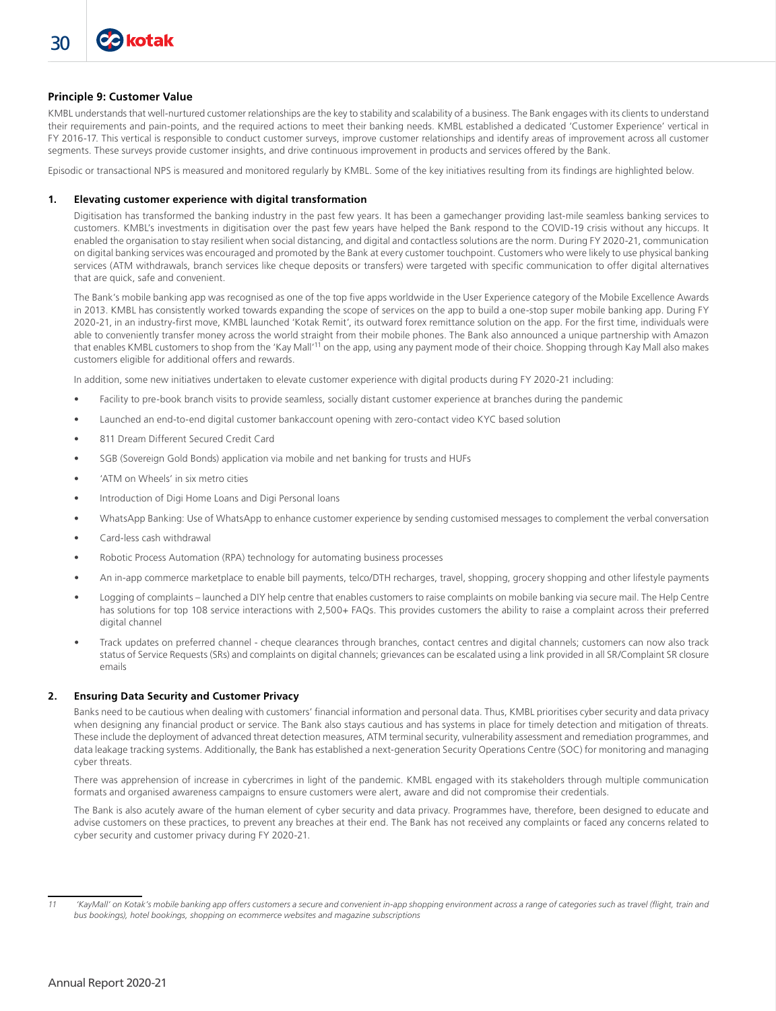# **Principle 9: Customer Value**

KMBL understands that well-nurtured customer relationships are the key to stability and scalability of a business. The Bank engages with its clients to understand their requirements and pain-points, and the required actions to meet their banking needs. KMBL established a dedicated 'Customer Experience' vertical in FY 2016-17. This vertical is responsible to conduct customer surveys, improve customer relationships and identify areas of improvement across all customer segments. These surveys provide customer insights, and drive continuous improvement in products and services offered by the Bank.

Episodic or transactional NPS is measured and monitored regularly by KMBL. Some of the key initiatives resulting from its findings are highlighted below.

#### **1. Elevating customer experience with digital transformation**

 Digitisation has transformed the banking industry in the past few years. It has been a gamechanger providing last-mile seamless banking services to customers. KMBL's investments in digitisation over the past few years have helped the Bank respond to the COVID-19 crisis without any hiccups. It enabled the organisation to stay resilient when social distancing, and digital and contactless solutions are the norm. During FY 2020-21, communication on digital banking services was encouraged and promoted by the Bank at every customer touchpoint. Customers who were likely to use physical banking services (ATM withdrawals, branch services like cheque deposits or transfers) were targeted with specific communication to offer digital alternatives that are quick, safe and convenient.

 The Bank's mobile banking app was recognised as one of the top five apps worldwide in the User Experience category of the Mobile Excellence Awards in 2013. KMBL has consistently worked towards expanding the scope of services on the app to build a one-stop super mobile banking app. During FY 2020-21, in an industry-first move, KMBL launched 'Kotak Remit', its outward forex remittance solution on the app. For the first time, individuals were able to conveniently transfer money across the world straight from their mobile phones. The Bank also announced a unique partnership with Amazon that enables KMBL customers to shop from the 'Kay Mall'11 on the app, using any payment mode of their choice. Shopping through Kay Mall also makes customers eligible for additional offers and rewards.

In addition, some new initiatives undertaken to elevate customer experience with digital products during FY 2020-21 including:

- Facility to pre-book branch visits to provide seamless, socially distant customer experience at branches during the pandemic
- Launched an end-to-end digital customer bankaccount opening with zero-contact video KYC based solution
- 811 Dream Different Secured Credit Card
- SGB (Sovereign Gold Bonds) application via mobile and net banking for trusts and HUFs
- 'ATM on Wheels' in six metro cities
- Introduction of Digi Home Loans and Digi Personal loans
- WhatsApp Banking: Use of WhatsApp to enhance customer experience by sending customised messages to complement the verbal conversation
- Card-less cash withdrawal
- Robotic Process Automation (RPA) technology for automating business processes
- An in-app commerce marketplace to enable bill payments, telco/DTH recharges, travel, shopping, grocery shopping and other lifestyle payments
- Logging of complaints launched a DIY help centre that enables customers to raise complaints on mobile banking via secure mail. The Help Centre has solutions for top 108 service interactions with 2,500+ FAQs. This provides customers the ability to raise a complaint across their preferred digital channel
- Track updates on preferred channel cheque clearances through branches, contact centres and digital channels; customers can now also track status of Service Requests (SRs) and complaints on digital channels; grievances can be escalated using a link provided in all SR/Complaint SR closure emails

#### **2. Ensuring Data Security and Customer Privacy**

 Banks need to be cautious when dealing with customers' financial information and personal data. Thus, KMBL prioritises cyber security and data privacy when designing any financial product or service. The Bank also stays cautious and has systems in place for timely detection and mitigation of threats. These include the deployment of advanced threat detection measures, ATM terminal security, vulnerability assessment and remediation programmes, and data leakage tracking systems. Additionally, the Bank has established a next-generation Security Operations Centre (SOC) for monitoring and managing cyber threats.

 There was apprehension of increase in cybercrimes in light of the pandemic. KMBL engaged with its stakeholders through multiple communication formats and organised awareness campaigns to ensure customers were alert, aware and did not compromise their credentials.

 The Bank is also acutely aware of the human element of cyber security and data privacy. Programmes have, therefore, been designed to educate and advise customers on these practices, to prevent any breaches at their end. The Bank has not received any complaints or faced any concerns related to cyber security and customer privacy during FY 2020-21.

*<sup>11 &#</sup>x27;KayMall' on Kotak's mobile banking app offers customers a secure and convenient in-app shopping environment across a range of categories such as travel (flight, train and bus bookings), hotel bookings, shopping on ecommerce websites and magazine subscriptions*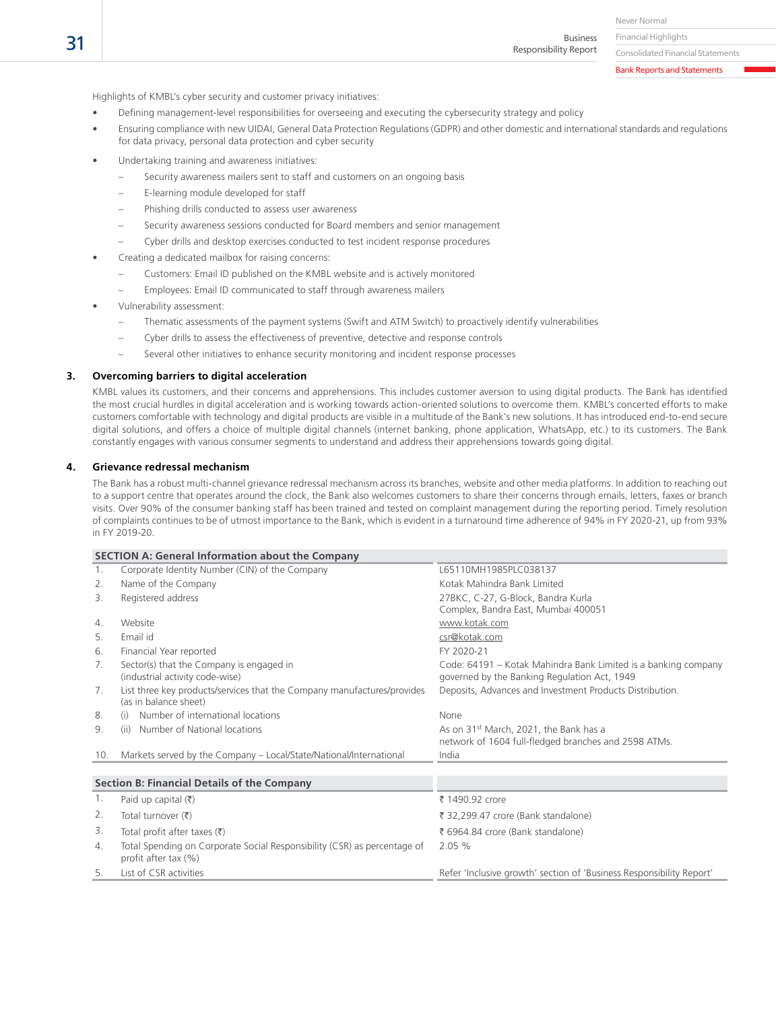Business Responsibility Report

Consolidated Financial Statements

Bank Reports and Statements

Highlights of KMBL's cyber security and customer privacy initiatives:

- Defining management-level responsibilities for overseeing and executing the cybersecurity strategy and policy
- Ensuring compliance with new UIDAI, General Data Protection Regulations (GDPR) and other domestic and international standards and regulations for data privacy, personal data protection and cyber security
- Undertaking training and awareness initiatives:
	- Security awareness mailers sent to staff and customers on an ongoing basis
	- E-learning module developed for staff
	- Phishing drills conducted to assess user awareness
	- Security awareness sessions conducted for Board members and senior management
	- Cyber drills and desktop exercises conducted to test incident response procedures
- Creating a dedicated mailbox for raising concerns:
	- Customers: Email ID published on the KMBL website and is actively monitored
	- Employees: Email ID communicated to staff through awareness mailers
- Vulnerability assessment:
	- Thematic assessments of the payment systems (Swift and ATM Switch) to proactively identify vulnerabilities
	- Cyber drills to assess the effectiveness of preventive, detective and response controls
	- Several other initiatives to enhance security monitoring and incident response processes

# **3. Overcoming barriers to digital acceleration**

 KMBL values its customers, and their concerns and apprehensions. This includes customer aversion to using digital products. The Bank has identified the most crucial hurdles in digital acceleration and is working towards action-oriented solutions to overcome them. KMBL's concerted efforts to make customers comfortable with technology and digital products are visible in a multitude of the Bank's new solutions. It has introduced end-to-end secure digital solutions, and offers a choice of multiple digital channels (internet banking, phone application, WhatsApp, etc.) to its customers. The Bank constantly engages with various consumer segments to understand and address their apprehensions towards going digital.

# **4. Grievance redressal mechanism**

 The Bank has a robust multi-channel grievance redressal mechanism across its branches, website and other media platforms. In addition to reaching out to a support centre that operates around the clock, the Bank also welcomes customers to share their concerns through emails, letters, faxes or branch visits. Over 90% of the consumer banking staff has been trained and tested on complaint management during the reporting period. Timely resolution of complaints continues to be of utmost importance to the Bank, which is evident in a turnaround time adherence of 94% in FY 2020-21, up from 93% in FY 2019-20.

|     | <b>SECTION A: General Information about the Company</b>                                          |                                                                                                                |
|-----|--------------------------------------------------------------------------------------------------|----------------------------------------------------------------------------------------------------------------|
| 1.  | Corporate Identity Number (CIN) of the Company                                                   | L65110MH1985PLC038137                                                                                          |
| 2.  | Name of the Company                                                                              | Kotak Mahindra Bank Limited                                                                                    |
| 3.  | Registered address                                                                               | 27BKC, C-27, G-Block, Bandra Kurla                                                                             |
|     |                                                                                                  | Complex, Bandra East, Mumbai 400051                                                                            |
| 4.  | Website                                                                                          | www.kotak.com                                                                                                  |
| 5.  | Email id                                                                                         | csr@kotak.com                                                                                                  |
| 6.  | Financial Year reported                                                                          | FY 2020-21                                                                                                     |
| 7.  | Sector(s) that the Company is engaged in<br>(industrial activity code-wise)                      | Code: 64191 – Kotak Mahindra Bank Limited is a banking company<br>governed by the Banking Regulation Act, 1949 |
| 7.  | List three key products/services that the Company manufactures/provides<br>(as in balance sheet) | Deposits, Advances and Investment Products Distribution.                                                       |
| 8.  | Number of international locations<br>(i)                                                         | None                                                                                                           |
| 9.  | Number of National locations<br>(ii)                                                             | As on 31 <sup>st</sup> March, 2021, the Bank has a<br>network of 1604 full-fledged branches and 2598 ATMs.     |
| 10. | Markets served by the Company - Local/State/National/International                               | India                                                                                                          |
|     |                                                                                                  |                                                                                                                |
|     | <b>Section B: Financial Details of the Company</b>                                               |                                                                                                                |
| 1.  | Paid up capital $(₹)$                                                                            | ₹ 1490.92 crore                                                                                                |
| 2.  | Total turnover $(\bar{\bar{\tau}})$                                                              | ₹ 32,299.47 crore (Bank standalone)                                                                            |
| 3.  | Total profit after taxes $(\bar{\tau})$                                                          | ₹ 6964.84 crore (Bank standalone)                                                                              |
| 4.  | Total Spending on Corporate Social Responsibility (CSR) as percentage of<br>profit after tax (%) | 2.05 %                                                                                                         |
| 5.  | List of CSR activities                                                                           | Refer 'Inclusive growth' section of 'Business Responsibility Report'                                           |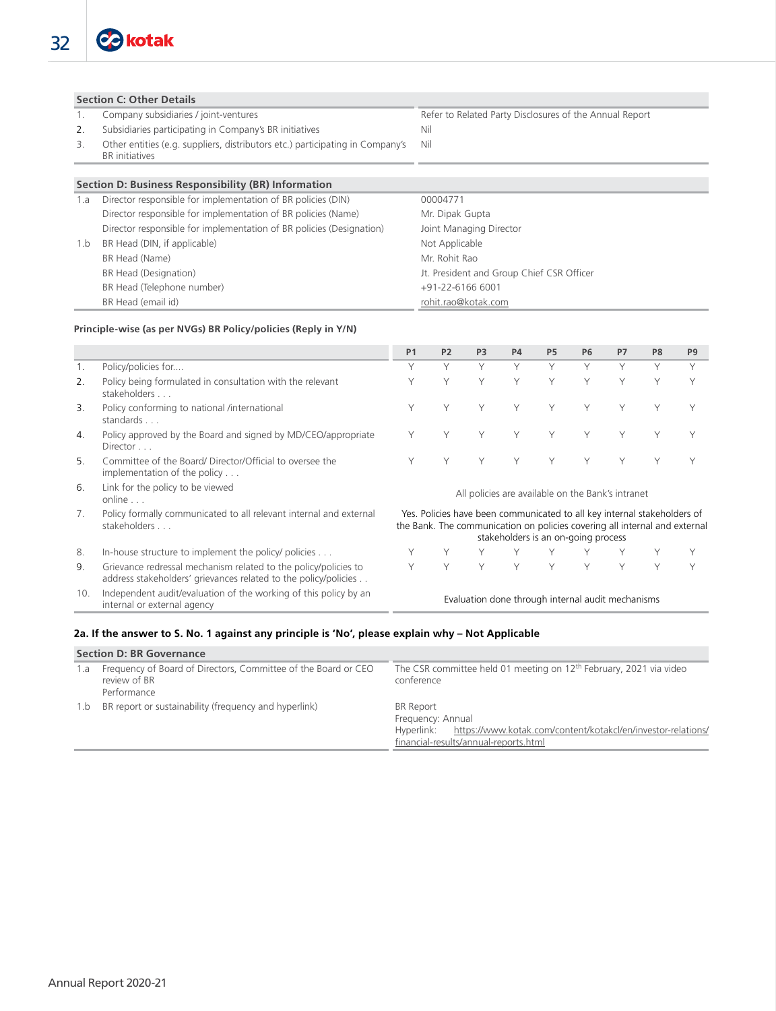# **Section C: Other Details**

- 1. Company subsidiaries / joint-ventures Refer to Related Party Disclosures of the Annual Report
- 2. Subsidiaries participating in Company's BR initiatives Nil
- 3. Other entities (e.g. suppliers, distributors etc.) participating in Company's BR initiatives

# **Section D: Business Responsibility (BR) Information**

| 1.a | Director responsible for implementation of BR policies (DIN)         | 00004771                                  |
|-----|----------------------------------------------------------------------|-------------------------------------------|
|     | Director responsible for implementation of BR policies (Name)        | Mr. Dipak Gupta                           |
|     | Director responsible for implementation of BR policies (Designation) | Joint Managing Director                   |
| 1.b | BR Head (DIN, if applicable)                                         | Not Applicable                            |
|     | BR Head (Name)                                                       | Mr. Rohit Rao                             |
|     | BR Head (Designation)                                                | Jt. President and Group Chief CSR Officer |
|     | BR Head (Telephone number)                                           | +91-22-6166 6001                          |
|     | BR Head (email id)                                                   | rohit.rao@kotak.com                       |

Nil

#### **Principle-wise (as per NVGs) BR Policy/policies (Reply in Y/N)**

|     |                                                                                                                                    | P <sub>1</sub> | P <sub>2</sub> | P <sub>3</sub> | <b>P4</b> | P <sub>5</sub> | <b>P6</b>                                                                                                                                                                                     | P7     | P <sub>8</sub> | P <sub>9</sub> |
|-----|------------------------------------------------------------------------------------------------------------------------------------|----------------|----------------|----------------|-----------|----------------|-----------------------------------------------------------------------------------------------------------------------------------------------------------------------------------------------|--------|----------------|----------------|
|     | Policy/policies for                                                                                                                | Υ              | Υ              | Y              | Υ         | Υ              | Υ                                                                                                                                                                                             | Υ      | $\vee$         | Y              |
| 2.  | Policy being formulated in consultation with the relevant<br>stakeholders                                                          | Y              | Υ              | Υ              | Υ         | Y              | Υ                                                                                                                                                                                             | $\vee$ | $\checkmark$   | $\vee$         |
| 3.  | Policy conforming to national /international<br>standards                                                                          | Υ              | Υ              | Υ              | Υ         | Y              | Υ                                                                                                                                                                                             | Υ      | ٧              |                |
| 4.  | Policy approved by the Board and signed by MD/CEO/appropriate<br>Director                                                          | Υ              | Υ              | Υ              | Υ         | Υ              | Υ                                                                                                                                                                                             | $\vee$ |                |                |
| 5.  | Committee of the Board/ Director/Official to oversee the<br>implementation of the policy                                           | Υ              | Υ              | Υ              | Y         | Υ              | Υ                                                                                                                                                                                             | Υ      |                |                |
| 6.  | Link for the policy to be viewed<br>online                                                                                         |                |                |                |           |                | All policies are available on the Bank's intranet                                                                                                                                             |        |                |                |
| 7.  | Policy formally communicated to all relevant internal and external<br>stakeholders                                                 |                |                |                |           |                | Yes. Policies have been communicated to all key internal stakeholders of<br>the Bank. The communication on policies covering all internal and external<br>stakeholders is an on-going process |        |                |                |
| 8.  | In-house structure to implement the policy/ policies                                                                               |                |                |                |           |                |                                                                                                                                                                                               |        |                |                |
| 9.  | Grievance redressal mechanism related to the policy/policies to<br>address stakeholders' grievances related to the policy/policies | Υ              | Υ              | Υ              | Y         | Y              | Υ                                                                                                                                                                                             | Υ      | Y              |                |
| 10. | Independent audit/evaluation of the working of this policy by an<br>internal or external agency                                    |                |                |                |           |                | Evaluation done through internal audit mechanisms                                                                                                                                             |        |                |                |

# **2a. If the answer to S. No. 1 against any principle is 'No', please explain why – Not Applicable**

|     | <b>Section D: BR Governance</b>                                                               |                                                                                                                                                       |
|-----|-----------------------------------------------------------------------------------------------|-------------------------------------------------------------------------------------------------------------------------------------------------------|
| 1.a | Frequency of Board of Directors, Committee of the Board or CEO<br>review of BR<br>Performance | The CSR committee held 01 meeting on 12 <sup>th</sup> February, 2021 via video<br>conference                                                          |
| 1.b | BR report or sustainability (frequency and hyperlink)                                         | BR Report<br>Frequency: Annual<br>https://www.kotak.com/content/kotakcl/en/investor-relations/<br>Hyperlink:<br>financial-results/annual-reports.html |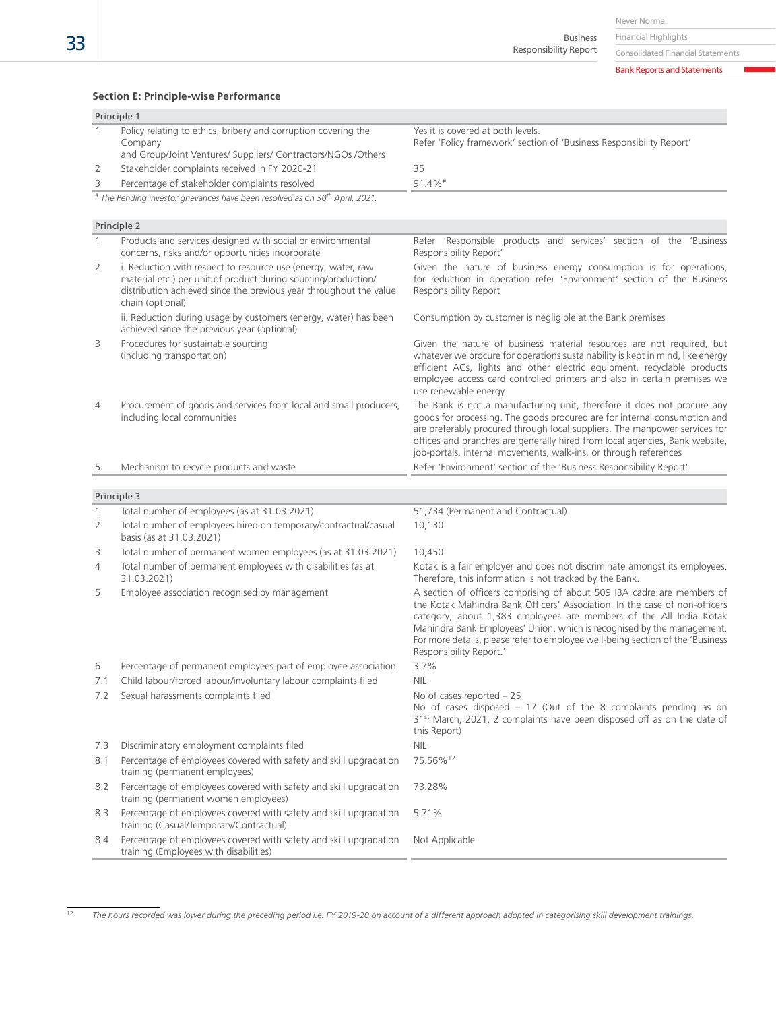Never Normal

Financial Highlights Business Responsibility Report

Consolidated Financial Statements

Bank Reports and Statements

#### **Section E: Principle-wise Performance**

|                                               | Principle 1                                                                                                                                |                                                                                                           |  |
|-----------------------------------------------|--------------------------------------------------------------------------------------------------------------------------------------------|-----------------------------------------------------------------------------------------------------------|--|
|                                               | Policy relating to ethics, bribery and corruption covering the<br>Company<br>and Group/Joint Ventures/ Suppliers/ Contractors/NGOs /Others | Yes it is covered at both levels.<br>Refer 'Policy framework' section of 'Business Responsibility Report' |  |
|                                               | Stakeholder complaints received in FY 2020-21                                                                                              | 35                                                                                                        |  |
| Percentage of stakeholder complaints resolved |                                                                                                                                            | $91.4\%$ <sup>#</sup>                                                                                     |  |
|                                               | # The Pending investor grievances have been resolved as on 30 <sup>th</sup> April, 2021.                                                   |                                                                                                           |  |

Principle 2 Products and services designed with social or environmental concerns, risks and/or opportunities incorporate Refer 'Responsible products and services' section of the 'Business Responsibility Report' 2 i. Reduction with respect to resource use (energy, water, raw material etc.) per unit of product during sourcing/production/ distribution achieved since the previous year throughout the value chain (optional) Given the nature of business energy consumption is for operations, for reduction in operation refer 'Environment' section of the Business Responsibility Report ii. Reduction during usage by customers (energy, water) has been achieved since the previous year (optional) Consumption by customer is negligible at the Bank premises 3 Procedures for sustainable sourcing (including transportation) Given the nature of business material resources are not required, but whatever we procure for operations sustainability is kept in mind, like energy efficient ACs, lights and other electric equipment, recyclable products employee access card controlled printers and also in certain premises we use renewable energy 4 Procurement of goods and services from local and small producers, including local communities The Bank is not a manufacturing unit, therefore it does not procure any goods for processing. The goods procured are for internal consumption and are preferably procured through local suppliers. The manpower services for offices and branches are generally hired from local agencies, Bank website, job-portals, internal movements, walk-ins, or through references 5 Mechanism to recycle products and waste  $\blacksquare$  Refer 'Environment' section of the 'Business Responsibility Report' Principle 3 1 Total number of employees (as at 31.03.2021) 51,734 (Permanent and Contractual) 2 Total number of employees hired on temporary/contractual/casual basis (as at 31.03.2021) 10,130 3 Total number of permanent women employees (as at 31.03.2021) 10,450 4 Total number of permanent employees with disabilities (as at 31.03.2021) Kotak is a fair employer and does not discriminate amongst its employees. Therefore, this information is not tracked by the Bank. 5 Employee association recognised by management A section of officers comprising of about 509 IBA cadre are members of the Kotak Mahindra Bank Officers' Association. In the case of non-officers category, about 1,383 employees are members of the All India Kotak Mahindra Bank Employees' Union, which is recognised by the management. For more details, please refer to employee well-being section of the 'Business Responsibility Report.' 6 Percentage of permanent employees part of employee association 3.7% 7.1 Child labour/forced labour/involuntary labour complaints filed NIL 7.2 Sexual harassments complaints filed No of cases reported – 25 No of cases disposed – 17 (Out of the 8 complaints pending as on 31<sup>st</sup> March, 2021, 2 complaints have been disposed off as on the date of this Report) 7.3 Discriminatory employment complaints filed NIL 8.1 Percentage of employees covered with safety and skill upgradation training (permanent employees) 75.56%12 8.2 Percentage of employees covered with safety and skill upgradation training (permanent women employees) 73.28% 8.3 Percentage of employees covered with safety and skill upgradation training (Casual/Temporary/Contractual) 5.71% 8.4 Percentage of employees covered with safety and skill upgradation Not Applicable

training (Employees with disabilities)

*<sup>12</sup> The hours recorded was lower during the preceding period i.e. FY 2019-20 on account of a different approach adopted in categorising skill development trainings.*